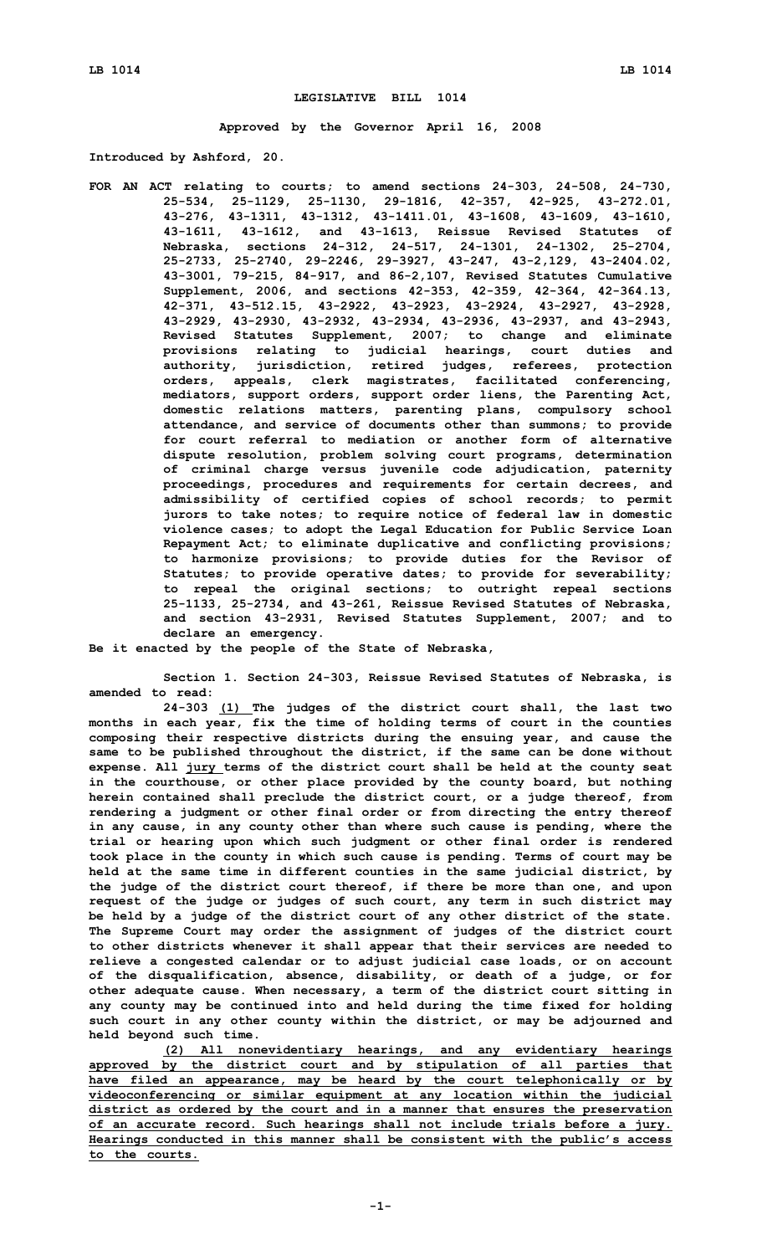## **LEGISLATIVE BILL 1014**

**Approved by the Governor April 16, 2008**

**Introduced by Ashford, 20.**

**FOR AN ACT relating to courts; to amend sections 24-303, 24-508, 24-730, 25-534, 25-1129, 25-1130, 29-1816, 42-357, 42-925, 43-272.01, 43-276, 43-1311, 43-1312, 43-1411.01, 43-1608, 43-1609, 43-1610, 43-1611, 43-1612, and 43-1613, Reissue Revised Statutes of Nebraska, sections 24-312, 24-517, 24-1301, 24-1302, 25-2704, 25-2733, 25-2740, 29-2246, 29-3927, 43-247, 43-2,129, 43-2404.02, 43-3001, 79-215, 84-917, and 86-2,107, Revised Statutes Cumulative Supplement, 2006, and sections 42-353, 42-359, 42-364, 42-364.13, 42-371, 43-512.15, 43-2922, 43-2923, 43-2924, 43-2927, 43-2928, 43-2929, 43-2930, 43-2932, 43-2934, 43-2936, 43-2937, and 43-2943, Revised Statutes Supplement, 2007; to change and eliminate provisions relating to judicial hearings, court duties and authority, jurisdiction, retired judges, referees, protection orders, appeals, clerk magistrates, facilitated conferencing, mediators, support orders, support order liens, the Parenting Act, domestic relations matters, parenting plans, compulsory school attendance, and service of documents other than summons; to provide for court referral to mediation or another form of alternative dispute resolution, problem solving court programs, determination of criminal charge versus juvenile code adjudication, paternity proceedings, procedures and requirements for certain decrees, and admissibility of certified copies of school records; to permit jurors to take notes; to require notice of federal law in domestic violence cases; to adopt the Legal Education for Public Service Loan Repayment Act; to eliminate duplicative and conflicting provisions; to harmonize provisions; to provide duties for the Revisor of Statutes; to provide operative dates; to provide for severability; to repeal the original sections; to outright repeal sections 25-1133, 25-2734, and 43-261, Reissue Revised Statutes of Nebraska, and section 43-2931, Revised Statutes Supplement, 2007; and to declare an emergency.**

**Be it enacted by the people of the State of Nebraska,**

**Section 1. Section 24-303, Reissue Revised Statutes of Nebraska, is amended to read:**

**24-303 (1) The judges of the district court shall, the last two months in each year, fix the time of holding terms of court in the counties composing their respective districts during the ensuing year, and cause the same to be published throughout the district, if the same can be done without expense. All jury terms of the district court shall be held at the county seat in the courthouse, or other place provided by the county board, but nothing herein contained shall preclude the district court, or <sup>a</sup> judge thereof, from rendering <sup>a</sup> judgment or other final order or from directing the entry thereof in any cause, in any county other than where such cause is pending, where the trial or hearing upon which such judgment or other final order is rendered took place in the county in which such cause is pending. Terms of court may be held at the same time in different counties in the same judicial district, by the judge of the district court thereof, if there be more than one, and upon request of the judge or judges of such court, any term in such district may be held by <sup>a</sup> judge of the district court of any other district of the state. The Supreme Court may order the assignment of judges of the district court to other districts whenever it shall appear that their services are needed to relieve <sup>a</sup> congested calendar or to adjust judicial case loads, or on account of the disqualification, absence, disability, or death of <sup>a</sup> judge, or for other adequate cause. When necessary, <sup>a</sup> term of the district court sitting in any county may be continued into and held during the time fixed for holding such court in any other county within the district, or may be adjourned and held beyond such time.**

**(2) All nonevidentiary hearings, and any evidentiary hearings approved by the district court and by stipulation of all parties that have filed an appearance, may be heard by the court telephonically or by videoconferencing or similar equipment at any location within the judicial district as ordered by the court and in <sup>a</sup> manner that ensures the preservation of an accurate record. Such hearings shall not include trials before <sup>a</sup> jury. Hearings conducted in this manner shall be consistent with the public's access to the courts.**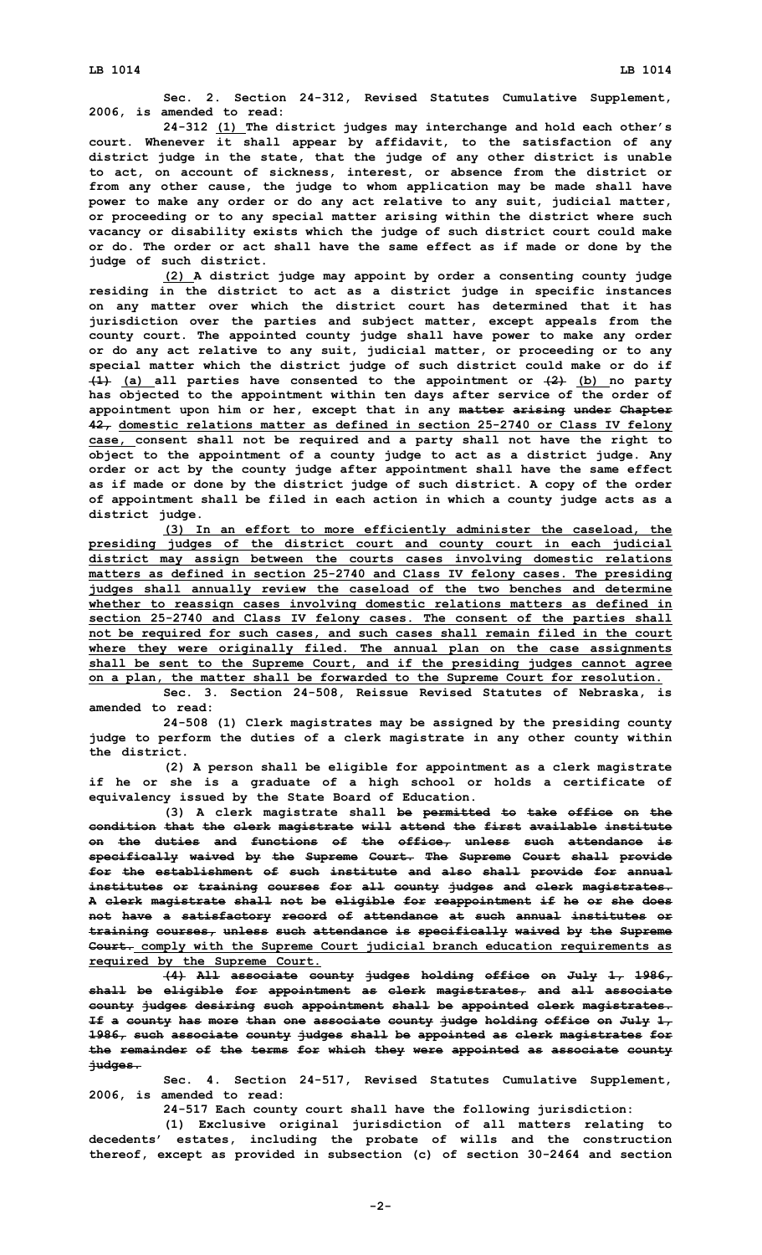**Sec. 2. Section 24-312, Revised Statutes Cumulative Supplement, 2006, is amended to read:**

**24-312 (1) The district judges may interchange and hold each other's court. Whenever it shall appear by affidavit, to the satisfaction of any district judge in the state, that the judge of any other district is unable to act, on account of sickness, interest, or absence from the district or from any other cause, the judge to whom application may be made shall have power to make any order or do any act relative to any suit, judicial matter, or proceeding or to any special matter arising within the district where such vacancy or disability exists which the judge of such district court could make or do. The order or act shall have the same effect as if made or done by the judge of such district.**

**(2) <sup>A</sup> district judge may appoint by order <sup>a</sup> consenting county judge residing in the district to act as <sup>a</sup> district judge in specific instances on any matter over which the district court has determined that it has jurisdiction over the parties and subject matter, except appeals from the county court. The appointed county judge shall have power to make any order or do any act relative to any suit, judicial matter, or proceeding or to any special matter which the district judge of such district could make or do if (1) (a) all parties have consented to the appointment or (2) (b) no party has objected to the appointment within ten days after service of the order of appointment upon him or her, except that in any matter arising under Chapter 42, domestic relations matter as defined in section 25-2740 or Class IV felony case, consent shall not be required and <sup>a</sup> party shall not have the right to object to the appointment of <sup>a</sup> county judge to act as <sup>a</sup> district judge. Any order or act by the county judge after appointment shall have the same effect as if made or done by the district judge of such district. A copy of the order of appointment shall be filed in each action in which <sup>a</sup> county judge acts as <sup>a</sup> district judge.**

**(3) In an effort to more efficiently administer the caseload, the presiding judges of the district court and county court in each judicial district may assign between the courts cases involving domestic relations matters as defined in section 25-2740 and Class IV felony cases. The presiding judges shall annually review the caseload of the two benches and determine whether to reassign cases involving domestic relations matters as defined in section 25-2740 and Class IV felony cases. The consent of the parties shall not be required for such cases, and such cases shall remain filed in the court where they were originally filed. The annual plan on the case assignments shall be sent to the Supreme Court, and if the presiding judges cannot agree on <sup>a</sup> plan, the matter shall be forwarded to the Supreme Court for resolution.**

**Sec. 3. Section 24-508, Reissue Revised Statutes of Nebraska, is amended to read:**

**24-508 (1) Clerk magistrates may be assigned by the presiding county judge to perform the duties of <sup>a</sup> clerk magistrate in any other county within the district.**

**(2) <sup>A</sup> person shall be eligible for appointment as <sup>a</sup> clerk magistrate if he or she is <sup>a</sup> graduate of <sup>a</sup> high school or holds <sup>a</sup> certificate of equivalency issued by the State Board of Education.**

**(3) <sup>A</sup> clerk magistrate shall be permitted to take office on the condition that the clerk magistrate will attend the first available institute on the duties and functions of the office, unless such attendance is specifically waived by the Supreme Court. The Supreme Court shall provide for the establishment of such institute and also shall provide for annual institutes or training courses for all county judges and clerk magistrates. A clerk magistrate shall not be eligible for reappointment if he or she does not have <sup>a</sup> satisfactory record of attendance at such annual institutes or training courses, unless such attendance is specifically waived by the Supreme Court. comply with the Supreme Court judicial branch education requirements as required by the Supreme Court.**

**(4) All associate county judges holding office on July 1, 1986, shall be eligible for appointment as clerk magistrates, and all associate county judges desiring such appointment shall be appointed clerk magistrates. If <sup>a</sup> county has more than one associate county judge holding office on July 1, 1986, such associate county judges shall be appointed as clerk magistrates for the remainder of the terms for which they were appointed as associate county judges.**

**Sec. 4. Section 24-517, Revised Statutes Cumulative Supplement, 2006, is amended to read:**

**24-517 Each county court shall have the following jurisdiction:**

**(1) Exclusive original jurisdiction of all matters relating to decedents' estates, including the probate of wills and the construction thereof, except as provided in subsection (c) of section 30-2464 and section**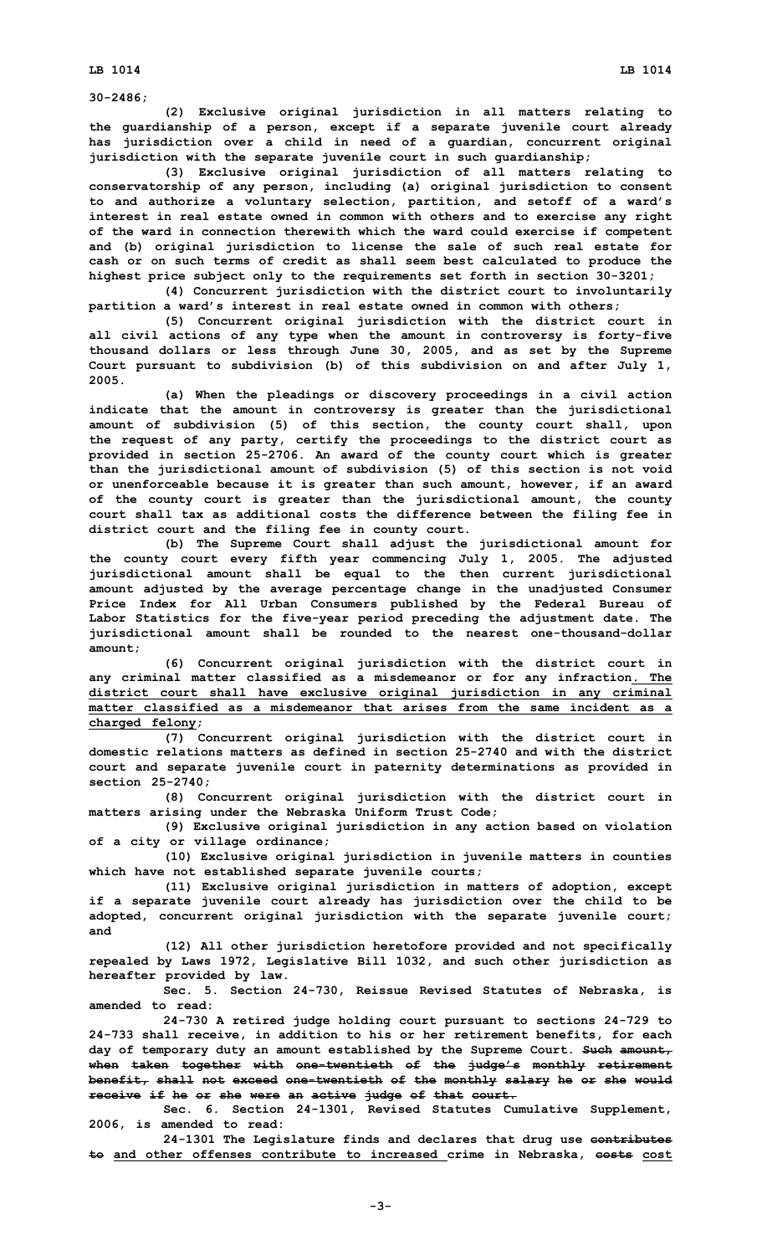**30-2486;**

**(2) Exclusive original jurisdiction in all matters relating to the guardianship of <sup>a</sup> person, except if <sup>a</sup> separate juvenile court already has jurisdiction over <sup>a</sup> child in need of <sup>a</sup> guardian, concurrent original jurisdiction with the separate juvenile court in such guardianship;**

**(3) Exclusive original jurisdiction of all matters relating to conservatorship of any person, including (a) original jurisdiction to consent to and authorize <sup>a</sup> voluntary selection, partition, and setoff of <sup>a</sup> ward's interest in real estate owned in common with others and to exercise any right of the ward in connection therewith which the ward could exercise if competent and (b) original jurisdiction to license the sale of such real estate for cash or on such terms of credit as shall seem best calculated to produce the highest price subject only to the requirements set forth in section 30-3201;**

**(4) Concurrent jurisdiction with the district court to involuntarily partition <sup>a</sup> ward's interest in real estate owned in common with others;**

**(5) Concurrent original jurisdiction with the district court in all civil actions of any type when the amount in controversy is forty-five thousand dollars or less through June 30, 2005, and as set by the Supreme Court pursuant to subdivision (b) of this subdivision on and after July 1, 2005.**

**(a) When the pleadings or discovery proceedings in <sup>a</sup> civil action indicate that the amount in controversy is greater than the jurisdictional amount of subdivision (5) of this section, the county court shall, upon the request of any party, certify the proceedings to the district court as provided in section 25-2706. An award of the county court which is greater than the jurisdictional amount of subdivision (5) of this section is not void or unenforceable because it is greater than such amount, however, if an award of the county court is greater than the jurisdictional amount, the county court shall tax as additional costs the difference between the filing fee in district court and the filing fee in county court.**

**(b) The Supreme Court shall adjust the jurisdictional amount for the county court every fifth year commencing July 1, 2005. The adjusted jurisdictional amount shall be equal to the then current jurisdictional amount adjusted by the average percentage change in the unadjusted Consumer Price Index for All Urban Consumers published by the Federal Bureau of Labor Statistics for the five-year period preceding the adjustment date. The jurisdictional amount shall be rounded to the nearest one-thousand-dollar amount;**

**(6) Concurrent original jurisdiction with the district court in any criminal matter classified as <sup>a</sup> misdemeanor or for any infraction. The district court shall have exclusive original jurisdiction in any criminal matter classified as a misdemeanor that arises from the same incident as a charged felony;**

**(7) Concurrent original jurisdiction with the district court in domestic relations matters as defined in section 25-2740 and with the district court and separate juvenile court in paternity determinations as provided in section 25-2740;**

**(8) Concurrent original jurisdiction with the district court in matters arising under the Nebraska Uniform Trust Code;**

**(9) Exclusive original jurisdiction in any action based on violation of <sup>a</sup> city or village ordinance;**

**(10) Exclusive original jurisdiction in juvenile matters in counties which have not established separate juvenile courts;**

**(11) Exclusive original jurisdiction in matters of adoption, except if <sup>a</sup> separate juvenile court already has jurisdiction over the child to be adopted, concurrent original jurisdiction with the separate juvenile court; and**

**(12) All other jurisdiction heretofore provided and not specifically repealed by Laws 1972, Legislative Bill 1032, and such other jurisdiction as hereafter provided by law.**

**Sec. 5. Section 24-730, Reissue Revised Statutes of Nebraska, is amended to read:**

**24-730 <sup>A</sup> retired judge holding court pursuant to sections 24-729 to 24-733 shall receive, in addition to his or her retirement benefits, for each day of temporary duty an amount established by the Supreme Court. Such amount, when taken together with one-twentieth of the judge's monthly retirement benefit, shall not exceed one-twentieth of the monthly salary he or she would receive if he or she were an active judge of that court.**

**Sec. 6. Section 24-1301, Revised Statutes Cumulative Supplement, 2006, is amended to read:**

**24-1301 The Legislature finds and declares that drug use contributes to and other offenses contribute to increased crime in Nebraska, costs cost**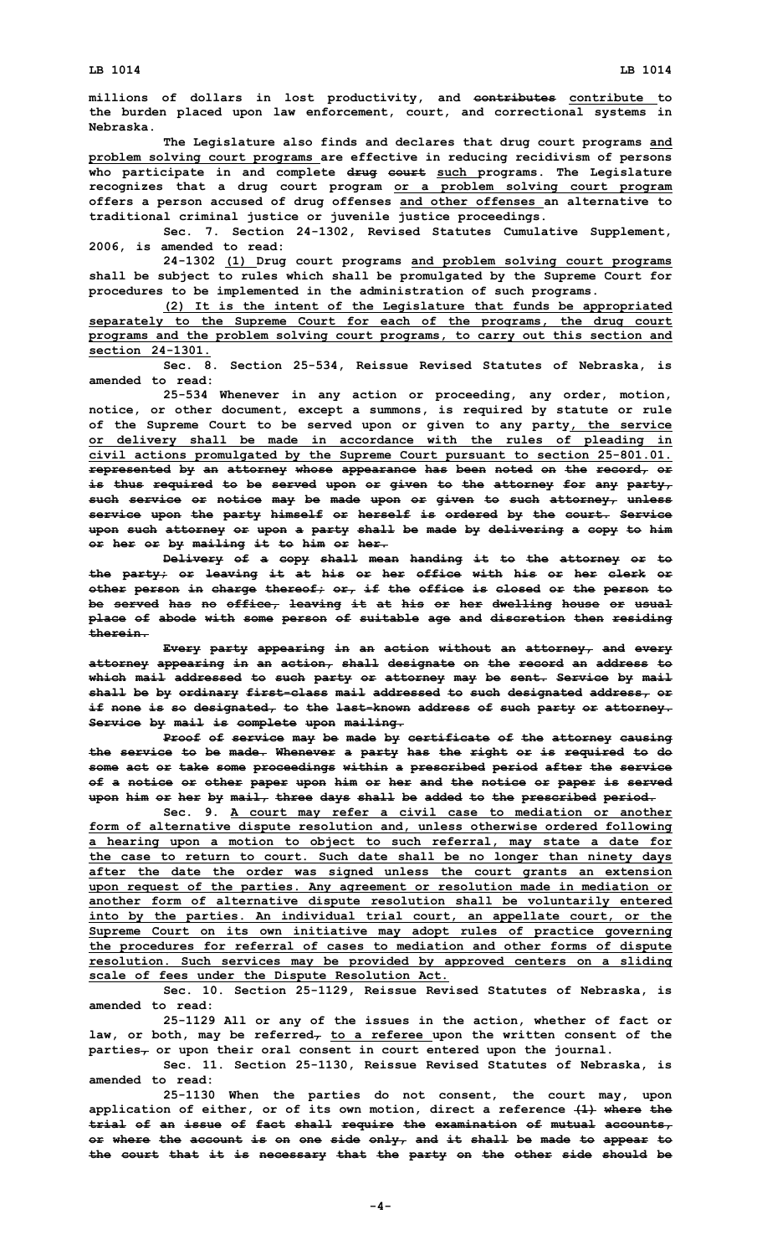**millions of dollars in lost productivity, and contributes contribute to the burden placed upon law enforcement, court, and correctional systems in Nebraska.**

**The Legislature also finds and declares that drug court programs and problem solving court programs are effective in reducing recidivism of persons who participate in and complete drug court such programs. The Legislature recognizes that <sup>a</sup> drug court program or <sup>a</sup> problem solving court program offers <sup>a</sup> person accused of drug offenses and other offenses an alternative to traditional criminal justice or juvenile justice proceedings.**

**Sec. 7. Section 24-1302, Revised Statutes Cumulative Supplement, 2006, is amended to read:**

**24-1302 (1) Drug court programs and problem solving court programs shall be subject to rules which shall be promulgated by the Supreme Court for procedures to be implemented in the administration of such programs.**

**(2) It is the intent of the Legislature that funds be appropriated separately to the Supreme Court for each of the programs, the drug court programs and the problem solving court programs, to carry out this section and section 24-1301.**

**Sec. 8. Section 25-534, Reissue Revised Statutes of Nebraska, is amended to read:**

**25-534 Whenever in any action or proceeding, any order, motion, notice, or other document, except <sup>a</sup> summons, is required by statute or rule of the Supreme Court to be served upon or given to any party, the service or delivery shall be made in accordance with the rules of pleading in civil actions promulgated by the Supreme Court pursuant to section 25-801.01. represented by an attorney whose appearance has been noted on the record, or is thus required to be served upon or given to the attorney for any party, such service or notice may be made upon or given to such attorney, unless service upon the party himself or herself is ordered by the court. Service upon such attorney or upon <sup>a</sup> party shall be made by delivering <sup>a</sup> copy to him or her or by mailing it to him or her.**

**Delivery of <sup>a</sup> copy shall mean handing it to the attorney or to the party; or leaving it at his or her office with his or her clerk or other person in charge thereof; or, if the office is closed or the person to be served has no office, leaving it at his or her dwelling house or usual place of abode with some person of suitable age and discretion then residing therein.**

**Every party appearing in an action without an attorney, and every attorney appearing in an action, shall designate on the record an address to which mail addressed to such party or attorney may be sent. Service by mail shall be by ordinary first-class mail addressed to such designated address, or if none is so designated, to the last-known address of such party or attorney. Service by mail is complete upon mailing.**

**Proof of service may be made by certificate of the attorney causing the service to be made. Whenever <sup>a</sup> party has the right or is required to do some act or take some proceedings within <sup>a</sup> prescribed period after the service of <sup>a</sup> notice or other paper upon him or her and the notice or paper is served upon him or her by mail, three days shall be added to the prescribed period.**

**Sec. 9. <sup>A</sup> court may refer <sup>a</sup> civil case to mediation or another form of alternative dispute resolution and, unless otherwise ordered following <sup>a</sup> hearing upon <sup>a</sup> motion to object to such referral, may state <sup>a</sup> date for the case to return to court. Such date shall be no longer than ninety days after the date the order was signed unless the court grants an extension upon request of the parties. Any agreement or resolution made in mediation or another form of alternative dispute resolution shall be voluntarily entered into by the parties. An individual trial court, an appellate court, or the Supreme Court on its own initiative may adopt rules of practice governing the procedures for referral of cases to mediation and other forms of dispute resolution. Such services may be provided by approved centers on <sup>a</sup> sliding scale of fees under the Dispute Resolution Act.**

**Sec. 10. Section 25-1129, Reissue Revised Statutes of Nebraska, is amended to read:**

**25-1129 All or any of the issues in the action, whether of fact or law, or both, may be referred, to <sup>a</sup> referee upon the written consent of the parties, or upon their oral consent in court entered upon the journal.**

**Sec. 11. Section 25-1130, Reissue Revised Statutes of Nebraska, is amended to read:**

**25-1130 When the parties do not consent, the court may, upon application of either, or of its own motion, direct <sup>a</sup> reference (1) where the trial of an issue of fact shall require the examination of mutual accounts, or where the account is on one side only, and it shall be made to appear to the court that it is necessary that the party on the other side should be**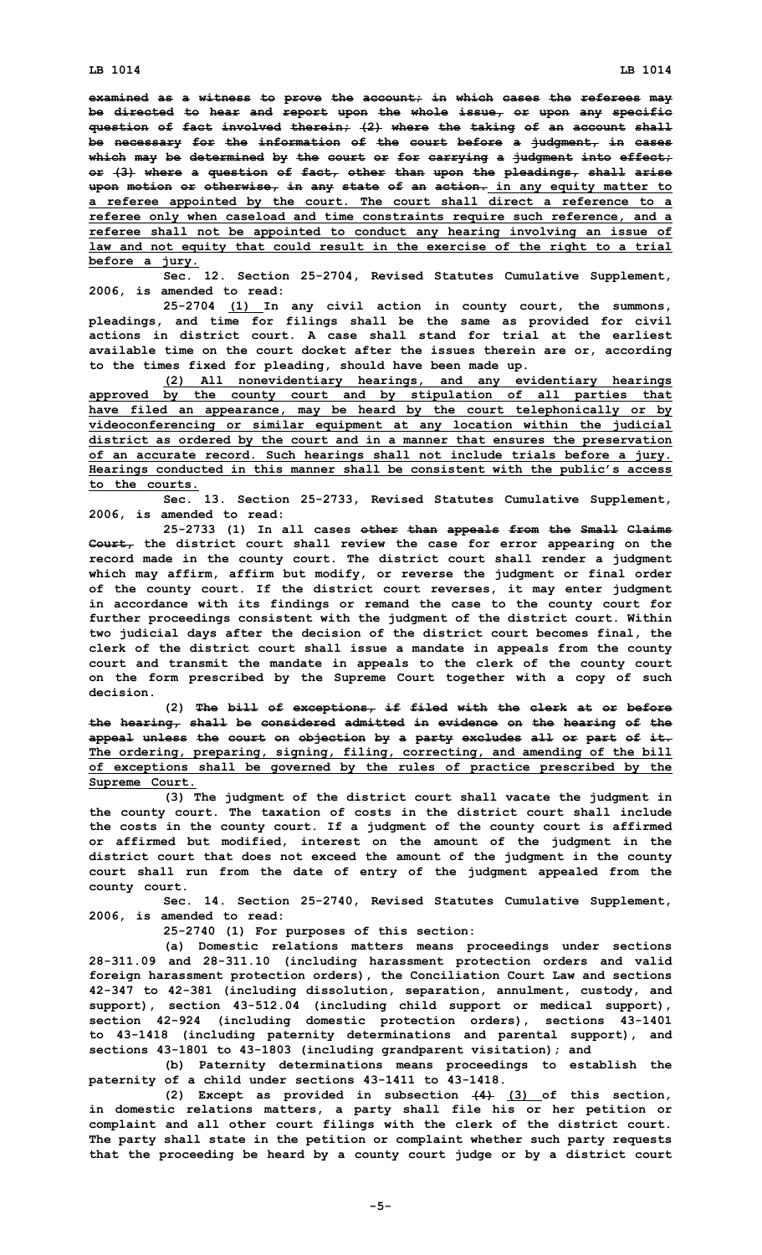## **LB 1014 LB 1014**

**examined as <sup>a</sup> witness to prove the account; in which cases the referees may be directed to hear and report upon the whole issue, or upon any specific question of fact involved therein; (2) where the taking of an account shall be necessary for the information of the court before <sup>a</sup> judgment, in cases which may be determined by the court or for carrying <sup>a</sup> judgment into effect; or (3) where <sup>a</sup> question of fact, other than upon the pleadings, shall arise upon motion or otherwise, in any state of an action. in any equity matter to <sup>a</sup> referee appointed by the court. The court shall direct <sup>a</sup> reference to <sup>a</sup> referee only when caseload and time constraints require such reference, and <sup>a</sup> referee shall not be appointed to conduct any hearing involving an issue of law and not equity that could result in the exercise of the right to <sup>a</sup> trial before <sup>a</sup> jury.**

**Sec. 12. Section 25-2704, Revised Statutes Cumulative Supplement, 2006, is amended to read:**

**25-2704 (1) In any civil action in county court, the summons, pleadings, and time for filings shall be the same as provided for civil actions in district court. A case shall stand for trial at the earliest available time on the court docket after the issues therein are or, according to the times fixed for pleading, should have been made up.**

**(2) All nonevidentiary hearings, and any evidentiary hearings approved by the county court and by stipulation of all parties that have filed an appearance, may be heard by the court telephonically or by videoconferencing or similar equipment at any location within the judicial district as ordered by the court and in <sup>a</sup> manner that ensures the preservation of an accurate record. Such hearings shall not include trials before <sup>a</sup> jury. Hearings conducted in this manner shall be consistent with the public's access to the courts.**

**Sec. 13. Section 25-2733, Revised Statutes Cumulative Supplement, 2006, is amended to read:**

**25-2733 (1) In all cases other than appeals from the Small Claims Court, the district court shall review the case for error appearing on the record made in the county court. The district court shall render <sup>a</sup> judgment which may affirm, affirm but modify, or reverse the judgment or final order of the county court. If the district court reverses, it may enter judgment in accordance with its findings or remand the case to the county court for further proceedings consistent with the judgment of the district court. Within two judicial days after the decision of the district court becomes final, the clerk of the district court shall issue <sup>a</sup> mandate in appeals from the county court and transmit the mandate in appeals to the clerk of the county court on the form prescribed by the Supreme Court together with <sup>a</sup> copy of such decision.**

**(2) The bill of exceptions, if filed with the clerk at or before the hearing, shall be considered admitted in evidence on the hearing of the appeal unless the court on objection by <sup>a</sup> party excludes all or part of it. The ordering, preparing, signing, filing, correcting, and amending of the bill of exceptions shall be governed by the rules of practice prescribed by the Supreme Court.**

**(3) The judgment of the district court shall vacate the judgment in the county court. The taxation of costs in the district court shall include the costs in the county court. If <sup>a</sup> judgment of the county court is affirmed or affirmed but modified, interest on the amount of the judgment in the district court that does not exceed the amount of the judgment in the county court shall run from the date of entry of the judgment appealed from the county court.**

**Sec. 14. Section 25-2740, Revised Statutes Cumulative Supplement, 2006, is amended to read:**

**25-2740 (1) For purposes of this section:**

**(a) Domestic relations matters means proceedings under sections 28-311.09 and 28-311.10 (including harassment protection orders and valid foreign harassment protection orders), the Conciliation Court Law and sections 42-347 to 42-381 (including dissolution, separation, annulment, custody, and support), section 43-512.04 (including child support or medical support), section 42-924 (including domestic protection orders), sections 43-1401 to 43-1418 (including paternity determinations and parental support), and sections 43-1801 to 43-1803 (including grandparent visitation); and**

**(b) Paternity determinations means proceedings to establish the paternity of <sup>a</sup> child under sections 43-1411 to 43-1418.**

**(2) Except as provided in subsection (4) (3) of this section, in domestic relations matters, <sup>a</sup> party shall file his or her petition or complaint and all other court filings with the clerk of the district court. The party shall state in the petition or complaint whether such party requests that the proceeding be heard by <sup>a</sup> county court judge or by <sup>a</sup> district court**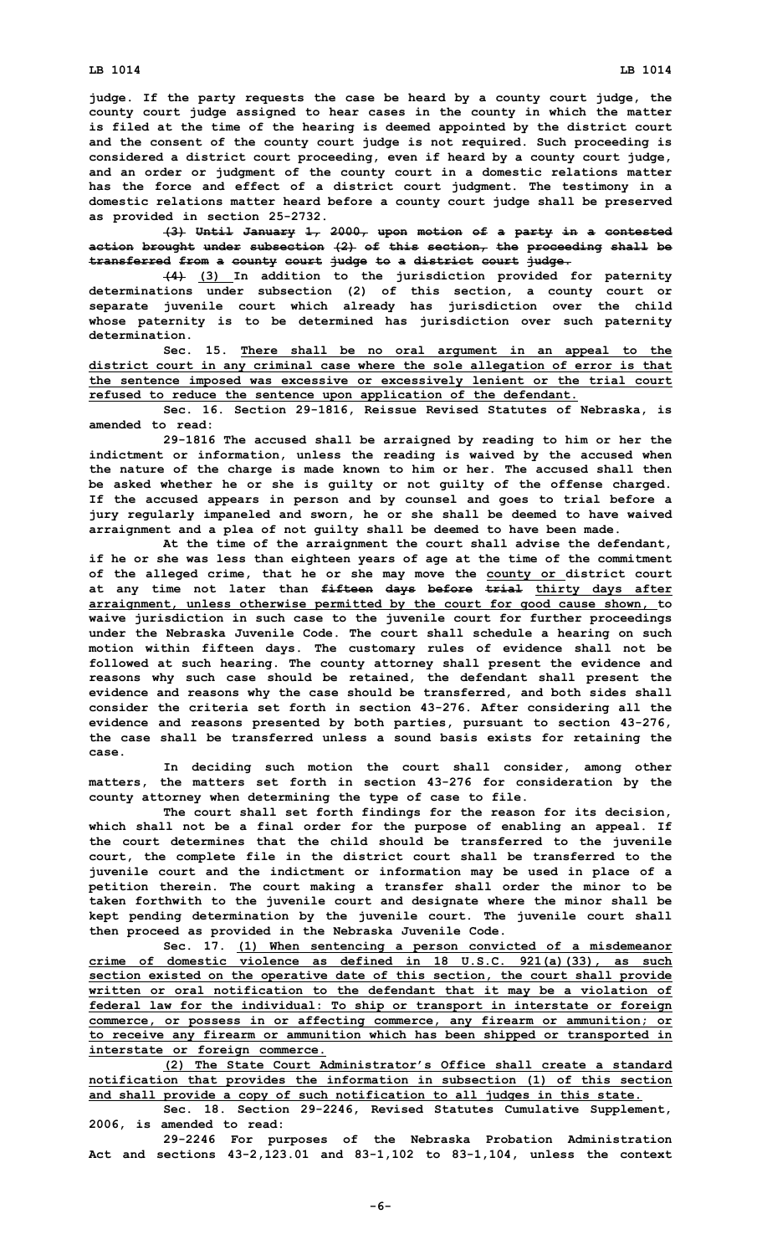**judge. If the party requests the case be heard by <sup>a</sup> county court judge, the county court judge assigned to hear cases in the county in which the matter is filed at the time of the hearing is deemed appointed by the district court and the consent of the county court judge is not required. Such proceeding is considered <sup>a</sup> district court proceeding, even if heard by <sup>a</sup> county court judge, and an order or judgment of the county court in <sup>a</sup> domestic relations matter has the force and effect of <sup>a</sup> district court judgment. The testimony in <sup>a</sup> domestic relations matter heard before <sup>a</sup> county court judge shall be preserved as provided in section 25-2732.**

**(3) Until January 1, 2000, upon motion of <sup>a</sup> party in <sup>a</sup> contested action brought under subsection (2) of this section, the proceeding shall be transferred from <sup>a</sup> county court judge to <sup>a</sup> district court judge.**

**(4) (3) In addition to the jurisdiction provided for paternity determinations under subsection (2) of this section, <sup>a</sup> county court or separate juvenile court which already has jurisdiction over the child whose paternity is to be determined has jurisdiction over such paternity determination.**

**Sec. 15. There shall be no oral argument in an appeal to the district court in any criminal case where the sole allegation of error is that the sentence imposed was excessive or excessively lenient or the trial court refused to reduce the sentence upon application of the defendant.**

**Sec. 16. Section 29-1816, Reissue Revised Statutes of Nebraska, is amended to read:**

**29-1816 The accused shall be arraigned by reading to him or her the indictment or information, unless the reading is waived by the accused when the nature of the charge is made known to him or her. The accused shall then be asked whether he or she is guilty or not guilty of the offense charged. If the accused appears in person and by counsel and goes to trial before <sup>a</sup> jury regularly impaneled and sworn, he or she shall be deemed to have waived arraignment and <sup>a</sup> plea of not guilty shall be deemed to have been made.**

**At the time of the arraignment the court shall advise the defendant, if he or she was less than eighteen years of age at the time of the commitment of the alleged crime, that he or she may move the county or district court at any time not later than fifteen days before trial thirty days after arraignment, unless otherwise permitted by the court for good cause shown, to waive jurisdiction in such case to the juvenile court for further proceedings under the Nebraska Juvenile Code. The court shall schedule <sup>a</sup> hearing on such motion within fifteen days. The customary rules of evidence shall not be followed at such hearing. The county attorney shall present the evidence and reasons why such case should be retained, the defendant shall present the evidence and reasons why the case should be transferred, and both sides shall consider the criteria set forth in section 43-276. After considering all the evidence and reasons presented by both parties, pursuant to section 43-276, the case shall be transferred unless <sup>a</sup> sound basis exists for retaining the case.**

**In deciding such motion the court shall consider, among other matters, the matters set forth in section 43-276 for consideration by the county attorney when determining the type of case to file.**

**The court shall set forth findings for the reason for its decision, which shall not be <sup>a</sup> final order for the purpose of enabling an appeal. If the court determines that the child should be transferred to the juvenile court, the complete file in the district court shall be transferred to the juvenile court and the indictment or information may be used in place of <sup>a</sup> petition therein. The court making <sup>a</sup> transfer shall order the minor to be taken forthwith to the juvenile court and designate where the minor shall be kept pending determination by the juvenile court. The juvenile court shall then proceed as provided in the Nebraska Juvenile Code.**

**Sec. 17. (1) When sentencing <sup>a</sup> person convicted of <sup>a</sup> misdemeanor crime of domestic violence as defined in 18 U.S.C. 921(a)(33), as such section existed on the operative date of this section, the court shall provide written or oral notification to the defendant that it may be <sup>a</sup> violation of federal law for the individual: To ship or transport in interstate or foreign commerce, or possess in or affecting commerce, any firearm or ammunition; or to receive any firearm or ammunition which has been shipped or transported in interstate or foreign commerce.**

**(2) The State Court Administrator's Office shall create <sup>a</sup> standard notification that provides the information in subsection (1) of this section and shall provide <sup>a</sup> copy of such notification to all judges in this state.**

**Sec. 18. Section 29-2246, Revised Statutes Cumulative Supplement, 2006, is amended to read:**

**29-2246 For purposes of the Nebraska Probation Administration Act and sections 43-2,123.01 and 83-1,102 to 83-1,104, unless the context**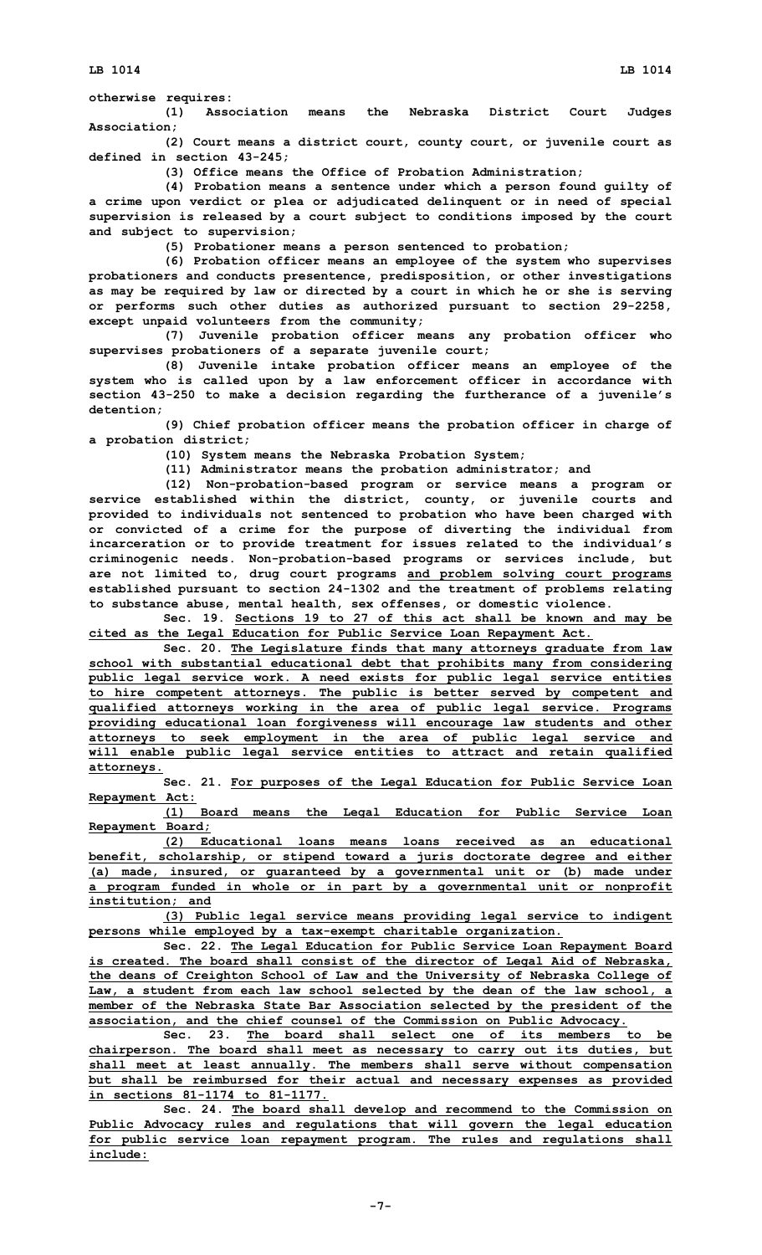**(1) Association means the Nebraska District Court Judges Association;**

**(2) Court means <sup>a</sup> district court, county court, or juvenile court as defined in section 43-245;**

**(3) Office means the Office of Probation Administration;**

**(4) Probation means <sup>a</sup> sentence under which <sup>a</sup> person found guilty of <sup>a</sup> crime upon verdict or plea or adjudicated delinquent or in need of special supervision is released by <sup>a</sup> court subject to conditions imposed by the court and subject to supervision;**

**(5) Probationer means <sup>a</sup> person sentenced to probation;**

**(6) Probation officer means an employee of the system who supervises probationers and conducts presentence, predisposition, or other investigations as may be required by law or directed by <sup>a</sup> court in which he or she is serving or performs such other duties as authorized pursuant to section 29-2258, except unpaid volunteers from the community;**

**(7) Juvenile probation officer means any probation officer who supervises probationers of <sup>a</sup> separate juvenile court;**

**(8) Juvenile intake probation officer means an employee of the system who is called upon by <sup>a</sup> law enforcement officer in accordance with section 43-250 to make <sup>a</sup> decision regarding the furtherance of <sup>a</sup> juvenile's detention;**

**(9) Chief probation officer means the probation officer in charge of <sup>a</sup> probation district;**

**(10) System means the Nebraska Probation System;**

**(11) Administrator means the probation administrator; and**

**(12) Non-probation-based program or service means <sup>a</sup> program or service established within the district, county, or juvenile courts and provided to individuals not sentenced to probation who have been charged with or convicted of <sup>a</sup> crime for the purpose of diverting the individual from incarceration or to provide treatment for issues related to the individual's criminogenic needs. Non-probation-based programs or services include, but are not limited to, drug court programs and problem solving court programs established pursuant to section 24-1302 and the treatment of problems relating to substance abuse, mental health, sex offenses, or domestic violence.**

**Sec. 19. Sections 19 to 27 of this act shall be known and may be cited as the Legal Education for Public Service Loan Repayment Act.**

**Sec. 20. The Legislature finds that many attorneys graduate from law school with substantial educational debt that prohibits many from considering public legal service work. A need exists for public legal service entities to hire competent attorneys. The public is better served by competent and qualified attorneys working in the area of public legal service. Programs providing educational loan forgiveness will encourage law students and other attorneys to seek employment in the area of public legal service and will enable public legal service entities to attract and retain qualified attorneys.**

**Sec. 21. For purposes of the Legal Education for Public Service Loan Repayment Act:**

**(1) Board means the Legal Education for Public Service Loan Repayment Board;**

**(2) Educational loans means loans received as an educational benefit, scholarship, or stipend toward <sup>a</sup> juris doctorate degree and either (a) made, insured, or guaranteed by <sup>a</sup> governmental unit or (b) made under <sup>a</sup> program funded in whole or in part by <sup>a</sup> governmental unit or nonprofit institution; and**

**(3) Public legal service means providing legal service to indigent persons while employed by <sup>a</sup> tax-exempt charitable organization.**

**Sec. 22. The Legal Education for Public Service Loan Repayment Board is created. The board shall consist of the director of Legal Aid of Nebraska, the deans of Creighton School of Law and the University of Nebraska College of Law, <sup>a</sup> student from each law school selected by the dean of the law school, <sup>a</sup> member of the Nebraska State Bar Association selected by the president of the association, and the chief counsel of the Commission on Public Advocacy.**

**Sec. 23. The board shall select one of its members to be chairperson. The board shall meet as necessary to carry out its duties, but shall meet at least annually. The members shall serve without compensation but shall be reimbursed for their actual and necessary expenses as provided in sections 81-1174 to 81-1177.**

**Sec. 24. The board shall develop and recommend to the Commission on Public Advocacy rules and regulations that will govern the legal education for public service loan repayment program. The rules and regulations shall include:**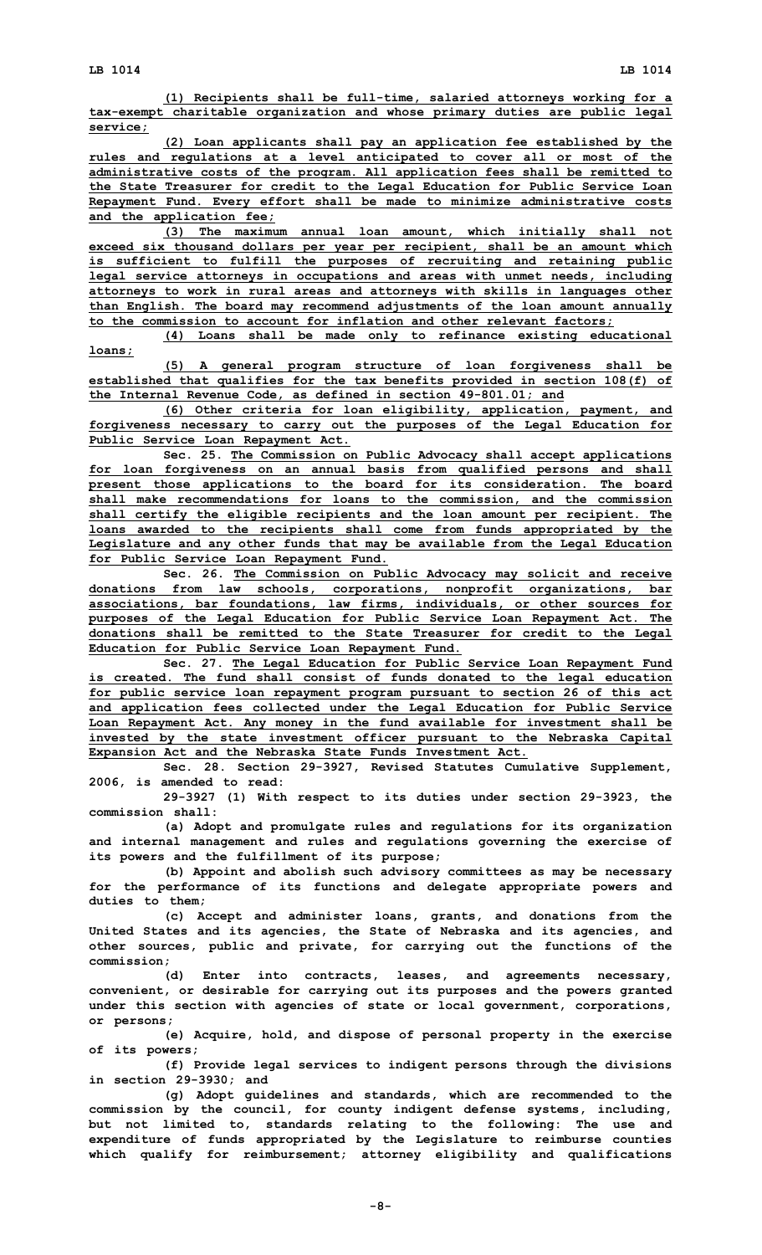**(1) Recipients shall be full-time, salaried attorneys working for <sup>a</sup> tax-exempt charitable organization and whose primary duties are public legal service;**

**(2) Loan applicants shall pay an application fee established by the rules and regulations at <sup>a</sup> level anticipated to cover all or most of the administrative costs of the program. All application fees shall be remitted to the State Treasurer for credit to the Legal Education for Public Service Loan Repayment Fund. Every effort shall be made to minimize administrative costs and the application fee;**

**(3) The maximum annual loan amount, which initially shall not exceed six thousand dollars per year per recipient, shall be an amount which is sufficient to fulfill the purposes of recruiting and retaining public legal service attorneys in occupations and areas with unmet needs, including attorneys to work in rural areas and attorneys with skills in languages other than English. The board may recommend adjustments of the loan amount annually to the commission to account for inflation and other relevant factors;**

**(4) Loans shall be made only to refinance existing educational loans;**

**(5) <sup>A</sup> general program structure of loan forgiveness shall be established that qualifies for the tax benefits provided in section 108(f) of the Internal Revenue Code, as defined in section 49-801.01; and**

**(6) Other criteria for loan eligibility, application, payment, and forgiveness necessary to carry out the purposes of the Legal Education for Public Service Loan Repayment Act.**

**Sec. 25. The Commission on Public Advocacy shall accept applications for loan forgiveness on an annual basis from qualified persons and shall present those applications to the board for its consideration. The board shall make recommendations for loans to the commission, and the commission shall certify the eligible recipients and the loan amount per recipient. The loans awarded to the recipients shall come from funds appropriated by the Legislature and any other funds that may be available from the Legal Education for Public Service Loan Repayment Fund.**

**Sec. 26. The Commission on Public Advocacy may solicit and receive donations from law schools, corporations, nonprofit organizations, bar associations, bar foundations, law firms, individuals, or other sources for purposes of the Legal Education for Public Service Loan Repayment Act. The donations shall be remitted to the State Treasurer for credit to the Legal Education for Public Service Loan Repayment Fund.**

**Sec. 27. The Legal Education for Public Service Loan Repayment Fund is created. The fund shall consist of funds donated to the legal education for public service loan repayment program pursuant to section 26 of this act and application fees collected under the Legal Education for Public Service Loan Repayment Act. Any money in the fund available for investment shall be invested by the state investment officer pursuant to the Nebraska Capital Expansion Act and the Nebraska State Funds Investment Act.**

**Sec. 28. Section 29-3927, Revised Statutes Cumulative Supplement, 2006, is amended to read:**

**29-3927 (1) With respect to its duties under section 29-3923, the commission shall:**

**(a) Adopt and promulgate rules and regulations for its organization and internal management and rules and regulations governing the exercise of its powers and the fulfillment of its purpose;**

**(b) Appoint and abolish such advisory committees as may be necessary for the performance of its functions and delegate appropriate powers and duties to them;**

**(c) Accept and administer loans, grants, and donations from the United States and its agencies, the State of Nebraska and its agencies, and other sources, public and private, for carrying out the functions of the commission;**

**(d) Enter into contracts, leases, and agreements necessary, convenient, or desirable for carrying out its purposes and the powers granted under this section with agencies of state or local government, corporations, or persons;**

**(e) Acquire, hold, and dispose of personal property in the exercise of its powers;**

**(f) Provide legal services to indigent persons through the divisions in section 29-3930; and**

**(g) Adopt guidelines and standards, which are recommended to the commission by the council, for county indigent defense systems, including, but not limited to, standards relating to the following: The use and expenditure of funds appropriated by the Legislature to reimburse counties which qualify for reimbursement; attorney eligibility and qualifications**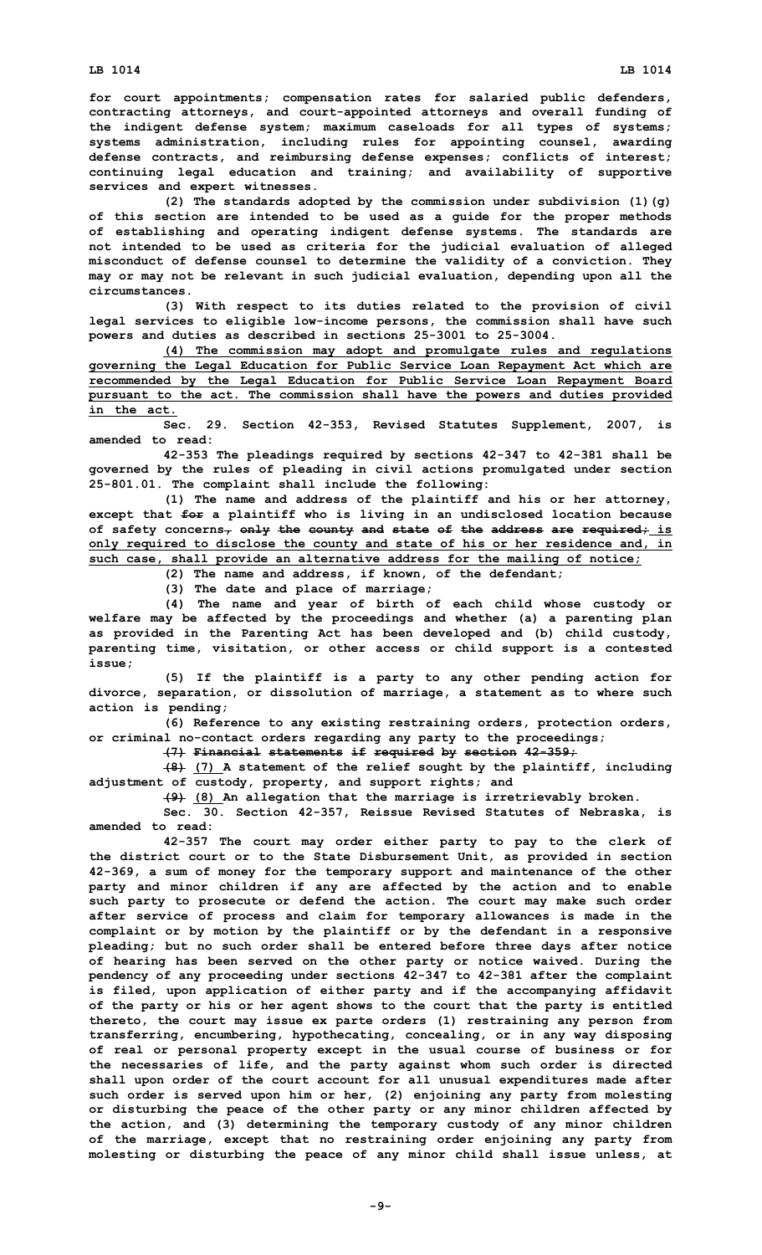**for court appointments; compensation rates for salaried public defenders, contracting attorneys, and court-appointed attorneys and overall funding of the indigent defense system; maximum caseloads for all types of systems; systems administration, including rules for appointing counsel, awarding defense contracts, and reimbursing defense expenses; conflicts of interest; continuing legal education and training; and availability of supportive services and expert witnesses.**

**(2) The standards adopted by the commission under subdivision (1)(g) of this section are intended to be used as <sup>a</sup> guide for the proper methods of establishing and operating indigent defense systems. The standards are not intended to be used as criteria for the judicial evaluation of alleged misconduct of defense counsel to determine the validity of <sup>a</sup> conviction. They may or may not be relevant in such judicial evaluation, depending upon all the circumstances.**

**(3) With respect to its duties related to the provision of civil legal services to eligible low-income persons, the commission shall have such powers and duties as described in sections 25-3001 to 25-3004.**

**(4) The commission may adopt and promulgate rules and regulations governing the Legal Education for Public Service Loan Repayment Act which are recommended by the Legal Education for Public Service Loan Repayment Board pursuant to the act. The commission shall have the powers and duties provided in the act.**

**Sec. 29. Section 42-353, Revised Statutes Supplement, 2007, is amended to read:**

**42-353 The pleadings required by sections 42-347 to 42-381 shall be governed by the rules of pleading in civil actions promulgated under section 25-801.01. The complaint shall include the following:**

**(1) The name and address of the plaintiff and his or her attorney, except that for <sup>a</sup> plaintiff who is living in an undisclosed location because of safety concerns, only the county and state of the address are required; is only required to disclose the county and state of his or her residence and, in such case, shall provide an alternative address for the mailing of notice;**

**(2) The name and address, if known, of the defendant;**

**(3) The date and place of marriage;**

**(4) The name and year of birth of each child whose custody or welfare may be affected by the proceedings and whether (a) <sup>a</sup> parenting plan as provided in the Parenting Act has been developed and (b) child custody, parenting time, visitation, or other access or child support is <sup>a</sup> contested issue;**

**(5) If the plaintiff is <sup>a</sup> party to any other pending action for divorce, separation, or dissolution of marriage, <sup>a</sup> statement as to where such action is pending;**

**(6) Reference to any existing restraining orders, protection orders, or criminal no-contact orders regarding any party to the proceedings;**

**(7) Financial statements if required by section 42-359;**

**(8) (7) <sup>A</sup> statement of the relief sought by the plaintiff, including adjustment of custody, property, and support rights; and**

**(9) (8) An allegation that the marriage is irretrievably broken.**

**Sec. 30. Section 42-357, Reissue Revised Statutes of Nebraska, is amended to read:**

**42-357 The court may order either party to pay to the clerk of the district court or to the State Disbursement Unit, as provided in section 42-369, <sup>a</sup> sum of money for the temporary support and maintenance of the other party and minor children if any are affected by the action and to enable such party to prosecute or defend the action. The court may make such order after service of process and claim for temporary allowances is made in the complaint or by motion by the plaintiff or by the defendant in <sup>a</sup> responsive pleading; but no such order shall be entered before three days after notice of hearing has been served on the other party or notice waived. During the pendency of any proceeding under sections 42-347 to 42-381 after the complaint is filed, upon application of either party and if the accompanying affidavit of the party or his or her agent shows to the court that the party is entitled thereto, the court may issue ex parte orders (1) restraining any person from transferring, encumbering, hypothecating, concealing, or in any way disposing of real or personal property except in the usual course of business or for the necessaries of life, and the party against whom such order is directed shall upon order of the court account for all unusual expenditures made after such order is served upon him or her, (2) enjoining any party from molesting or disturbing the peace of the other party or any minor children affected by the action, and (3) determining the temporary custody of any minor children of the marriage, except that no restraining order enjoining any party from molesting or disturbing the peace of any minor child shall issue unless, at**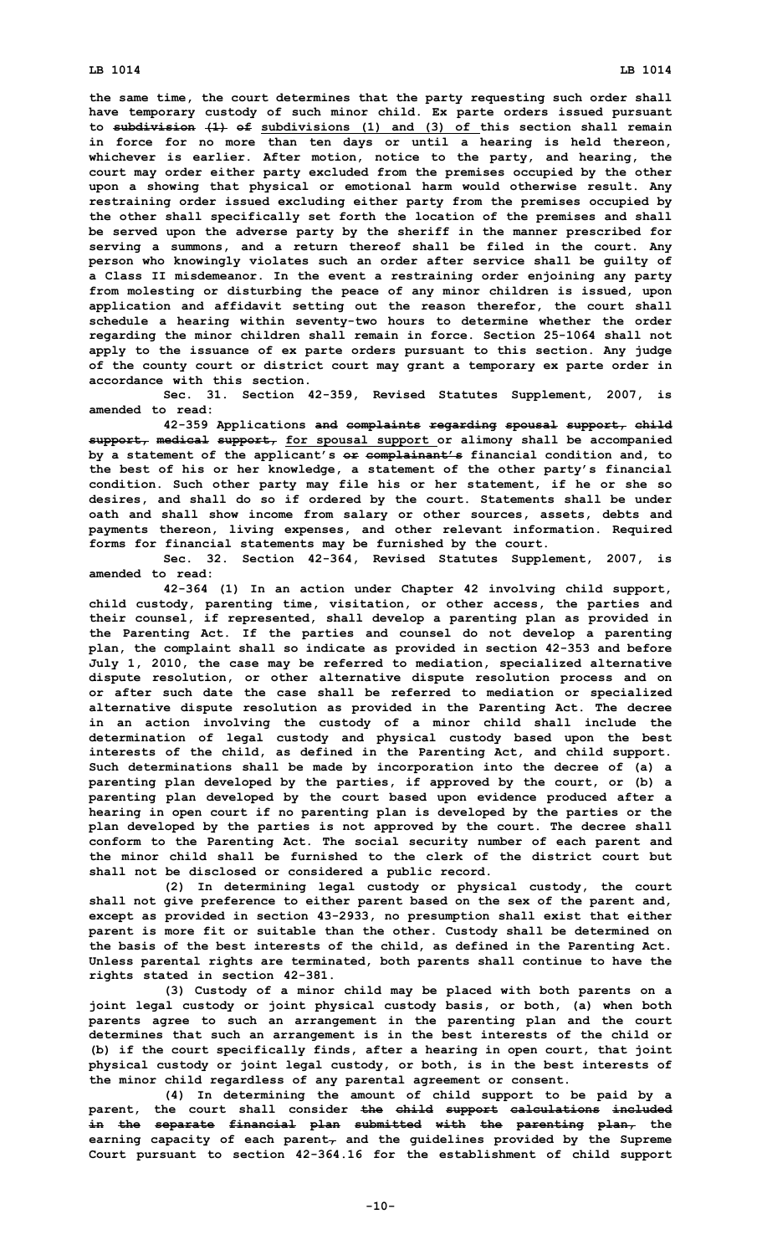**the same time, the court determines that the party requesting such order shall have temporary custody of such minor child. Ex parte orders issued pursuant to subdivision (1) of subdivisions (1) and (3) of this section shall remain in force for no more than ten days or until <sup>a</sup> hearing is held thereon, whichever is earlier. After motion, notice to the party, and hearing, the court may order either party excluded from the premises occupied by the other upon <sup>a</sup> showing that physical or emotional harm would otherwise result. Any restraining order issued excluding either party from the premises occupied by the other shall specifically set forth the location of the premises and shall be served upon the adverse party by the sheriff in the manner prescribed for serving <sup>a</sup> summons, and <sup>a</sup> return thereof shall be filed in the court. Any person who knowingly violates such an order after service shall be guilty of <sup>a</sup> Class II misdemeanor. In the event <sup>a</sup> restraining order enjoining any party from molesting or disturbing the peace of any minor children is issued, upon application and affidavit setting out the reason therefor, the court shall schedule <sup>a</sup> hearing within seventy-two hours to determine whether the order regarding the minor children shall remain in force. Section 25-1064 shall not apply to the issuance of ex parte orders pursuant to this section. Any judge of the county court or district court may grant <sup>a</sup> temporary ex parte order in accordance with this section.**

**Sec. 31. Section 42-359, Revised Statutes Supplement, 2007, is amended to read:**

**42-359 Applications and complaints regarding spousal support, child support, medical support, for spousal support or alimony shall be accompanied by <sup>a</sup> statement of the applicant's or complainant's financial condition and, to the best of his or her knowledge, <sup>a</sup> statement of the other party's financial condition. Such other party may file his or her statement, if he or she so desires, and shall do so if ordered by the court. Statements shall be under oath and shall show income from salary or other sources, assets, debts and payments thereon, living expenses, and other relevant information. Required forms for financial statements may be furnished by the court.**

**Sec. 32. Section 42-364, Revised Statutes Supplement, 2007, is amended to read:**

**42-364 (1) In an action under Chapter 42 involving child support, child custody, parenting time, visitation, or other access, the parties and their counsel, if represented, shall develop <sup>a</sup> parenting plan as provided in the Parenting Act. If the parties and counsel do not develop <sup>a</sup> parenting plan, the complaint shall so indicate as provided in section 42-353 and before July 1, 2010, the case may be referred to mediation, specialized alternative dispute resolution, or other alternative dispute resolution process and on or after such date the case shall be referred to mediation or specialized alternative dispute resolution as provided in the Parenting Act. The decree in an action involving the custody of <sup>a</sup> minor child shall include the determination of legal custody and physical custody based upon the best interests of the child, as defined in the Parenting Act, and child support. Such determinations shall be made by incorporation into the decree of (a) <sup>a</sup> parenting plan developed by the parties, if approved by the court, or (b) <sup>a</sup> parenting plan developed by the court based upon evidence produced after <sup>a</sup> hearing in open court if no parenting plan is developed by the parties or the plan developed by the parties is not approved by the court. The decree shall conform to the Parenting Act. The social security number of each parent and the minor child shall be furnished to the clerk of the district court but shall not be disclosed or considered <sup>a</sup> public record.**

**(2) In determining legal custody or physical custody, the court shall not give preference to either parent based on the sex of the parent and, except as provided in section 43-2933, no presumption shall exist that either parent is more fit or suitable than the other. Custody shall be determined on the basis of the best interests of the child, as defined in the Parenting Act. Unless parental rights are terminated, both parents shall continue to have the rights stated in section 42-381.**

**(3) Custody of <sup>a</sup> minor child may be placed with both parents on <sup>a</sup> joint legal custody or joint physical custody basis, or both, (a) when both parents agree to such an arrangement in the parenting plan and the court determines that such an arrangement is in the best interests of the child or (b) if the court specifically finds, after <sup>a</sup> hearing in open court, that joint physical custody or joint legal custody, or both, is in the best interests of the minor child regardless of any parental agreement or consent.**

**(4) In determining the amount of child support to be paid by <sup>a</sup> parent, the court shall consider the child support calculations included in the separate financial plan submitted with the parenting plan, the earning capacity of each parent, and the guidelines provided by the Supreme Court pursuant to section 42-364.16 for the establishment of child support**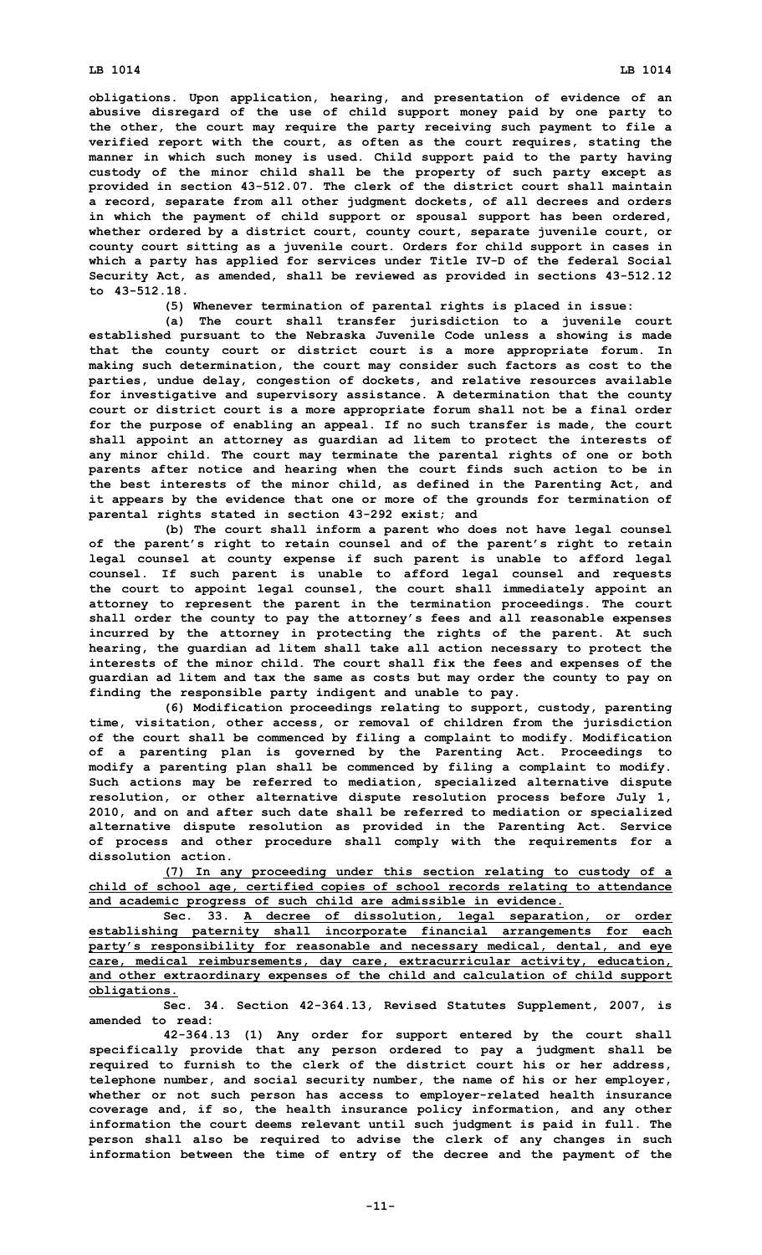## **LB 1014 LB 1014**

**obligations. Upon application, hearing, and presentation of evidence of an abusive disregard of the use of child support money paid by one party to the other, the court may require the party receiving such payment to file <sup>a</sup> verified report with the court, as often as the court requires, stating the manner in which such money is used. Child support paid to the party having custody of the minor child shall be the property of such party except as provided in section 43-512.07. The clerk of the district court shall maintain <sup>a</sup> record, separate from all other judgment dockets, of all decrees and orders in which the payment of child support or spousal support has been ordered, whether ordered by <sup>a</sup> district court, county court, separate juvenile court, or county court sitting as <sup>a</sup> juvenile court. Orders for child support in cases in which <sup>a</sup> party has applied for services under Title IV-D of the federal Social Security Act, as amended, shall be reviewed as provided in sections 43-512.12 to 43-512.18.**

**(5) Whenever termination of parental rights is placed in issue:**

**(a) The court shall transfer jurisdiction to <sup>a</sup> juvenile court established pursuant to the Nebraska Juvenile Code unless <sup>a</sup> showing is made that the county court or district court is <sup>a</sup> more appropriate forum. In making such determination, the court may consider such factors as cost to the parties, undue delay, congestion of dockets, and relative resources available for investigative and supervisory assistance. A determination that the county court or district court is <sup>a</sup> more appropriate forum shall not be <sup>a</sup> final order for the purpose of enabling an appeal. If no such transfer is made, the court shall appoint an attorney as guardian ad litem to protect the interests of any minor child. The court may terminate the parental rights of one or both parents after notice and hearing when the court finds such action to be in the best interests of the minor child, as defined in the Parenting Act, and it appears by the evidence that one or more of the grounds for termination of parental rights stated in section 43-292 exist; and**

**(b) The court shall inform <sup>a</sup> parent who does not have legal counsel of the parent's right to retain counsel and of the parent's right to retain legal counsel at county expense if such parent is unable to afford legal counsel. If such parent is unable to afford legal counsel and requests the court to appoint legal counsel, the court shall immediately appoint an attorney to represent the parent in the termination proceedings. The court shall order the county to pay the attorney's fees and all reasonable expenses incurred by the attorney in protecting the rights of the parent. At such hearing, the guardian ad litem shall take all action necessary to protect the interests of the minor child. The court shall fix the fees and expenses of the guardian ad litem and tax the same as costs but may order the county to pay on finding the responsible party indigent and unable to pay.**

**(6) Modification proceedings relating to support, custody, parenting time, visitation, other access, or removal of children from the jurisdiction of the court shall be commenced by filing <sup>a</sup> complaint to modify. Modification of <sup>a</sup> parenting plan is governed by the Parenting Act. Proceedings to modify <sup>a</sup> parenting plan shall be commenced by filing <sup>a</sup> complaint to modify. Such actions may be referred to mediation, specialized alternative dispute resolution, or other alternative dispute resolution process before July 1, 2010, and on and after such date shall be referred to mediation or specialized alternative dispute resolution as provided in the Parenting Act. Service of process and other procedure shall comply with the requirements for <sup>a</sup> dissolution action.**

**(7) In any proceeding under this section relating to custody of <sup>a</sup> child of school age, certified copies of school records relating to attendance and academic progress of such child are admissible in evidence.**

**Sec. 33. <sup>A</sup> decree of dissolution, legal separation, or order establishing paternity shall incorporate financial arrangements for each party's responsibility for reasonable and necessary medical, dental, and eye care, medical reimbursements, day care, extracurricular activity, education, and other extraordinary expenses of the child and calculation of child support obligations.**

**Sec. 34. Section 42-364.13, Revised Statutes Supplement, 2007, is amended to read:**

**42-364.13 (1) Any order for support entered by the court shall specifically provide that any person ordered to pay <sup>a</sup> judgment shall be required to furnish to the clerk of the district court his or her address, telephone number, and social security number, the name of his or her employer, whether or not such person has access to employer-related health insurance coverage and, if so, the health insurance policy information, and any other information the court deems relevant until such judgment is paid in full. The person shall also be required to advise the clerk of any changes in such information between the time of entry of the decree and the payment of the**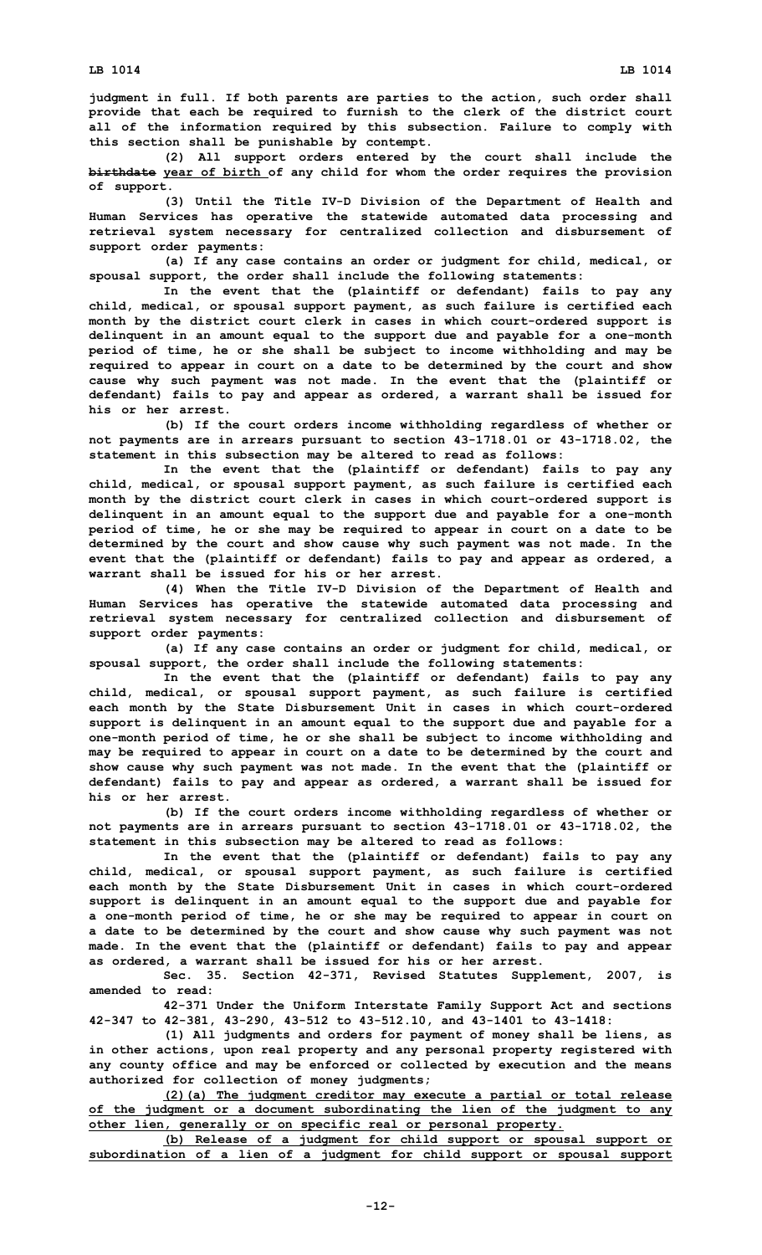**judgment in full. If both parents are parties to the action, such order shall provide that each be required to furnish to the clerk of the district court all of the information required by this subsection. Failure to comply with this section shall be punishable by contempt.**

**(2) All support orders entered by the court shall include the birthdate year of birth of any child for whom the order requires the provision of support.**

**(3) Until the Title IV-D Division of the Department of Health and Human Services has operative the statewide automated data processing and retrieval system necessary for centralized collection and disbursement of support order payments:**

**(a) If any case contains an order or judgment for child, medical, or spousal support, the order shall include the following statements:**

**In the event that the (plaintiff or defendant) fails to pay any child, medical, or spousal support payment, as such failure is certified each month by the district court clerk in cases in which court-ordered support is delinquent in an amount equal to the support due and payable for <sup>a</sup> one-month period of time, he or she shall be subject to income withholding and may be required to appear in court on <sup>a</sup> date to be determined by the court and show cause why such payment was not made. In the event that the (plaintiff or defendant) fails to pay and appear as ordered, <sup>a</sup> warrant shall be issued for his or her arrest.**

**(b) If the court orders income withholding regardless of whether or not payments are in arrears pursuant to section 43-1718.01 or 43-1718.02, the statement in this subsection may be altered to read as follows:**

**In the event that the (plaintiff or defendant) fails to pay any child, medical, or spousal support payment, as such failure is certified each month by the district court clerk in cases in which court-ordered support is delinquent in an amount equal to the support due and payable for <sup>a</sup> one-month period of time, he or she may be required to appear in court on <sup>a</sup> date to be determined by the court and show cause why such payment was not made. In the event that the (plaintiff or defendant) fails to pay and appear as ordered, <sup>a</sup> warrant shall be issued for his or her arrest.**

**(4) When the Title IV-D Division of the Department of Health and Human Services has operative the statewide automated data processing and retrieval system necessary for centralized collection and disbursement of support order payments:**

**(a) If any case contains an order or judgment for child, medical, or spousal support, the order shall include the following statements:**

**In the event that the (plaintiff or defendant) fails to pay any child, medical, or spousal support payment, as such failure is certified each month by the State Disbursement Unit in cases in which court-ordered support is delinquent in an amount equal to the support due and payable for <sup>a</sup> one-month period of time, he or she shall be subject to income withholding and may be required to appear in court on <sup>a</sup> date to be determined by the court and show cause why such payment was not made. In the event that the (plaintiff or defendant) fails to pay and appear as ordered, <sup>a</sup> warrant shall be issued for his or her arrest.**

**(b) If the court orders income withholding regardless of whether or not payments are in arrears pursuant to section 43-1718.01 or 43-1718.02, the statement in this subsection may be altered to read as follows:**

**In the event that the (plaintiff or defendant) fails to pay any child, medical, or spousal support payment, as such failure is certified each month by the State Disbursement Unit in cases in which court-ordered support is delinquent in an amount equal to the support due and payable for <sup>a</sup> one-month period of time, he or she may be required to appear in court on <sup>a</sup> date to be determined by the court and show cause why such payment was not made. In the event that the (plaintiff or defendant) fails to pay and appear as ordered, <sup>a</sup> warrant shall be issued for his or her arrest.**

**Sec. 35. Section 42-371, Revised Statutes Supplement, 2007, is amended to read:**

**42-371 Under the Uniform Interstate Family Support Act and sections 42-347 to 42-381, 43-290, 43-512 to 43-512.10, and 43-1401 to 43-1418:**

**(1) All judgments and orders for payment of money shall be liens, as in other actions, upon real property and any personal property registered with any county office and may be enforced or collected by execution and the means authorized for collection of money judgments;**

**(2)(a) The judgment creditor may execute <sup>a</sup> partial or total release of the judgment or <sup>a</sup> document subordinating the lien of the judgment to any other lien, generally or on specific real or personal property.**

**(b) Release of <sup>a</sup> judgment for child support or spousal support or subordination of <sup>a</sup> lien of <sup>a</sup> judgment for child support or spousal support**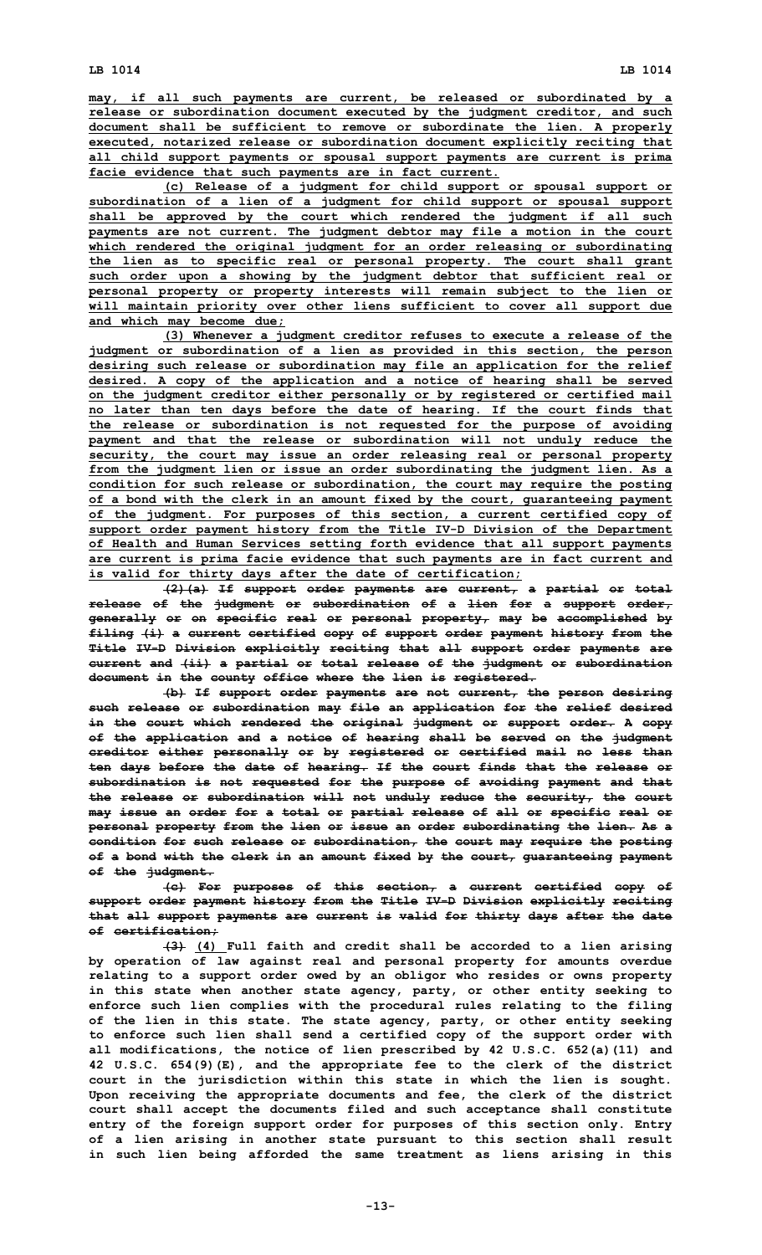**may, if all such payments are current, be released or subordinated by <sup>a</sup> release or subordination document executed by the judgment creditor, and such document shall be sufficient to remove or subordinate the lien. A properly executed, notarized release or subordination document explicitly reciting that all child support payments or spousal support payments are current is prima facie evidence that such payments are in fact current.**

**(c) Release of <sup>a</sup> judgment for child support or spousal support or subordination of <sup>a</sup> lien of <sup>a</sup> judgment for child support or spousal support shall be approved by the court which rendered the judgment if all such payments are not current. The judgment debtor may file <sup>a</sup> motion in the court which rendered the original judgment for an order releasing or subordinating the lien as to specific real or personal property. The court shall grant such order upon <sup>a</sup> showing by the judgment debtor that sufficient real or personal property or property interests will remain subject to the lien or will maintain priority over other liens sufficient to cover all support due and which may become due;**

**(3) Whenever <sup>a</sup> judgment creditor refuses to execute <sup>a</sup> release of the judgment or subordination of <sup>a</sup> lien as provided in this section, the person desiring such release or subordination may file an application for the relief desired. A copy of the application and <sup>a</sup> notice of hearing shall be served on the judgment creditor either personally or by registered or certified mail no later than ten days before the date of hearing. If the court finds that the release or subordination is not requested for the purpose of avoiding payment and that the release or subordination will not unduly reduce the security, the court may issue an order releasing real or personal property from the judgment lien or issue an order subordinating the judgment lien. As <sup>a</sup> condition for such release or subordination, the court may require the posting of <sup>a</sup> bond with the clerk in an amount fixed by the court, guaranteeing payment of the judgment. For purposes of this section, <sup>a</sup> current certified copy of support order payment history from the Title IV-D Division of the Department of Health and Human Services setting forth evidence that all support payments are current is prima facie evidence that such payments are in fact current and is valid for thirty days after the date of certification;**

**(2)(a) If support order payments are current, <sup>a</sup> partial or total release of the judgment or subordination of <sup>a</sup> lien for <sup>a</sup> support order, generally or on specific real or personal property, may be accomplished by filing (i) <sup>a</sup> current certified copy of support order payment history from the Title IV-D Division explicitly reciting that all support order payments are current and (ii) <sup>a</sup> partial or total release of the judgment or subordination document in the county office where the lien is registered.**

**(b) If support order payments are not current, the person desiring such release or subordination may file an application for the relief desired in the court which rendered the original judgment or support order. A copy of the application and <sup>a</sup> notice of hearing shall be served on the judgment creditor either personally or by registered or certified mail no less than ten days before the date of hearing. If the court finds that the release or subordination is not requested for the purpose of avoiding payment and that the release or subordination will not unduly reduce the security, the court may issue an order for <sup>a</sup> total or partial release of all or specific real or personal property from the lien or issue an order subordinating the lien. As <sup>a</sup> condition for such release or subordination, the court may require the posting of <sup>a</sup> bond with the clerk in an amount fixed by the court, guaranteeing payment of the judgment.**

**(c) For purposes of this section, <sup>a</sup> current certified copy of support order payment history from the Title IV-D Division explicitly reciting that all support payments are current is valid for thirty days after the date of certification;**

**(3) (4) Full faith and credit shall be accorded to <sup>a</sup> lien arising by operation of law against real and personal property for amounts overdue relating to <sup>a</sup> support order owed by an obligor who resides or owns property in this state when another state agency, party, or other entity seeking to enforce such lien complies with the procedural rules relating to the filing of the lien in this state. The state agency, party, or other entity seeking to enforce such lien shall send <sup>a</sup> certified copy of the support order with all modifications, the notice of lien prescribed by 42 U.S.C. 652(a)(11) and 42 U.S.C. 654(9)(E), and the appropriate fee to the clerk of the district court in the jurisdiction within this state in which the lien is sought. Upon receiving the appropriate documents and fee, the clerk of the district court shall accept the documents filed and such acceptance shall constitute entry of the foreign support order for purposes of this section only. Entry of <sup>a</sup> lien arising in another state pursuant to this section shall result in such lien being afforded the same treatment as liens arising in this**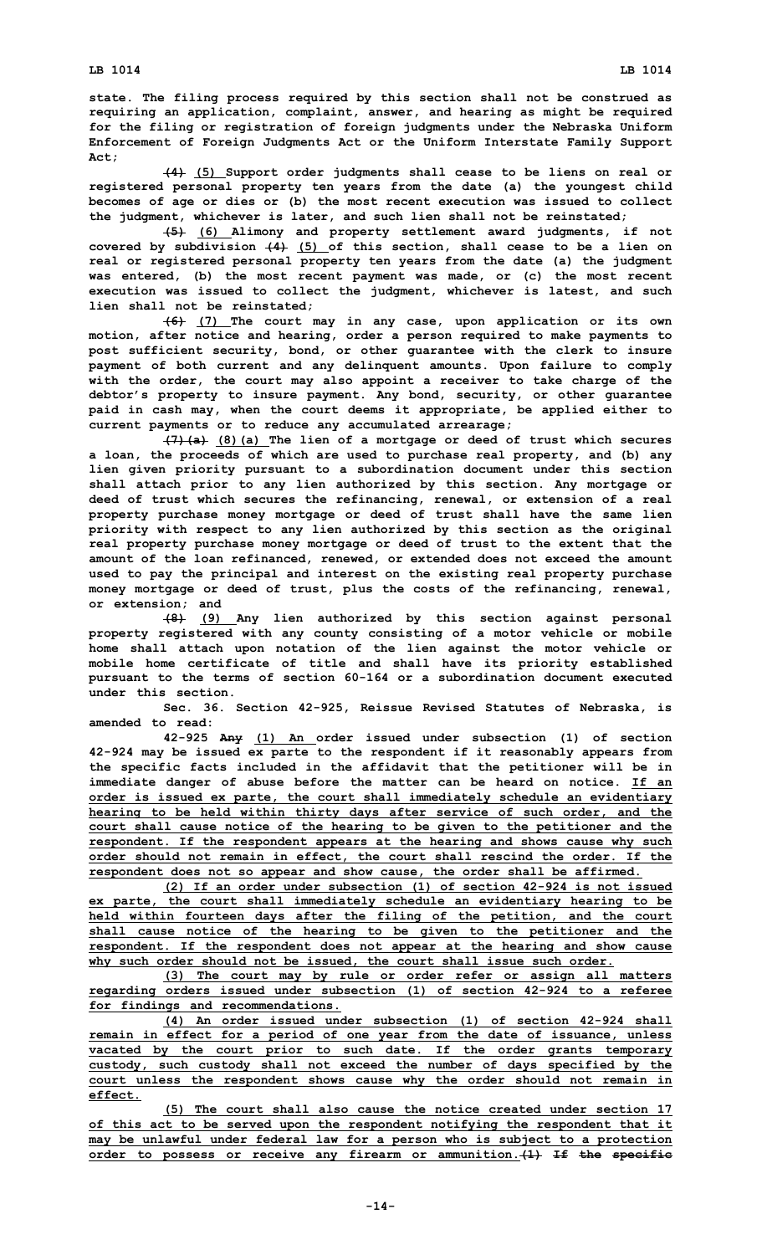**state. The filing process required by this section shall not be construed as requiring an application, complaint, answer, and hearing as might be required for the filing or registration of foreign judgments under the Nebraska Uniform Enforcement of Foreign Judgments Act or the Uniform Interstate Family Support Act;**

**(4) (5) Support order judgments shall cease to be liens on real or registered personal property ten years from the date (a) the youngest child becomes of age or dies or (b) the most recent execution was issued to collect the judgment, whichever is later, and such lien shall not be reinstated;**

**(5) (6) Alimony and property settlement award judgments, if not covered by subdivision (4) (5) of this section, shall cease to be <sup>a</sup> lien on real or registered personal property ten years from the date (a) the judgment was entered, (b) the most recent payment was made, or (c) the most recent execution was issued to collect the judgment, whichever is latest, and such lien shall not be reinstated;**

**(6) (7) The court may in any case, upon application or its own motion, after notice and hearing, order <sup>a</sup> person required to make payments to post sufficient security, bond, or other guarantee with the clerk to insure payment of both current and any delinquent amounts. Upon failure to comply with the order, the court may also appoint <sup>a</sup> receiver to take charge of the debtor's property to insure payment. Any bond, security, or other guarantee paid in cash may, when the court deems it appropriate, be applied either to current payments or to reduce any accumulated arrearage;**

**(7)(a) (8)(a) The lien of <sup>a</sup> mortgage or deed of trust which secures <sup>a</sup> loan, the proceeds of which are used to purchase real property, and (b) any lien given priority pursuant to <sup>a</sup> subordination document under this section shall attach prior to any lien authorized by this section. Any mortgage or deed of trust which secures the refinancing, renewal, or extension of <sup>a</sup> real property purchase money mortgage or deed of trust shall have the same lien priority with respect to any lien authorized by this section as the original real property purchase money mortgage or deed of trust to the extent that the amount of the loan refinanced, renewed, or extended does not exceed the amount used to pay the principal and interest on the existing real property purchase money mortgage or deed of trust, plus the costs of the refinancing, renewal, or extension; and**

**(8) (9) Any lien authorized by this section against personal property registered with any county consisting of <sup>a</sup> motor vehicle or mobile home shall attach upon notation of the lien against the motor vehicle or mobile home certificate of title and shall have its priority established pursuant to the terms of section 60-164 or <sup>a</sup> subordination document executed under this section.**

**Sec. 36. Section 42-925, Reissue Revised Statutes of Nebraska, is amended to read:**

**42-925 Any (1) An order issued under subsection (1) of section 42-924 may be issued ex parte to the respondent if it reasonably appears from the specific facts included in the affidavit that the petitioner will be in immediate danger of abuse before the matter can be heard on notice. If an order is issued ex parte, the court shall immediately schedule an evidentiary hearing to be held within thirty days after service of such order, and the court shall cause notice of the hearing to be given to the petitioner and the respondent. If the respondent appears at the hearing and shows cause why such order should not remain in effect, the court shall rescind the order. If the respondent does not so appear and show cause, the order shall be affirmed.**

**(2) If an order under subsection (1) of section 42-924 is not issued ex parte, the court shall immediately schedule an evidentiary hearing to be held within fourteen days after the filing of the petition, and the court shall cause notice of the hearing to be given to the petitioner and the respondent. If the respondent does not appear at the hearing and show cause why such order should not be issued, the court shall issue such order.**

**(3) The court may by rule or order refer or assign all matters regarding orders issued under subsection (1) of section 42-924 to <sup>a</sup> referee for findings and recommendations.**

**(4) An order issued under subsection (1) of section 42-924 shall remain in effect for <sup>a</sup> period of one year from the date of issuance, unless vacated by the court prior to such date. If the order grants temporary custody, such custody shall not exceed the number of days specified by the court unless the respondent shows cause why the order should not remain in effect.**

**(5) The court shall also cause the notice created under section 17 of this act to be served upon the respondent notifying the respondent that it may be unlawful under federal law for <sup>a</sup> person who is subject to <sup>a</sup> protection order to possess or receive any firearm or ammunition.(1) If the specific**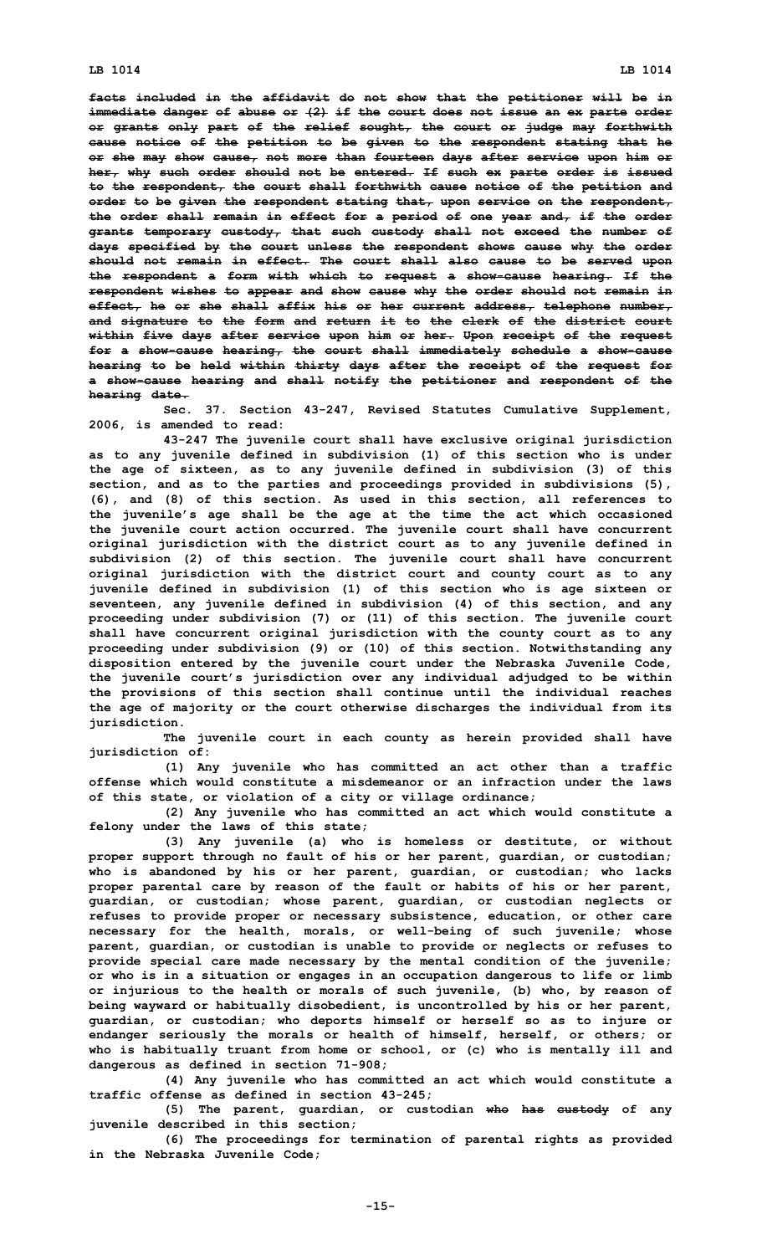**facts included in the affidavit do not show that the petitioner will be in immediate danger of abuse or (2) if the court does not issue an ex parte order or grants only part of the relief sought, the court or judge may forthwith cause notice of the petition to be given to the respondent stating that he or she may show cause, not more than fourteen days after service upon him or her, why such order should not be entered. If such ex parte order is issued to the respondent, the court shall forthwith cause notice of the petition and order to be given the respondent stating that, upon service on the respondent, the order shall remain in effect for <sup>a</sup> period of one year and, if the order grants temporary custody, that such custody shall not exceed the number of days specified by the court unless the respondent shows cause why the order should not remain in effect. The court shall also cause to be served upon the respondent <sup>a</sup> form with which to request <sup>a</sup> show-cause hearing. If the respondent wishes to appear and show cause why the order should not remain in effect, he or she shall affix his or her current address, telephone number, and signature to the form and return it to the clerk of the district court within five days after service upon him or her. Upon receipt of the request for <sup>a</sup> show-cause hearing, the court shall immediately schedule <sup>a</sup> show-cause hearing to be held within thirty days after the receipt of the request for <sup>a</sup> show-cause hearing and shall notify the petitioner and respondent of the hearing date.**

**Sec. 37. Section 43-247, Revised Statutes Cumulative Supplement, 2006, is amended to read:**

**43-247 The juvenile court shall have exclusive original jurisdiction as to any juvenile defined in subdivision (1) of this section who is under the age of sixteen, as to any juvenile defined in subdivision (3) of this section, and as to the parties and proceedings provided in subdivisions (5), (6), and (8) of this section. As used in this section, all references to the juvenile's age shall be the age at the time the act which occasioned the juvenile court action occurred. The juvenile court shall have concurrent original jurisdiction with the district court as to any juvenile defined in subdivision (2) of this section. The juvenile court shall have concurrent original jurisdiction with the district court and county court as to any juvenile defined in subdivision (1) of this section who is age sixteen or seventeen, any juvenile defined in subdivision (4) of this section, and any proceeding under subdivision (7) or (11) of this section. The juvenile court shall have concurrent original jurisdiction with the county court as to any proceeding under subdivision (9) or (10) of this section. Notwithstanding any disposition entered by the juvenile court under the Nebraska Juvenile Code, the juvenile court's jurisdiction over any individual adjudged to be within the provisions of this section shall continue until the individual reaches the age of majority or the court otherwise discharges the individual from its jurisdiction.**

**The juvenile court in each county as herein provided shall have jurisdiction of:**

**(1) Any juvenile who has committed an act other than <sup>a</sup> traffic offense which would constitute a misdemeanor or an infraction under the laws of this state, or violation of <sup>a</sup> city or village ordinance;**

**(2) Any juvenile who has committed an act which would constitute <sup>a</sup> felony under the laws of this state;**

**(3) Any juvenile (a) who is homeless or destitute, or without proper support through no fault of his or her parent, guardian, or custodian; who is abandoned by his or her parent, guardian, or custodian; who lacks proper parental care by reason of the fault or habits of his or her parent, guardian, or custodian; whose parent, guardian, or custodian neglects or refuses to provide proper or necessary subsistence, education, or other care necessary for the health, morals, or well-being of such juvenile; whose parent, guardian, or custodian is unable to provide or neglects or refuses to provide special care made necessary by the mental condition of the juvenile; or who is in <sup>a</sup> situation or engages in an occupation dangerous to life or limb or injurious to the health or morals of such juvenile, (b) who, by reason of being wayward or habitually disobedient, is uncontrolled by his or her parent, guardian, or custodian; who deports himself or herself so as to injure or endanger seriously the morals or health of himself, herself, or others; or who is habitually truant from home or school, or (c) who is mentally ill and dangerous as defined in section 71-908;**

**(4) Any juvenile who has committed an act which would constitute <sup>a</sup> traffic offense as defined in section 43-245;**

**(5) The parent, guardian, or custodian who has custody of any juvenile described in this section;**

**(6) The proceedings for termination of parental rights as provided in the Nebraska Juvenile Code;**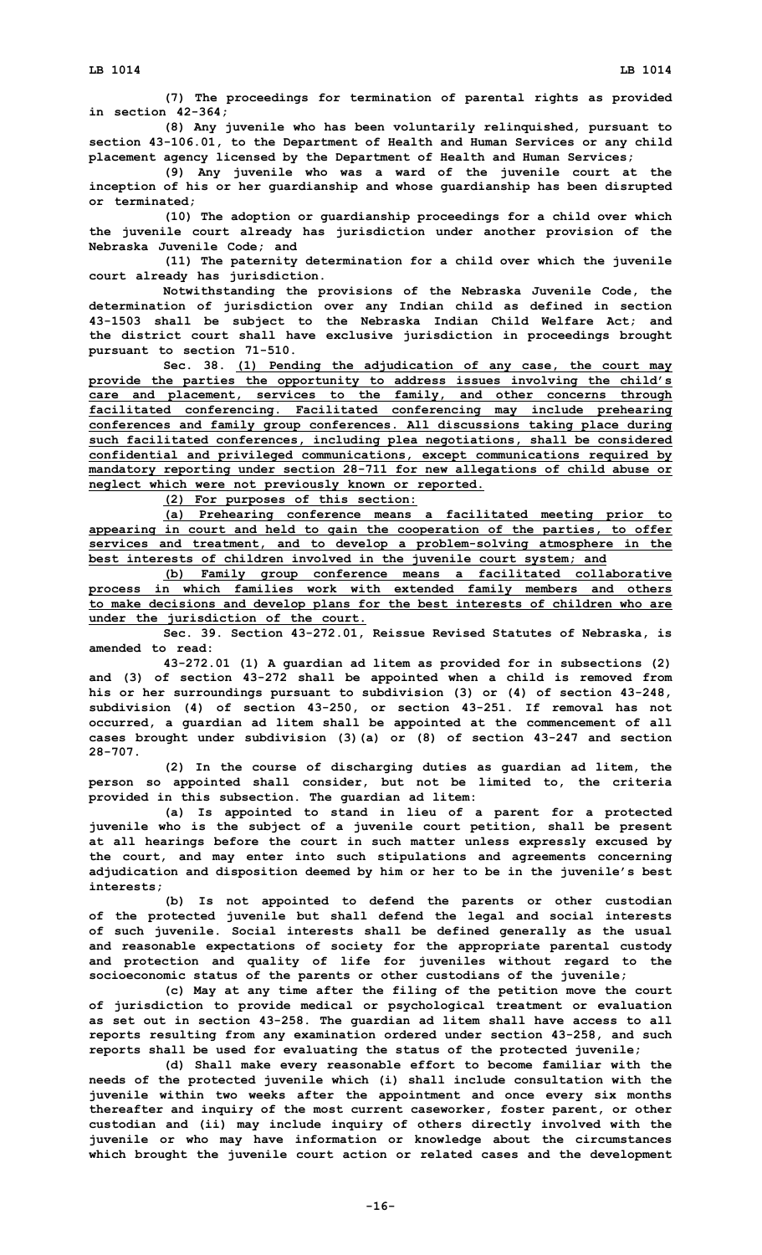**(7) The proceedings for termination of parental rights as provided in section 42-364;**

**(8) Any juvenile who has been voluntarily relinquished, pursuant to section 43-106.01, to the Department of Health and Human Services or any child placement agency licensed by the Department of Health and Human Services;**

**(9) Any juvenile who was <sup>a</sup> ward of the juvenile court at the inception of his or her guardianship and whose guardianship has been disrupted or terminated;**

**(10) The adoption or guardianship proceedings for <sup>a</sup> child over which the juvenile court already has jurisdiction under another provision of the Nebraska Juvenile Code; and**

**(11) The paternity determination for <sup>a</sup> child over which the juvenile court already has jurisdiction.**

**Notwithstanding the provisions of the Nebraska Juvenile Code, the determination of jurisdiction over any Indian child as defined in section 43-1503 shall be subject to the Nebraska Indian Child Welfare Act; and the district court shall have exclusive jurisdiction in proceedings brought pursuant to section 71-510.**

**Sec. 38. (1) Pending the adjudication of any case, the court may provide the parties the opportunity to address issues involving the child's care and placement, services to the family, and other concerns through facilitated conferencing. Facilitated conferencing may include prehearing conferences and family group conferences. All discussions taking place during such facilitated conferences, including plea negotiations, shall be considered confidential and privileged communications, except communications required by mandatory reporting under section 28-711 for new allegations of child abuse or neglect which were not previously known or reported.**

**(2) For purposes of this section:**

**(a) Prehearing conference means <sup>a</sup> facilitated meeting prior to appearing in court and held to gain the cooperation of the parties, to offer services and treatment, and to develop <sup>a</sup> problem-solving atmosphere in the best interests of children involved in the juvenile court system; and**

**(b) Family group conference means <sup>a</sup> facilitated collaborative process in which families work with extended family members and others to make decisions and develop plans for the best interests of children who are under the jurisdiction of the court.**

**Sec. 39. Section 43-272.01, Reissue Revised Statutes of Nebraska, is amended to read:**

**43-272.01 (1) <sup>A</sup> guardian ad litem as provided for in subsections (2) and (3) of section 43-272 shall be appointed when <sup>a</sup> child is removed from his or her surroundings pursuant to subdivision (3) or (4) of section 43-248, subdivision (4) of section 43-250, or section 43-251. If removal has not occurred, <sup>a</sup> guardian ad litem shall be appointed at the commencement of all cases brought under subdivision (3)(a) or (8) of section 43-247 and section 28-707.**

**(2) In the course of discharging duties as guardian ad litem, the person so appointed shall consider, but not be limited to, the criteria provided in this subsection. The guardian ad litem:**

**(a) Is appointed to stand in lieu of <sup>a</sup> parent for <sup>a</sup> protected juvenile who is the subject of <sup>a</sup> juvenile court petition, shall be present at all hearings before the court in such matter unless expressly excused by the court, and may enter into such stipulations and agreements concerning adjudication and disposition deemed by him or her to be in the juvenile's best interests;**

**(b) Is not appointed to defend the parents or other custodian of the protected juvenile but shall defend the legal and social interests of such juvenile. Social interests shall be defined generally as the usual and reasonable expectations of society for the appropriate parental custody and protection and quality of life for juveniles without regard to the socioeconomic status of the parents or other custodians of the juvenile;**

**(c) May at any time after the filing of the petition move the court of jurisdiction to provide medical or psychological treatment or evaluation as set out in section 43-258. The guardian ad litem shall have access to all reports resulting from any examination ordered under section 43-258, and such reports shall be used for evaluating the status of the protected juvenile;**

**(d) Shall make every reasonable effort to become familiar with the needs of the protected juvenile which (i) shall include consultation with the juvenile within two weeks after the appointment and once every six months thereafter and inquiry of the most current caseworker, foster parent, or other custodian and (ii) may include inquiry of others directly involved with the juvenile or who may have information or knowledge about the circumstances which brought the juvenile court action or related cases and the development**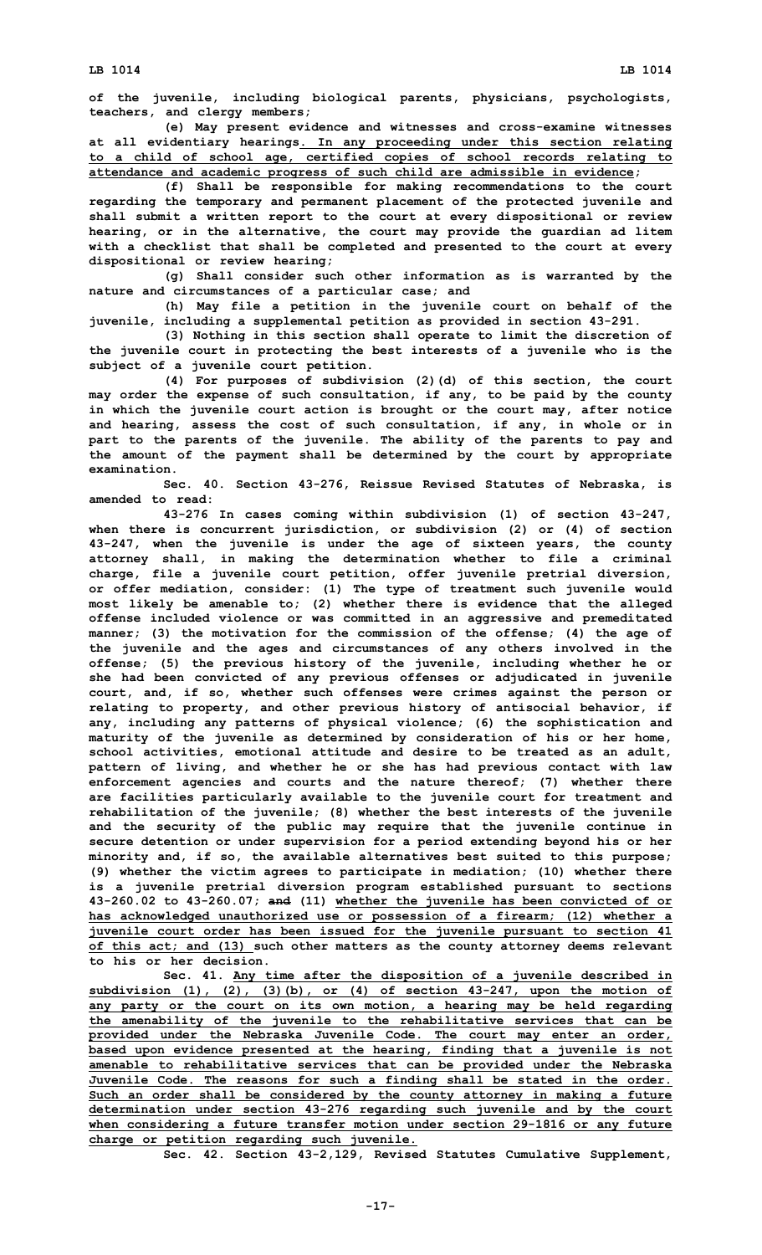**of the juvenile, including biological parents, physicians, psychologists, teachers, and clergy members;**

**(e) May present evidence and witnesses and cross-examine witnesses at all evidentiary hearings. In any proceeding under this section relating to <sup>a</sup> child of school age, certified copies of school records relating to attendance and academic progress of such child are admissible in evidence;**

**(f) Shall be responsible for making recommendations to the court regarding the temporary and permanent placement of the protected juvenile and shall submit <sup>a</sup> written report to the court at every dispositional or review hearing, or in the alternative, the court may provide the guardian ad litem with <sup>a</sup> checklist that shall be completed and presented to the court at every dispositional or review hearing;**

**(g) Shall consider such other information as is warranted by the nature and circumstances of <sup>a</sup> particular case; and**

**(h) May file <sup>a</sup> petition in the juvenile court on behalf of the juvenile, including <sup>a</sup> supplemental petition as provided in section 43-291.**

**(3) Nothing in this section shall operate to limit the discretion of the juvenile court in protecting the best interests of <sup>a</sup> juvenile who is the subject of <sup>a</sup> juvenile court petition.**

**(4) For purposes of subdivision (2)(d) of this section, the court may order the expense of such consultation, if any, to be paid by the county in which the juvenile court action is brought or the court may, after notice and hearing, assess the cost of such consultation, if any, in whole or in part to the parents of the juvenile. The ability of the parents to pay and the amount of the payment shall be determined by the court by appropriate examination.**

**Sec. 40. Section 43-276, Reissue Revised Statutes of Nebraska, is amended to read:**

**43-276 In cases coming within subdivision (1) of section 43-247, when there is concurrent jurisdiction, or subdivision (2) or (4) of section 43-247, when the juvenile is under the age of sixteen years, the county attorney shall, in making the determination whether to file <sup>a</sup> criminal charge, file <sup>a</sup> juvenile court petition, offer juvenile pretrial diversion, or offer mediation, consider: (1) The type of treatment such juvenile would most likely be amenable to; (2) whether there is evidence that the alleged offense included violence or was committed in an aggressive and premeditated manner; (3) the motivation for the commission of the offense; (4) the age of the juvenile and the ages and circumstances of any others involved in the offense; (5) the previous history of the juvenile, including whether he or she had been convicted of any previous offenses or adjudicated in juvenile court, and, if so, whether such offenses were crimes against the person or relating to property, and other previous history of antisocial behavior, if any, including any patterns of physical violence; (6) the sophistication and maturity of the juvenile as determined by consideration of his or her home, school activities, emotional attitude and desire to be treated as an adult, pattern of living, and whether he or she has had previous contact with law enforcement agencies and courts and the nature thereof; (7) whether there are facilities particularly available to the juvenile court for treatment and rehabilitation of the juvenile; (8) whether the best interests of the juvenile and the security of the public may require that the juvenile continue in secure detention or under supervision for <sup>a</sup> period extending beyond his or her minority and, if so, the available alternatives best suited to this purpose; (9) whether the victim agrees to participate in mediation; (10) whether there is <sup>a</sup> juvenile pretrial diversion program established pursuant to sections 43-260.02 to 43-260.07; and (11) whether the juvenile has been convicted of or has acknowledged unauthorized use or possession of <sup>a</sup> firearm; (12) whether <sup>a</sup> juvenile court order has been issued for the juvenile pursuant to section 41 of this act; and (13) such other matters as the county attorney deems relevant to his or her decision.**

**Sec. 41. Any time after the disposition of <sup>a</sup> juvenile described in subdivision (1), (2), (3)(b), or (4) of section 43-247, upon the motion of any party or the court on its own motion, <sup>a</sup> hearing may be held regarding the amenability of the juvenile to the rehabilitative services that can be provided under the Nebraska Juvenile Code. The court may enter an order, based upon evidence presented at the hearing, finding that <sup>a</sup> juvenile is not amenable to rehabilitative services that can be provided under the Nebraska Juvenile Code. The reasons for such <sup>a</sup> finding shall be stated in the order. Such an order shall be considered by the county attorney in making <sup>a</sup> future determination under section 43-276 regarding such juvenile and by the court when considering <sup>a</sup> future transfer motion under section 29-1816 or any future charge or petition regarding such juvenile.**

**Sec. 42. Section 43-2,129, Revised Statutes Cumulative Supplement,**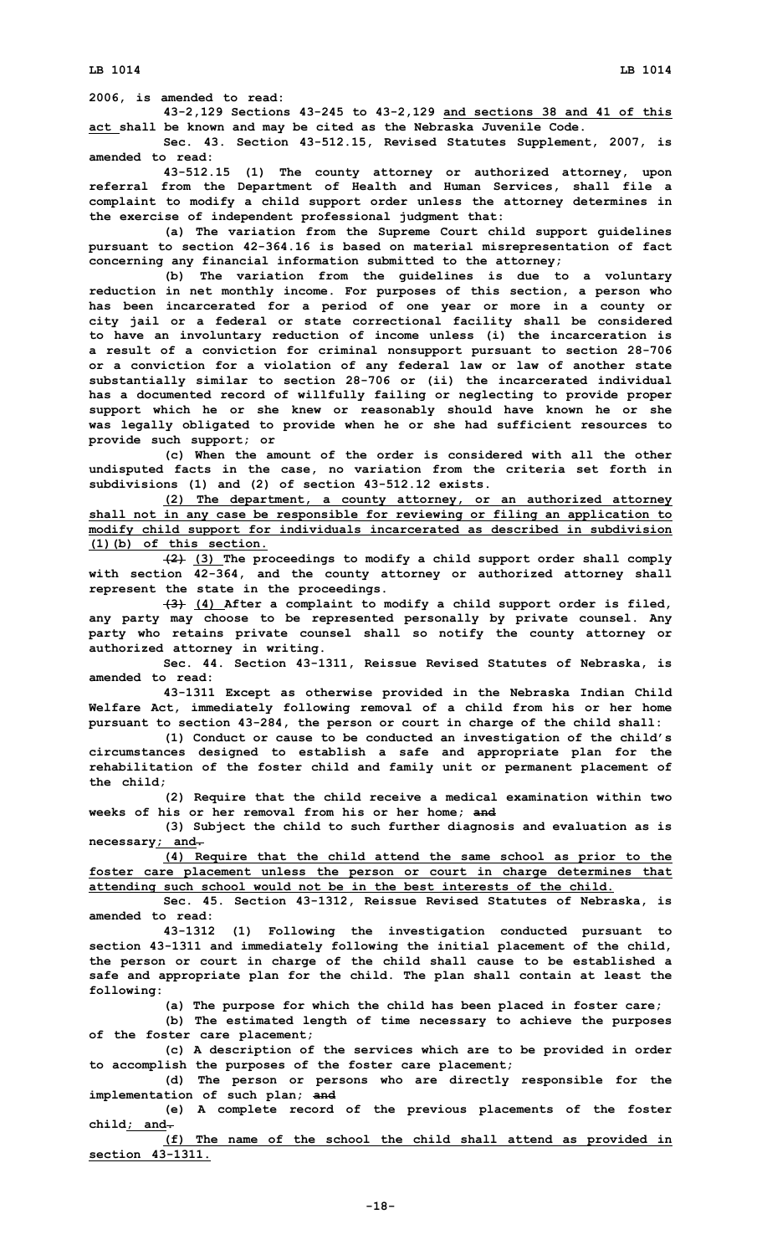**LB 1014 LB 1014**

**2006, is amended to read:**

**43-2,129 Sections 43-245 to 43-2,129 and sections 38 and 41 of this act shall be known and may be cited as the Nebraska Juvenile Code.**

**Sec. 43. Section 43-512.15, Revised Statutes Supplement, 2007, is amended to read:**

**43-512.15 (1) The county attorney or authorized attorney, upon referral from the Department of Health and Human Services, shall file <sup>a</sup> complaint to modify <sup>a</sup> child support order unless the attorney determines in the exercise of independent professional judgment that:**

**(a) The variation from the Supreme Court child support guidelines pursuant to section 42-364.16 is based on material misrepresentation of fact concerning any financial information submitted to the attorney;**

**(b) The variation from the guidelines is due to <sup>a</sup> voluntary reduction in net monthly income. For purposes of this section, <sup>a</sup> person who has been incarcerated for <sup>a</sup> period of one year or more in <sup>a</sup> county or city jail or <sup>a</sup> federal or state correctional facility shall be considered to have an involuntary reduction of income unless (i) the incarceration is <sup>a</sup> result of <sup>a</sup> conviction for criminal nonsupport pursuant to section 28-706 or <sup>a</sup> conviction for <sup>a</sup> violation of any federal law or law of another state substantially similar to section 28-706 or (ii) the incarcerated individual has <sup>a</sup> documented record of willfully failing or neglecting to provide proper support which he or she knew or reasonably should have known he or she was legally obligated to provide when he or she had sufficient resources to provide such support; or**

**(c) When the amount of the order is considered with all the other undisputed facts in the case, no variation from the criteria set forth in subdivisions (1) and (2) of section 43-512.12 exists.**

**(2) The department, <sup>a</sup> county attorney, or an authorized attorney shall not in any case be responsible for reviewing or filing an application to modify child support for individuals incarcerated as described in subdivision (1)(b) of this section.**

**(2) (3) The proceedings to modify <sup>a</sup> child support order shall comply with section 42-364, and the county attorney or authorized attorney shall represent the state in the proceedings.**

**(3) (4) After <sup>a</sup> complaint to modify <sup>a</sup> child support order is filed, any party may choose to be represented personally by private counsel. Any party who retains private counsel shall so notify the county attorney or authorized attorney in writing.**

**Sec. 44. Section 43-1311, Reissue Revised Statutes of Nebraska, is amended to read:**

**43-1311 Except as otherwise provided in the Nebraska Indian Child Welfare Act, immediately following removal of <sup>a</sup> child from his or her home pursuant to section 43-284, the person or court in charge of the child shall:**

**(1) Conduct or cause to be conducted an investigation of the child's circumstances designed to establish <sup>a</sup> safe and appropriate plan for the rehabilitation of the foster child and family unit or permanent placement of the child;**

**(2) Require that the child receive <sup>a</sup> medical examination within two weeks of his or her removal from his or her home; and**

**(3) Subject the child to such further diagnosis and evaluation as is necessary; and.**

**(4) Require that the child attend the same school as prior to the foster care placement unless the person or court in charge determines that attending such school would not be in the best interests of the child.**

**Sec. 45. Section 43-1312, Reissue Revised Statutes of Nebraska, is amended to read:**

**43-1312 (1) Following the investigation conducted pursuant to section 43-1311 and immediately following the initial placement of the child, the person or court in charge of the child shall cause to be established <sup>a</sup> safe and appropriate plan for the child. The plan shall contain at least the following:**

**(a) The purpose for which the child has been placed in foster care;**

**(b) The estimated length of time necessary to achieve the purposes of the foster care placement;**

**(c) <sup>A</sup> description of the services which are to be provided in order to accomplish the purposes of the foster care placement;**

**(d) The person or persons who are directly responsible for the implementation of such plan; and**

**(e) <sup>A</sup> complete record of the previous placements of the foster child; and.**

**(f) The name of the school the child shall attend as provided in section 43-1311.**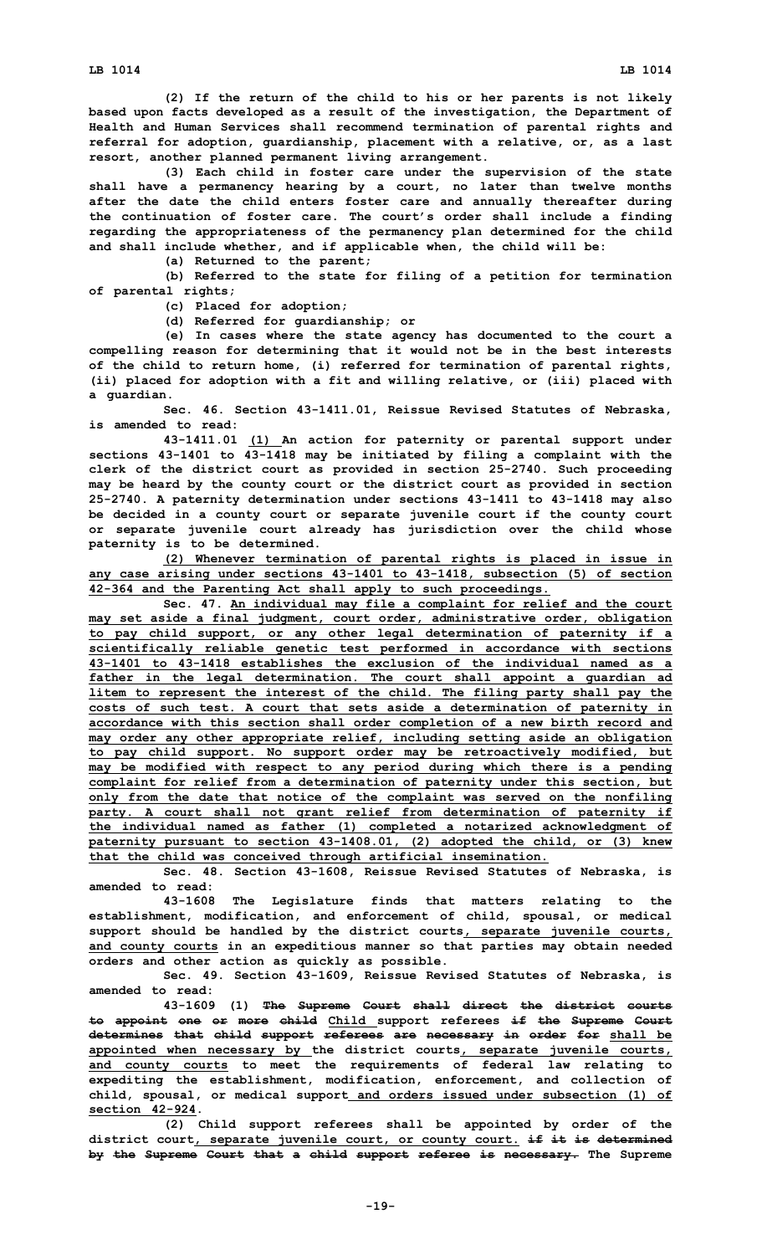**(2) If the return of the child to his or her parents is not likely based upon facts developed as <sup>a</sup> result of the investigation, the Department of Health and Human Services shall recommend termination of parental rights and referral for adoption, guardianship, placement with <sup>a</sup> relative, or, as <sup>a</sup> last resort, another planned permanent living arrangement.**

**(3) Each child in foster care under the supervision of the state shall have <sup>a</sup> permanency hearing by <sup>a</sup> court, no later than twelve months after the date the child enters foster care and annually thereafter during the continuation of foster care. The court's order shall include <sup>a</sup> finding regarding the appropriateness of the permanency plan determined for the child and shall include whether, and if applicable when, the child will be:**

**(a) Returned to the parent;**

**(b) Referred to the state for filing of <sup>a</sup> petition for termination of parental rights;**

**(c) Placed for adoption;**

**(d) Referred for guardianship; or**

**(e) In cases where the state agency has documented to the court <sup>a</sup> compelling reason for determining that it would not be in the best interests of the child to return home, (i) referred for termination of parental rights, (ii) placed for adoption with <sup>a</sup> fit and willing relative, or (iii) placed with <sup>a</sup> guardian.**

**Sec. 46. Section 43-1411.01, Reissue Revised Statutes of Nebraska, is amended to read:**

**43-1411.01 (1) An action for paternity or parental support under sections 43-1401 to 43-1418 may be initiated by filing <sup>a</sup> complaint with the clerk of the district court as provided in section 25-2740. Such proceeding may be heard by the county court or the district court as provided in section 25-2740. <sup>A</sup> paternity determination under sections 43-1411 to 43-1418 may also be decided in <sup>a</sup> county court or separate juvenile court if the county court or separate juvenile court already has jurisdiction over the child whose paternity is to be determined.**

**(2) Whenever termination of parental rights is placed in issue in any case arising under sections 43-1401 to 43-1418, subsection (5) of section 42-364 and the Parenting Act shall apply to such proceedings.**

**Sec. 47. An individual may file <sup>a</sup> complaint for relief and the court may set aside <sup>a</sup> final judgment, court order, administrative order, obligation to pay child support, or any other legal determination of paternity if <sup>a</sup> scientifically reliable genetic test performed in accordance with sections 43-1401 to 43-1418 establishes the exclusion of the individual named as a father in the legal determination. The court shall appoint <sup>a</sup> guardian ad litem to represent the interest of the child. The filing party shall pay the costs of such test. A court that sets aside <sup>a</sup> determination of paternity in accordance with this section shall order completion of <sup>a</sup> new birth record and may order any other appropriate relief, including setting aside an obligation to pay child support. No support order may be retroactively modified, but may be modified with respect to any period during which there is <sup>a</sup> pending complaint for relief from <sup>a</sup> determination of paternity under this section, but only from the date that notice of the complaint was served on the nonfiling party. A court shall not grant relief from determination of paternity if the individual named as father (1) completed <sup>a</sup> notarized acknowledgment of paternity pursuant to section 43-1408.01, (2) adopted the child, or (3) knew that the child was conceived through artificial insemination.**

**Sec. 48. Section 43-1608, Reissue Revised Statutes of Nebraska, is amended to read:**

**43-1608 The Legislature finds that matters relating to the establishment, modification, and enforcement of child, spousal, or medical support should be handled by the district courts, separate juvenile courts, and county courts in an expeditious manner so that parties may obtain needed orders and other action as quickly as possible.**

**Sec. 49. Section 43-1609, Reissue Revised Statutes of Nebraska, is amended to read:**

**43-1609 (1) The Supreme Court shall direct the district courts to appoint one or more child Child support referees if the Supreme Court determines that child support referees are necessary in order for shall be appointed when necessary by the district courts, separate juvenile courts, and county courts to meet the requirements of federal law relating to expediting the establishment, modification, enforcement, and collection of child, spousal, or medical support and orders issued under subsection (1) of section 42-924.**

**(2) Child support referees shall be appointed by order of the district court, separate juvenile court, or county court. if it is determined by the Supreme Court that <sup>a</sup> child support referee is necessary. The Supreme**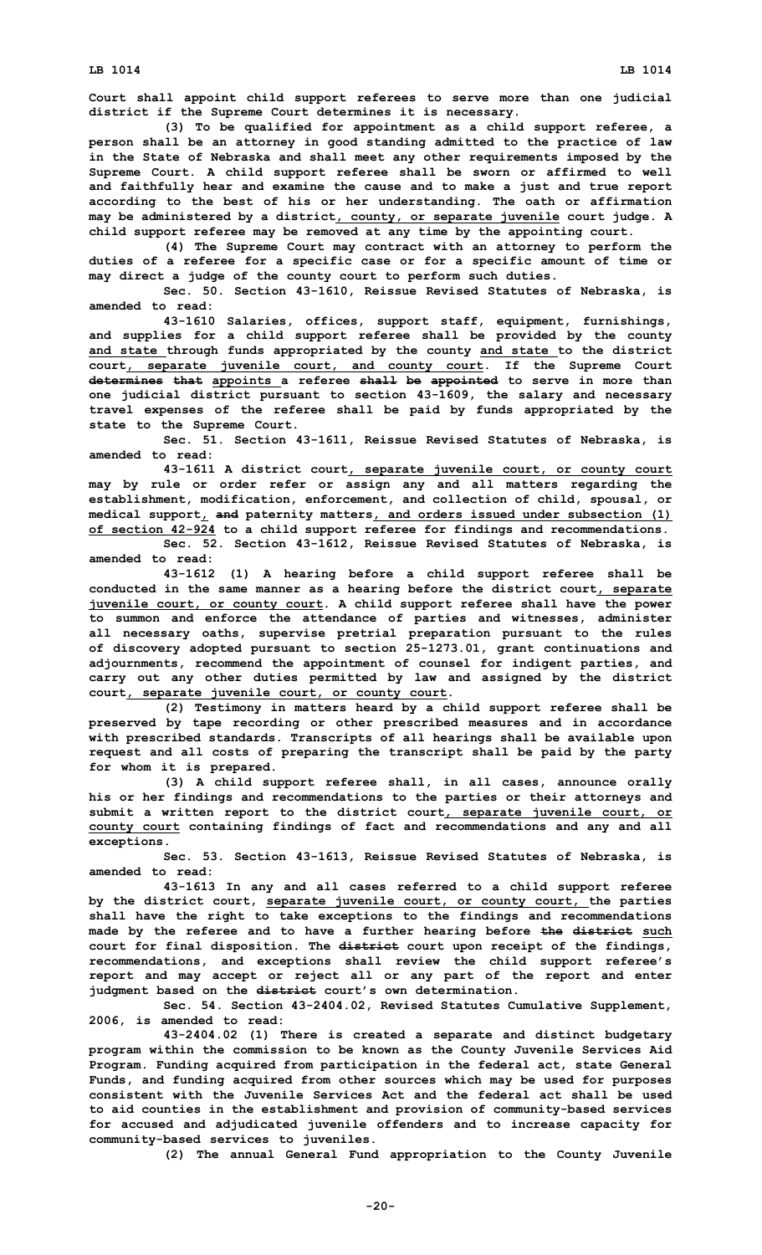**Court shall appoint child support referees to serve more than one judicial district if the Supreme Court determines it is necessary.**

**(3) To be qualified for appointment as <sup>a</sup> child support referee, <sup>a</sup> person shall be an attorney in good standing admitted to the practice of law in the State of Nebraska and shall meet any other requirements imposed by the Supreme Court. A child support referee shall be sworn or affirmed to well and faithfully hear and examine the cause and to make <sup>a</sup> just and true report according to the best of his or her understanding. The oath or affirmation may be administered by <sup>a</sup> district, county, or separate juvenile court judge. A child support referee may be removed at any time by the appointing court.**

**(4) The Supreme Court may contract with an attorney to perform the duties of <sup>a</sup> referee for <sup>a</sup> specific case or for <sup>a</sup> specific amount of time or may direct <sup>a</sup> judge of the county court to perform such duties.**

**Sec. 50. Section 43-1610, Reissue Revised Statutes of Nebraska, is amended to read:**

**43-1610 Salaries, offices, support staff, equipment, furnishings, and supplies for <sup>a</sup> child support referee shall be provided by the county and state through funds appropriated by the county and state to the district court, separate juvenile court, and county court. If the Supreme Court determines that appoints <sup>a</sup> referee shall be appointed to serve in more than one judicial district pursuant to section 43-1609, the salary and necessary travel expenses of the referee shall be paid by funds appropriated by the state to the Supreme Court.**

**Sec. 51. Section 43-1611, Reissue Revised Statutes of Nebraska, is amended to read:**

**43-1611 <sup>A</sup> district court, separate juvenile court, or county court may by rule or order refer or assign any and all matters regarding the establishment, modification, enforcement, and collection of child, spousal, or medical support, and paternity matters, and orders issued under subsection (1) of section 42-924 to <sup>a</sup> child support referee for findings and recommendations.**

**Sec. 52. Section 43-1612, Reissue Revised Statutes of Nebraska, is amended to read:**

**43-1612 (1) <sup>A</sup> hearing before <sup>a</sup> child support referee shall be conducted in the same manner as <sup>a</sup> hearing before the district court, separate juvenile court, or county court. A child support referee shall have the power to summon and enforce the attendance of parties and witnesses, administer all necessary oaths, supervise pretrial preparation pursuant to the rules of discovery adopted pursuant to section 25-1273.01, grant continuations and adjournments, recommend the appointment of counsel for indigent parties, and carry out any other duties permitted by law and assigned by the district court, separate juvenile court, or county court.**

**(2) Testimony in matters heard by <sup>a</sup> child support referee shall be preserved by tape recording or other prescribed measures and in accordance with prescribed standards. Transcripts of all hearings shall be available upon request and all costs of preparing the transcript shall be paid by the party for whom it is prepared.**

**(3) <sup>A</sup> child support referee shall, in all cases, announce orally his or her findings and recommendations to the parties or their attorneys and submit <sup>a</sup> written report to the district court, separate juvenile court, or county court containing findings of fact and recommendations and any and all exceptions.**

**Sec. 53. Section 43-1613, Reissue Revised Statutes of Nebraska, is amended to read:**

**43-1613 In any and all cases referred to <sup>a</sup> child support referee by the district court, separate juvenile court, or county court, the parties shall have the right to take exceptions to the findings and recommendations made by the referee and to have <sup>a</sup> further hearing before the district such court for final disposition. The district court upon receipt of the findings, recommendations, and exceptions shall review the child support referee's report and may accept or reject all or any part of the report and enter judgment based on the district court's own determination.**

**Sec. 54. Section 43-2404.02, Revised Statutes Cumulative Supplement, 2006, is amended to read:**

**43-2404.02 (1) There is created <sup>a</sup> separate and distinct budgetary program within the commission to be known as the County Juvenile Services Aid Program. Funding acquired from participation in the federal act, state General Funds, and funding acquired from other sources which may be used for purposes consistent with the Juvenile Services Act and the federal act shall be used to aid counties in the establishment and provision of community-based services for accused and adjudicated juvenile offenders and to increase capacity for community-based services to juveniles.**

**(2) The annual General Fund appropriation to the County Juvenile**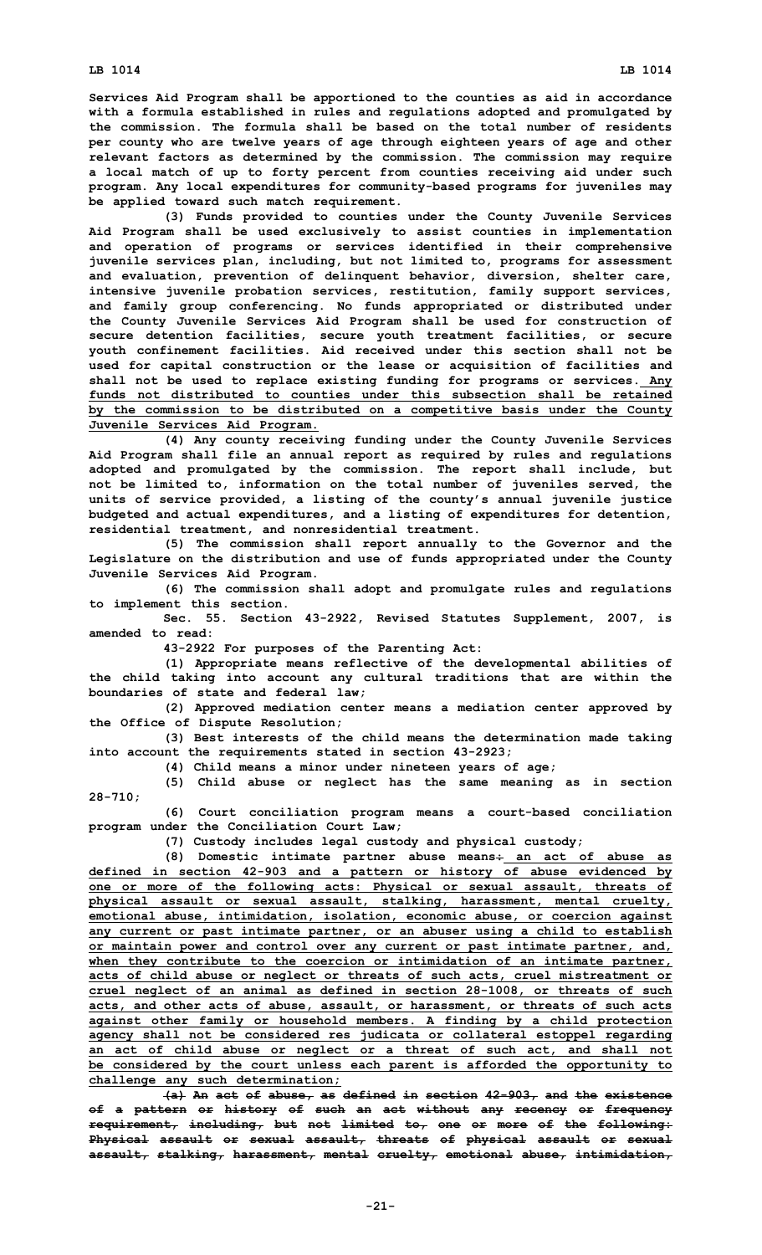**Services Aid Program shall be apportioned to the counties as aid in accordance with <sup>a</sup> formula established in rules and regulations adopted and promulgated by the commission. The formula shall be based on the total number of residents per county who are twelve years of age through eighteen years of age and other relevant factors as determined by the commission. The commission may require <sup>a</sup> local match of up to forty percent from counties receiving aid under such program. Any local expenditures for community-based programs for juveniles may be applied toward such match requirement.**

**(3) Funds provided to counties under the County Juvenile Services Aid Program shall be used exclusively to assist counties in implementation and operation of programs or services identified in their comprehensive juvenile services plan, including, but not limited to, programs for assessment and evaluation, prevention of delinquent behavior, diversion, shelter care, intensive juvenile probation services, restitution, family support services, and family group conferencing. No funds appropriated or distributed under the County Juvenile Services Aid Program shall be used for construction of secure detention facilities, secure youth treatment facilities, or secure youth confinement facilities. Aid received under this section shall not be used for capital construction or the lease or acquisition of facilities and shall not be used to replace existing funding for programs or services. Any funds not distributed to counties under this subsection shall be retained by the commission to be distributed on <sup>a</sup> competitive basis under the County Juvenile Services Aid Program.**

**(4) Any county receiving funding under the County Juvenile Services Aid Program shall file an annual report as required by rules and regulations adopted and promulgated by the commission. The report shall include, but not be limited to, information on the total number of juveniles served, the units of service provided, <sup>a</sup> listing of the county's annual juvenile justice budgeted and actual expenditures, and <sup>a</sup> listing of expenditures for detention, residential treatment, and nonresidential treatment.**

**(5) The commission shall report annually to the Governor and the Legislature on the distribution and use of funds appropriated under the County Juvenile Services Aid Program.**

**(6) The commission shall adopt and promulgate rules and regulations to implement this section.**

**Sec. 55. Section 43-2922, Revised Statutes Supplement, 2007, is amended to read:**

**43-2922 For purposes of the Parenting Act:**

**(1) Appropriate means reflective of the developmental abilities of the child taking into account any cultural traditions that are within the boundaries of state and federal law;**

**(2) Approved mediation center means <sup>a</sup> mediation center approved by the Office of Dispute Resolution;**

**(3) Best interests of the child means the determination made taking into account the requirements stated in section 43-2923;**

**(4) Child means <sup>a</sup> minor under nineteen years of age;**

**(5) Child abuse or neglect has the same meaning as in section 28-710;**

**(6) Court conciliation program means <sup>a</sup> court-based conciliation program under the Conciliation Court Law;**

**(7) Custody includes legal custody and physical custody;**

**(8) Domestic intimate partner abuse means: an act of abuse as defined in section 42-903 and <sup>a</sup> pattern or history of abuse evidenced by one or more of the following acts: Physical or sexual assault, threats of physical assault or sexual assault, stalking, harassment, mental cruelty, emotional abuse, intimidation, isolation, economic abuse, or coercion against any current or past intimate partner, or an abuser using <sup>a</sup> child to establish or maintain power and control over any current or past intimate partner, and, when they contribute to the coercion or intimidation of an intimate partner, acts of child abuse or neglect or threats of such acts, cruel mistreatment or cruel neglect of an animal as defined in section 28-1008, or threats of such acts, and other acts of abuse, assault, or harassment, or threats of such acts against other family or household members. A finding by <sup>a</sup> child protection agency shall not be considered res judicata or collateral estoppel regarding an act of child abuse or neglect or <sup>a</sup> threat of such act, and shall not be considered by the court unless each parent is afforded the opportunity to challenge any such determination;**

**(a) An act of abuse, as defined in section 42-903, and the existence of <sup>a</sup> pattern or history of such an act without any recency or frequency requirement, including, but not limited to, one or more of the following: Physical assault or sexual assault, threats of physical assault or sexual assault, stalking, harassment, mental cruelty, emotional abuse, intimidation,**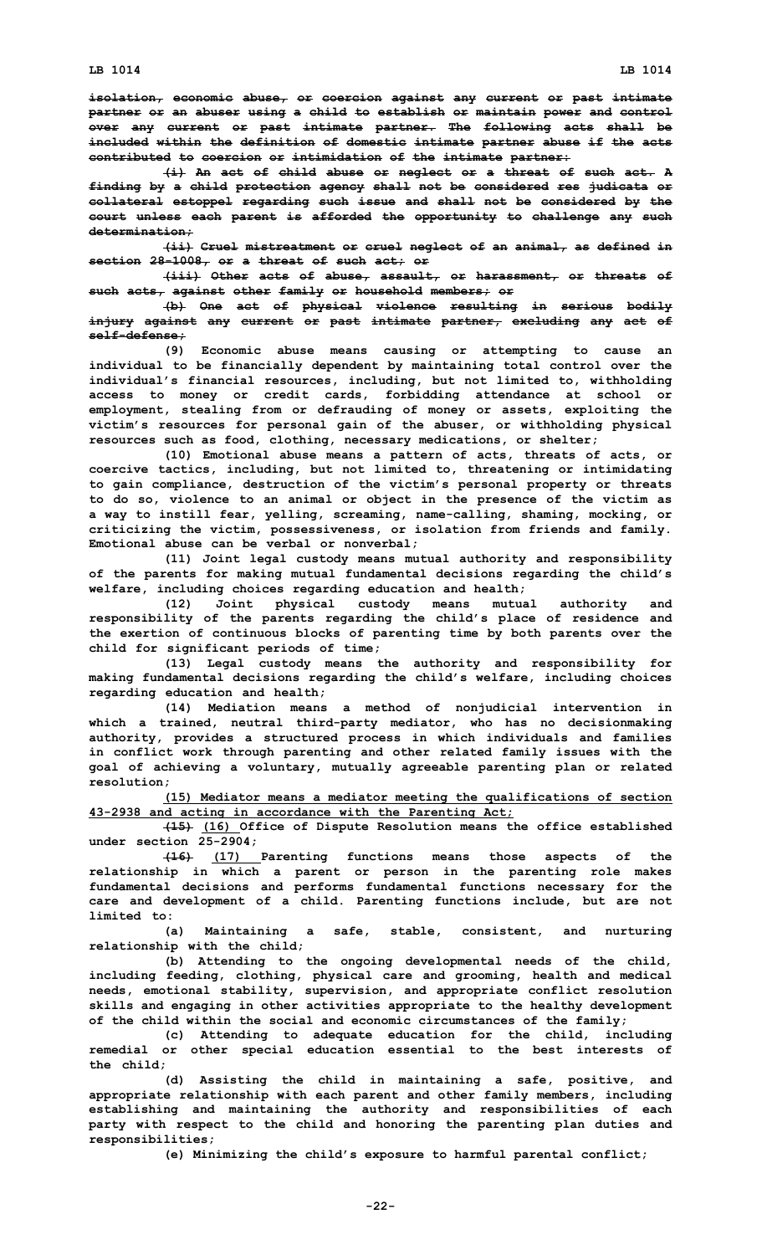**isolation, economic abuse, or coercion against any current or past intimate partner or an abuser using <sup>a</sup> child to establish or maintain power and control over any current or past intimate partner. The following acts shall be included within the definition of domestic intimate partner abuse if the acts contributed to coercion or intimidation of the intimate partner:**

**(i) An act of child abuse or neglect or <sup>a</sup> threat of such act. <sup>A</sup> finding by <sup>a</sup> child protection agency shall not be considered res judicata or collateral estoppel regarding such issue and shall not be considered by the court unless each parent is afforded the opportunity to challenge any such determination;**

**(ii) Cruel mistreatment or cruel neglect of an animal, as defined in section 28-1008, or <sup>a</sup> threat of such act; or**

**(iii) Other acts of abuse, assault, or harassment, or threats of such acts, against other family or household members; or**

**(b) One act of physical violence resulting in serious bodily injury against any current or past intimate partner, excluding any act of self-defense;**

**(9) Economic abuse means causing or attempting to cause an individual to be financially dependent by maintaining total control over the individual's financial resources, including, but not limited to, withholding access to money or credit cards, forbidding attendance at school or employment, stealing from or defrauding of money or assets, exploiting the victim's resources for personal gain of the abuser, or withholding physical resources such as food, clothing, necessary medications, or shelter;**

**(10) Emotional abuse means <sup>a</sup> pattern of acts, threats of acts, or coercive tactics, including, but not limited to, threatening or intimidating to gain compliance, destruction of the victim's personal property or threats to do so, violence to an animal or object in the presence of the victim as <sup>a</sup> way to instill fear, yelling, screaming, name-calling, shaming, mocking, or criticizing the victim, possessiveness, or isolation from friends and family. Emotional abuse can be verbal or nonverbal;**

**(11) Joint legal custody means mutual authority and responsibility of the parents for making mutual fundamental decisions regarding the child's welfare, including choices regarding education and health;**

**(12) Joint physical custody means mutual authority and responsibility of the parents regarding the child's place of residence and the exertion of continuous blocks of parenting time by both parents over the child for significant periods of time;**

**(13) Legal custody means the authority and responsibility for making fundamental decisions regarding the child's welfare, including choices regarding education and health;**

**(14) Mediation means <sup>a</sup> method of nonjudicial intervention in which <sup>a</sup> trained, neutral third-party mediator, who has no decisionmaking authority, provides <sup>a</sup> structured process in which individuals and families in conflict work through parenting and other related family issues with the goal of achieving <sup>a</sup> voluntary, mutually agreeable parenting plan or related resolution;**

**(15) Mediator means <sup>a</sup> mediator meeting the qualifications of section 43-2938 and acting in accordance with the Parenting Act;**

**(15) (16) Office of Dispute Resolution means the office established under section 25-2904;**

**(16) (17) Parenting functions means those aspects of the relationship in which <sup>a</sup> parent or person in the parenting role makes fundamental decisions and performs fundamental functions necessary for the care and development of <sup>a</sup> child. Parenting functions include, but are not limited to:**

**(a) Maintaining <sup>a</sup> safe, stable, consistent, and nurturing relationship with the child;**

**(b) Attending to the ongoing developmental needs of the child, including feeding, clothing, physical care and grooming, health and medical needs, emotional stability, supervision, and appropriate conflict resolution skills and engaging in other activities appropriate to the healthy development of the child within the social and economic circumstances of the family;**

**(c) Attending to adequate education for the child, including remedial or other special education essential to the best interests of the child;**

**(d) Assisting the child in maintaining <sup>a</sup> safe, positive, and appropriate relationship with each parent and other family members, including establishing and maintaining the authority and responsibilities of each party with respect to the child and honoring the parenting plan duties and responsibilities;**

**(e) Minimizing the child's exposure to harmful parental conflict;**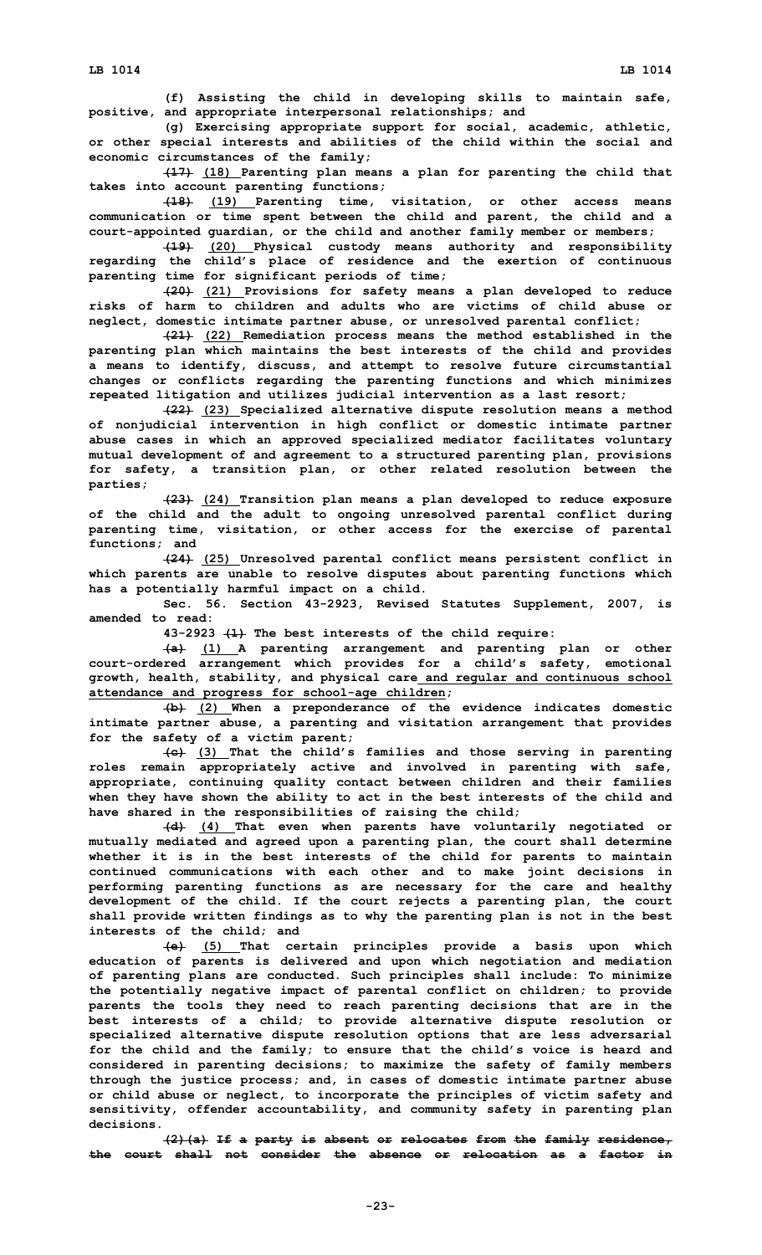**(f) Assisting the child in developing skills to maintain safe, positive, and appropriate interpersonal relationships; and**

**(g) Exercising appropriate support for social, academic, athletic, or other special interests and abilities of the child within the social and economic circumstances of the family;**

**(17) (18) Parenting plan means <sup>a</sup> plan for parenting the child that takes into account parenting functions;**

**(18) (19) Parenting time, visitation, or other access means communication or time spent between the child and parent, the child and <sup>a</sup> court-appointed guardian, or the child and another family member or members;**

**(19) (20) Physical custody means authority and responsibility regarding the child's place of residence and the exertion of continuous parenting time for significant periods of time;**

**(20) (21) Provisions for safety means <sup>a</sup> plan developed to reduce risks of harm to children and adults who are victims of child abuse or neglect, domestic intimate partner abuse, or unresolved parental conflict;**

**(21) (22) Remediation process means the method established in the parenting plan which maintains the best interests of the child and provides <sup>a</sup> means to identify, discuss, and attempt to resolve future circumstantial changes or conflicts regarding the parenting functions and which minimizes repeated litigation and utilizes judicial intervention as <sup>a</sup> last resort;**

**(22) (23) Specialized alternative dispute resolution means <sup>a</sup> method of nonjudicial intervention in high conflict or domestic intimate partner abuse cases in which an approved specialized mediator facilitates voluntary mutual development of and agreement to <sup>a</sup> structured parenting plan, provisions for safety, <sup>a</sup> transition plan, or other related resolution between the parties;**

**(23) (24) Transition plan means <sup>a</sup> plan developed to reduce exposure of the child and the adult to ongoing unresolved parental conflict during parenting time, visitation, or other access for the exercise of parental functions; and**

**(24) (25) Unresolved parental conflict means persistent conflict in which parents are unable to resolve disputes about parenting functions which has <sup>a</sup> potentially harmful impact on <sup>a</sup> child.**

**Sec. 56. Section 43-2923, Revised Statutes Supplement, 2007, is amended to read:**

**43-2923 (1) The best interests of the child require:**

**(a) (1) <sup>A</sup> parenting arrangement and parenting plan or other court-ordered arrangement which provides for <sup>a</sup> child's safety, emotional growth, health, stability, and physical care and regular and continuous school attendance and progress for school-age children;**

**(b) (2) When <sup>a</sup> preponderance of the evidence indicates domestic intimate partner abuse, <sup>a</sup> parenting and visitation arrangement that provides for the safety of <sup>a</sup> victim parent;**

**(c) (3) That the child's families and those serving in parenting roles remain appropriately active and involved in parenting with safe, appropriate, continuing quality contact between children and their families when they have shown the ability to act in the best interests of the child and have shared in the responsibilities of raising the child;**

**(d) (4) That even when parents have voluntarily negotiated or mutually mediated and agreed upon <sup>a</sup> parenting plan, the court shall determine whether it is in the best interests of the child for parents to maintain continued communications with each other and to make joint decisions in performing parenting functions as are necessary for the care and healthy development of the child. If the court rejects <sup>a</sup> parenting plan, the court shall provide written findings as to why the parenting plan is not in the best interests of the child; and**

**(e) (5) That certain principles provide <sup>a</sup> basis upon which education of parents is delivered and upon which negotiation and mediation of parenting plans are conducted. Such principles shall include: To minimize the potentially negative impact of parental conflict on children; to provide parents the tools they need to reach parenting decisions that are in the best interests of <sup>a</sup> child; to provide alternative dispute resolution or specialized alternative dispute resolution options that are less adversarial for the child and the family; to ensure that the child's voice is heard and considered in parenting decisions; to maximize the safety of family members through the justice process; and, in cases of domestic intimate partner abuse or child abuse or neglect, to incorporate the principles of victim safety and sensitivity, offender accountability, and community safety in parenting plan decisions.**

**(2)(a) If <sup>a</sup> party is absent or relocates from the family residence, the court shall not consider the absence or relocation as a factor in**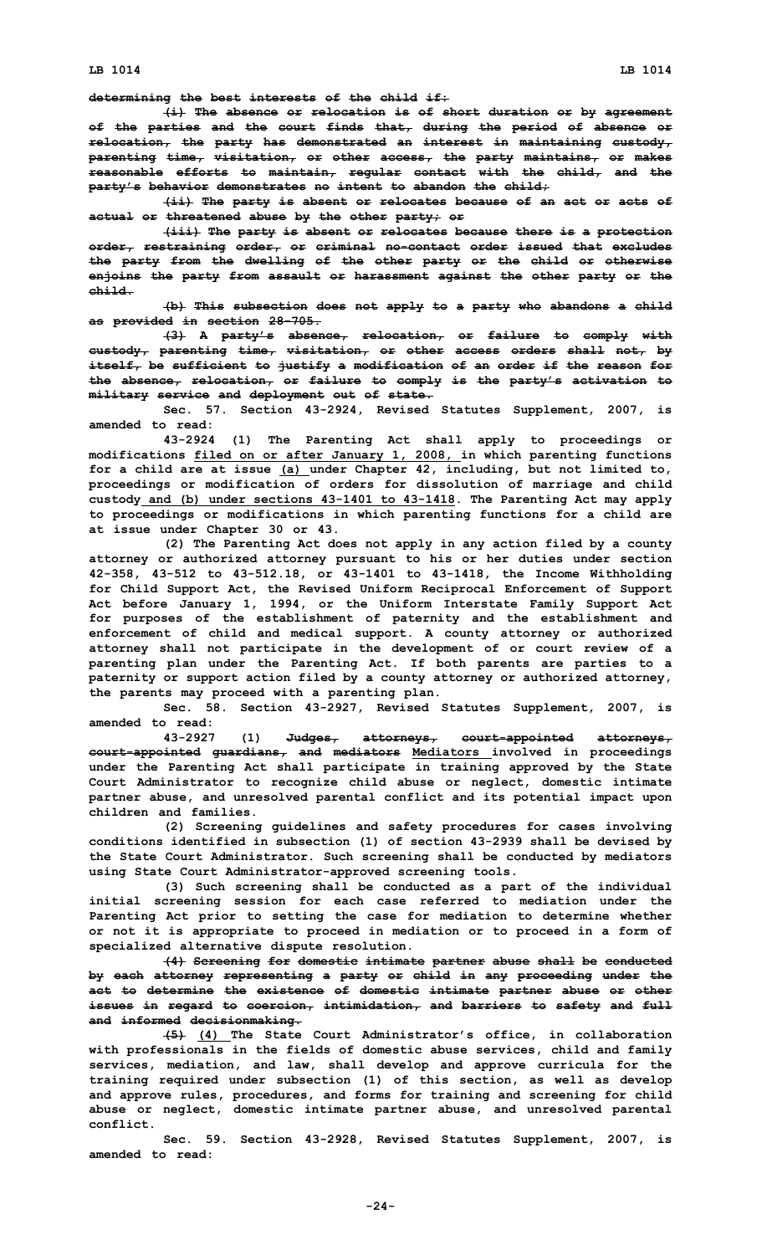## **LB 1014 LB 1014**

**determining the best interests of the child if:**

**(i) The absence or relocation is of short duration or by agreement of the parties and the court finds that, during the period of absence or relocation, the party has demonstrated an interest in maintaining custody, parenting time, visitation, or other access, the party maintains, or makes reasonable efforts to maintain, regular contact with the child, and the party's behavior demonstrates no intent to abandon the child;**

**(ii) The party is absent or relocates because of an act or acts of actual or threatened abuse by the other party; or**

**(iii) The party is absent or relocates because there is <sup>a</sup> protection order, restraining order, or criminal no-contact order issued that excludes the party from the dwelling of the other party or the child or otherwise enjoins the party from assault or harassment against the other party or the child.**

**(b) This subsection does not apply to <sup>a</sup> party who abandons <sup>a</sup> child as provided in section 28-705.**

**(3) <sup>A</sup> party's absence, relocation, or failure to comply with custody, parenting time, visitation, or other access orders shall not, by itself, be sufficient to justify <sup>a</sup> modification of an order if the reason for the absence, relocation, or failure to comply is the party's activation to military service and deployment out of state.**

**Sec. 57. Section 43-2924, Revised Statutes Supplement, 2007, is amended to read:**

**43-2924 (1) The Parenting Act shall apply to proceedings or modifications filed on or after January 1, 2008, in which parenting functions for <sup>a</sup> child are at issue (a) under Chapter 42, including, but not limited to, proceedings or modification of orders for dissolution of marriage and child custody and (b) under sections 43-1401 to 43-1418. The Parenting Act may apply to proceedings or modifications in which parenting functions for <sup>a</sup> child are at issue under Chapter 30 or 43.**

**(2) The Parenting Act does not apply in any action filed by <sup>a</sup> county attorney or authorized attorney pursuant to his or her duties under section 42-358, 43-512 to 43-512.18, or 43-1401 to 43-1418, the Income Withholding for Child Support Act, the Revised Uniform Reciprocal Enforcement of Support Act before January 1, 1994, or the Uniform Interstate Family Support Act for purposes of the establishment of paternity and the establishment and enforcement of child and medical support. A county attorney or authorized attorney shall not participate in the development of or court review of <sup>a</sup> parenting plan under the Parenting Act. If both parents are parties to <sup>a</sup> paternity or support action filed by <sup>a</sup> county attorney or authorized attorney, the parents may proceed with <sup>a</sup> parenting plan.**

**Sec. 58. Section 43-2927, Revised Statutes Supplement, 2007, is amended to read:**

**43-2927 (1) Judges, attorneys, court-appointed attorneys, court-appointed guardians, and mediators Mediators involved in proceedings under the Parenting Act shall participate in training approved by the State Court Administrator to recognize child abuse or neglect, domestic intimate partner abuse, and unresolved parental conflict and its potential impact upon children and families.**

**(2) Screening guidelines and safety procedures for cases involving conditions identified in subsection (1) of section 43-2939 shall be devised by the State Court Administrator. Such screening shall be conducted by mediators using State Court Administrator-approved screening tools.**

**(3) Such screening shall be conducted as <sup>a</sup> part of the individual initial screening session for each case referred to mediation under the Parenting Act prior to setting the case for mediation to determine whether or not it is appropriate to proceed in mediation or to proceed in <sup>a</sup> form of specialized alternative dispute resolution.**

**(4) Screening for domestic intimate partner abuse shall be conducted by each attorney representing <sup>a</sup> party or child in any proceeding under the act to determine the existence of domestic intimate partner abuse or other issues in regard to coercion, intimidation, and barriers to safety and full and informed decisionmaking.**

**(5) (4) The State Court Administrator's office, in collaboration with professionals in the fields of domestic abuse services, child and family services, mediation, and law, shall develop and approve curricula for the training required under subsection (1) of this section, as well as develop and approve rules, procedures, and forms for training and screening for child abuse or neglect, domestic intimate partner abuse, and unresolved parental conflict.**

**Sec. 59. Section 43-2928, Revised Statutes Supplement, 2007, is amended to read:**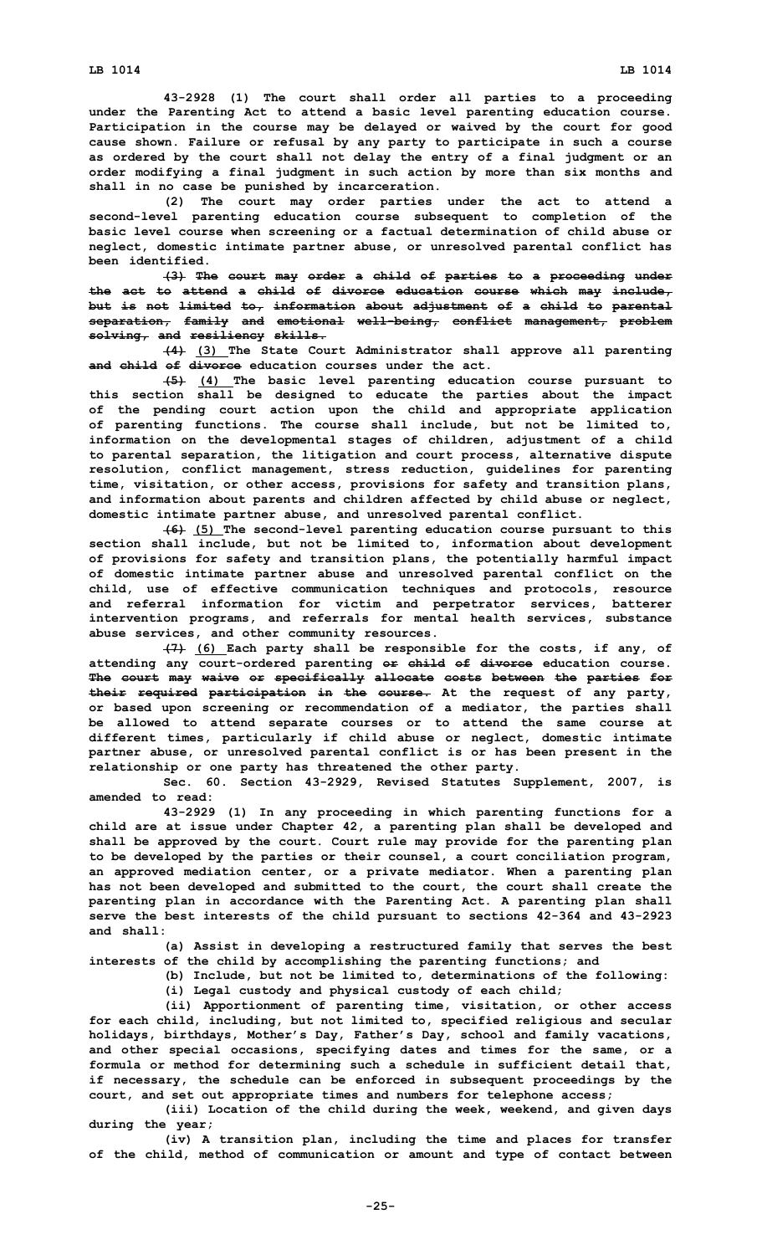**43-2928 (1) The court shall order all parties to <sup>a</sup> proceeding under the Parenting Act to attend <sup>a</sup> basic level parenting education course. Participation in the course may be delayed or waived by the court for good cause shown. Failure or refusal by any party to participate in such <sup>a</sup> course as ordered by the court shall not delay the entry of <sup>a</sup> final judgment or an order modifying <sup>a</sup> final judgment in such action by more than six months and shall in no case be punished by incarceration.**

**(2) The court may order parties under the act to attend <sup>a</sup> second-level parenting education course subsequent to completion of the basic level course when screening or <sup>a</sup> factual determination of child abuse or neglect, domestic intimate partner abuse, or unresolved parental conflict has been identified.**

**(3) The court may order <sup>a</sup> child of parties to <sup>a</sup> proceeding under the act to attend <sup>a</sup> child of divorce education course which may include, but is not limited to, information about adjustment of <sup>a</sup> child to parental separation, family and emotional well-being, conflict management, problem solving, and resiliency skills.**

**(4) (3) The State Court Administrator shall approve all parenting and child of divorce education courses under the act.**

**(5) (4) The basic level parenting education course pursuant to this section shall be designed to educate the parties about the impact of the pending court action upon the child and appropriate application of parenting functions. The course shall include, but not be limited to, information on the developmental stages of children, adjustment of <sup>a</sup> child to parental separation, the litigation and court process, alternative dispute resolution, conflict management, stress reduction, guidelines for parenting time, visitation, or other access, provisions for safety and transition plans, and information about parents and children affected by child abuse or neglect, domestic intimate partner abuse, and unresolved parental conflict.**

**(6) (5) The second-level parenting education course pursuant to this section shall include, but not be limited to, information about development of provisions for safety and transition plans, the potentially harmful impact of domestic intimate partner abuse and unresolved parental conflict on the child, use of effective communication techniques and protocols, resource and referral information for victim and perpetrator services, batterer intervention programs, and referrals for mental health services, substance abuse services, and other community resources.**

**(7) (6) Each party shall be responsible for the costs, if any, of attending any court-ordered parenting or child of divorce education course. The court may waive or specifically allocate costs between the parties for their required participation in the course. At the request of any party, or based upon screening or recommendation of <sup>a</sup> mediator, the parties shall be allowed to attend separate courses or to attend the same course at different times, particularly if child abuse or neglect, domestic intimate partner abuse, or unresolved parental conflict is or has been present in the relationship or one party has threatened the other party.**

**Sec. 60. Section 43-2929, Revised Statutes Supplement, 2007, is amended to read:**

**43-2929 (1) In any proceeding in which parenting functions for <sup>a</sup> child are at issue under Chapter 42, <sup>a</sup> parenting plan shall be developed and shall be approved by the court. Court rule may provide for the parenting plan to be developed by the parties or their counsel, <sup>a</sup> court conciliation program, an approved mediation center, or <sup>a</sup> private mediator. When <sup>a</sup> parenting plan has not been developed and submitted to the court, the court shall create the parenting plan in accordance with the Parenting Act. A parenting plan shall serve the best interests of the child pursuant to sections 42-364 and 43-2923 and shall:**

**(a) Assist in developing <sup>a</sup> restructured family that serves the best interests of the child by accomplishing the parenting functions; and**

**(b) Include, but not be limited to, determinations of the following:**

**(i) Legal custody and physical custody of each child;**

**(ii) Apportionment of parenting time, visitation, or other access for each child, including, but not limited to, specified religious and secular holidays, birthdays, Mother's Day, Father's Day, school and family vacations, and other special occasions, specifying dates and times for the same, or <sup>a</sup> formula or method for determining such <sup>a</sup> schedule in sufficient detail that, if necessary, the schedule can be enforced in subsequent proceedings by the court, and set out appropriate times and numbers for telephone access;**

**(iii) Location of the child during the week, weekend, and given days during the year;**

**(iv) <sup>A</sup> transition plan, including the time and places for transfer of the child, method of communication or amount and type of contact between**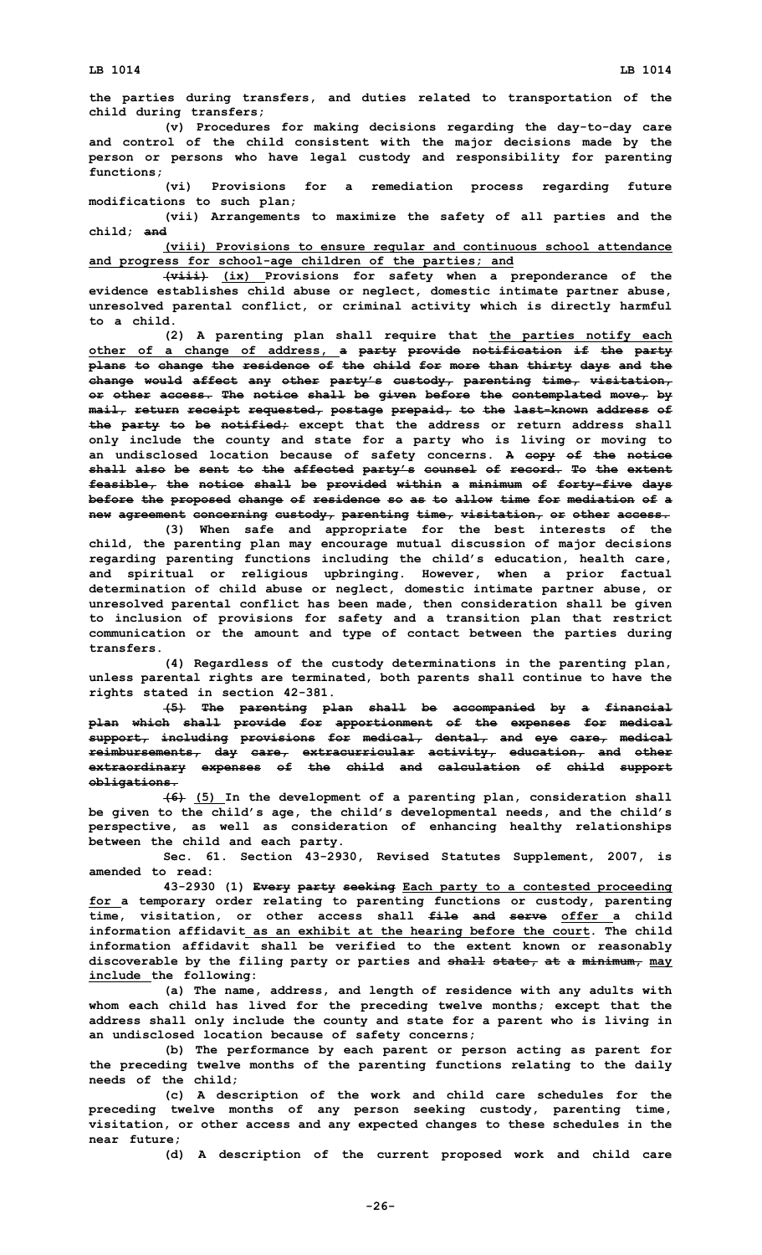**the parties during transfers, and duties related to transportation of the child during transfers;**

**(v) Procedures for making decisions regarding the day-to-day care and control of the child consistent with the major decisions made by the person or persons who have legal custody and responsibility for parenting functions;**

**(vi) Provisions for <sup>a</sup> remediation process regarding future modifications to such plan;**

**(vii) Arrangements to maximize the safety of all parties and the child; and**

**(viii) Provisions to ensure regular and continuous school attendance and progress for school-age children of the parties; and**

**(viii) (ix) Provisions for safety when <sup>a</sup> preponderance of the evidence establishes child abuse or neglect, domestic intimate partner abuse, unresolved parental conflict, or criminal activity which is directly harmful to a child.**

**(2) <sup>A</sup> parenting plan shall require that the parties notify each other of <sup>a</sup> change of address, <sup>a</sup> party provide notification if the party plans to change the residence of the child for more than thirty days and the change would affect any other party's custody, parenting time, visitation, or other access. The notice shall be given before the contemplated move, by mail, return receipt requested, postage prepaid, to the last-known address of the party to be notified; except that the address or return address shall only include the county and state for <sup>a</sup> party who is living or moving to an undisclosed location because of safety concerns. A copy of the notice shall also be sent to the affected party's counsel of record. To the extent feasible, the notice shall be provided within <sup>a</sup> minimum of forty-five days before the proposed change of residence so as to allow time for mediation of <sup>a</sup> new agreement concerning custody, parenting time, visitation, or other access.**

**(3) When safe and appropriate for the best interests of the child, the parenting plan may encourage mutual discussion of major decisions regarding parenting functions including the child's education, health care, and spiritual or religious upbringing. However, when <sup>a</sup> prior factual determination of child abuse or neglect, domestic intimate partner abuse, or unresolved parental conflict has been made, then consideration shall be given to inclusion of provisions for safety and <sup>a</sup> transition plan that restrict communication or the amount and type of contact between the parties during transfers.**

**(4) Regardless of the custody determinations in the parenting plan, unless parental rights are terminated, both parents shall continue to have the rights stated in section 42-381.**

**(5) The parenting plan shall be accompanied by <sup>a</sup> financial plan which shall provide for apportionment of the expenses for medical support, including provisions for medical, dental, and eye care, medical reimbursements, day care, extracurricular activity, education, and other extraordinary expenses of the child and calculation of child support obligations.**

**(6) (5) In the development of <sup>a</sup> parenting plan, consideration shall be given to the child's age, the child's developmental needs, and the child's perspective, as well as consideration of enhancing healthy relationships between the child and each party.**

**Sec. 61. Section 43-2930, Revised Statutes Supplement, 2007, is amended to read:**

**43-2930 (1) Every party seeking Each party to <sup>a</sup> contested proceeding for <sup>a</sup> temporary order relating to parenting functions or custody, parenting time, visitation, or other access shall file and serve offer <sup>a</sup> child information affidavit as an exhibit at the hearing before the court. The child information affidavit shall be verified to the extent known or reasonably discoverable by the filing party or parties and shall state, at <sup>a</sup> minimum, may include the following:**

**(a) The name, address, and length of residence with any adults with whom each child has lived for the preceding twelve months; except that the address shall only include the county and state for <sup>a</sup> parent who is living in an undisclosed location because of safety concerns;**

**(b) The performance by each parent or person acting as parent for the preceding twelve months of the parenting functions relating to the daily needs of the child;**

**(c) <sup>A</sup> description of the work and child care schedules for the preceding twelve months of any person seeking custody, parenting time, visitation, or other access and any expected changes to these schedules in the near future;**

**(d) <sup>A</sup> description of the current proposed work and child care**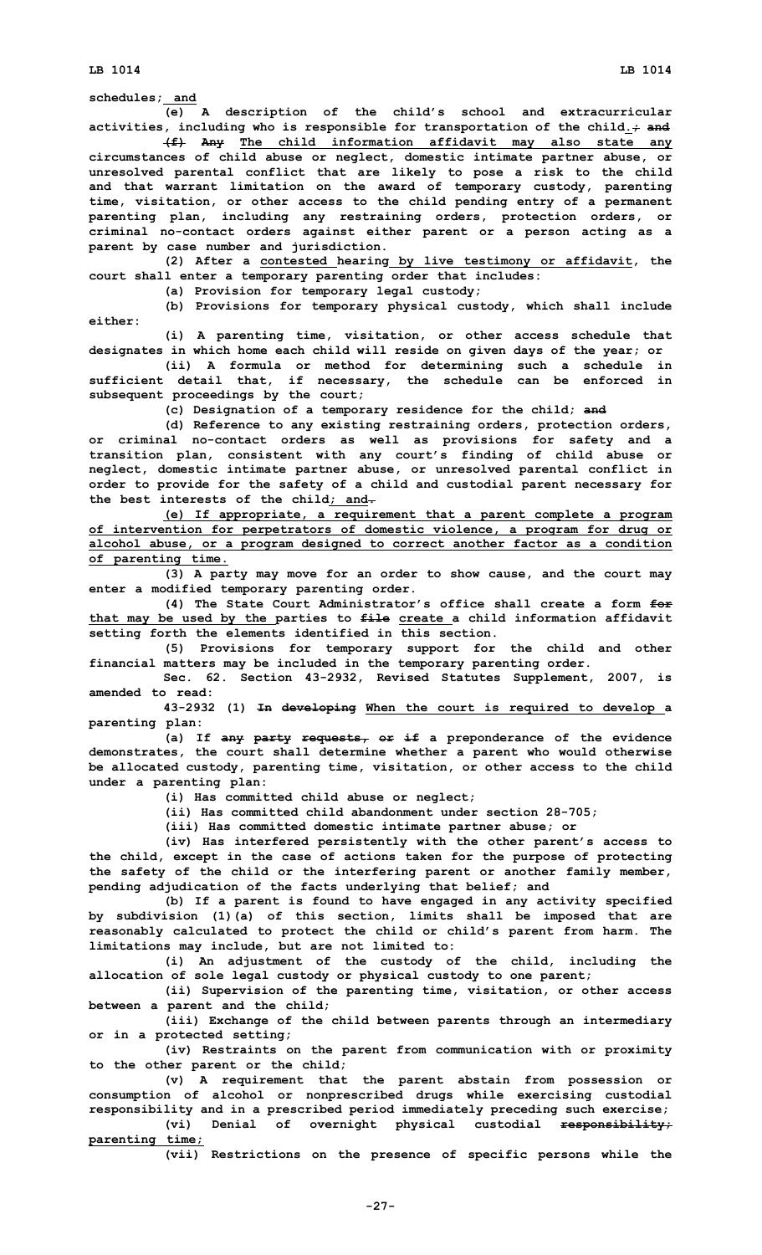**LB 1014 LB 1014**

**schedules; and**

**(e) <sup>A</sup> description of the child's school and extracurricular activities, including who is responsible for transportation of the child.; and**

**(f) Any The child information affidavit may also state any circumstances of child abuse or neglect, domestic intimate partner abuse, or unresolved parental conflict that are likely to pose <sup>a</sup> risk to the child and that warrant limitation on the award of temporary custody, parenting time, visitation, or other access to the child pending entry of <sup>a</sup> permanent parenting plan, including any restraining orders, protection orders, or criminal no-contact orders against either parent or <sup>a</sup> person acting as <sup>a</sup> parent by case number and jurisdiction.**

**(2) After <sup>a</sup> contested hearing by live testimony or affidavit, the court shall enter <sup>a</sup> temporary parenting order that includes:**

**(a) Provision for temporary legal custody;**

**(b) Provisions for temporary physical custody, which shall include either:**

**(i) <sup>A</sup> parenting time, visitation, or other access schedule that designates in which home each child will reside on given days of the year; or**

**(ii) <sup>A</sup> formula or method for determining such <sup>a</sup> schedule in sufficient detail that, if necessary, the schedule can be enforced in subsequent proceedings by the court;**

**(c) Designation of <sup>a</sup> temporary residence for the child; and**

**(d) Reference to any existing restraining orders, protection orders, or criminal no-contact orders as well as provisions for safety and <sup>a</sup> transition plan, consistent with any court's finding of child abuse or neglect, domestic intimate partner abuse, or unresolved parental conflict in order to provide for the safety of <sup>a</sup> child and custodial parent necessary for the best interests of the child; and.**

**(e) If appropriate, <sup>a</sup> requirement that <sup>a</sup> parent complete <sup>a</sup> program of intervention for perpetrators of domestic violence, <sup>a</sup> program for drug or alcohol abuse, or <sup>a</sup> program designed to correct another factor as <sup>a</sup> condition of parenting time.**

**(3) <sup>A</sup> party may move for an order to show cause, and the court may enter <sup>a</sup> modified temporary parenting order.**

**(4) The State Court Administrator's office shall create <sup>a</sup> form for that may be used by the parties to file create <sup>a</sup> child information affidavit setting forth the elements identified in this section.**

**(5) Provisions for temporary support for the child and other financial matters may be included in the temporary parenting order.**

**Sec. 62. Section 43-2932, Revised Statutes Supplement, 2007, is amended to read:**

**43-2932 (1) In developing When the court is required to develop <sup>a</sup> parenting plan:**

**(a) If any party requests, or if <sup>a</sup> preponderance of the evidence demonstrates, the court shall determine whether <sup>a</sup> parent who would otherwise be allocated custody, parenting time, visitation, or other access to the child under <sup>a</sup> parenting plan:**

**(i) Has committed child abuse or neglect;**

**(ii) Has committed child abandonment under section 28-705;**

**(iii) Has committed domestic intimate partner abuse; or**

**(iv) Has interfered persistently with the other parent's access to the child, except in the case of actions taken for the purpose of protecting the safety of the child or the interfering parent or another family member, pending adjudication of the facts underlying that belief; and**

**(b) If <sup>a</sup> parent is found to have engaged in any activity specified by subdivision (1)(a) of this section, limits shall be imposed that are reasonably calculated to protect the child or child's parent from harm. The limitations may include, but are not limited to:**

**(i) An adjustment of the custody of the child, including the allocation of sole legal custody or physical custody to one parent;**

**(ii) Supervision of the parenting time, visitation, or other access between <sup>a</sup> parent and the child;**

**(iii) Exchange of the child between parents through an intermediary or in <sup>a</sup> protected setting;**

**(iv) Restraints on the parent from communication with or proximity to the other parent or the child;**

**(v) <sup>A</sup> requirement that the parent abstain from possession or consumption of alcohol or nonprescribed drugs while exercising custodial responsibility and in <sup>a</sup> prescribed period immediately preceding such exercise;**

**(vi) Denial of overnight physical custodial responsibility; parenting time;**

**(vii) Restrictions on the presence of specific persons while the**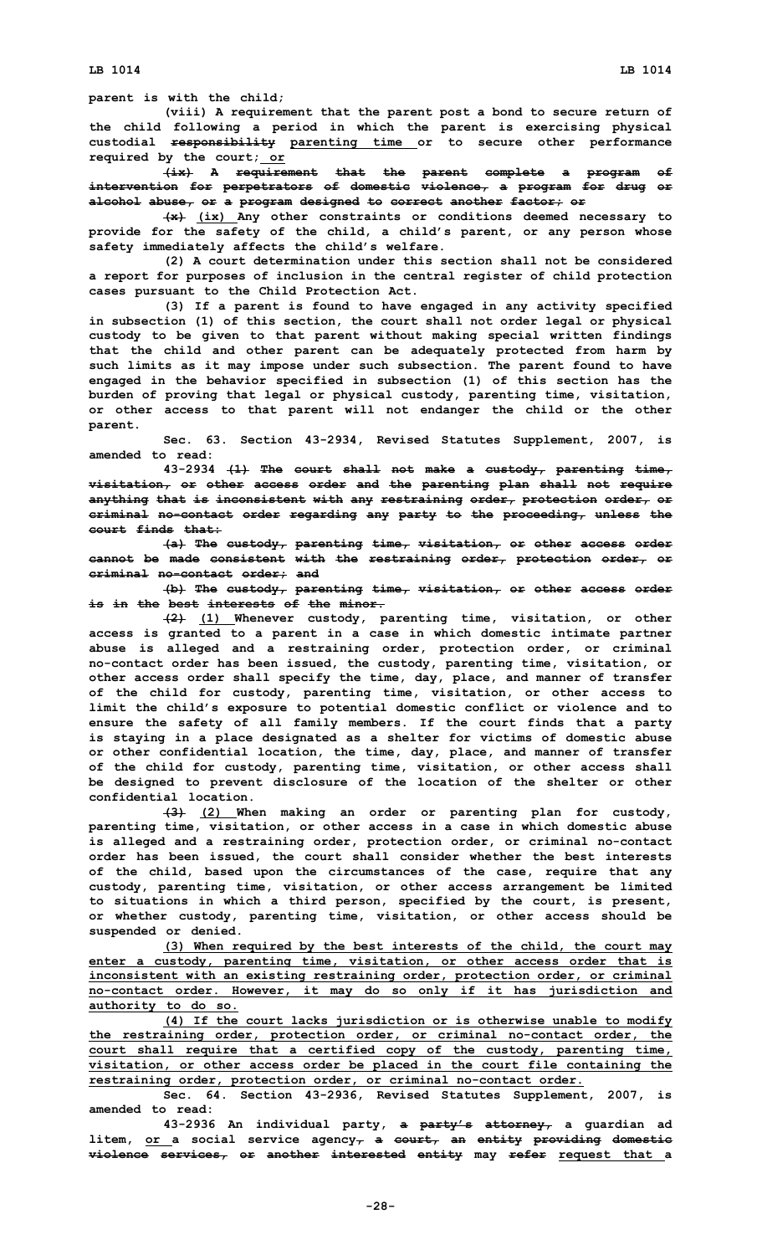**(viii) <sup>A</sup> requirement that the parent post <sup>a</sup> bond to secure return of the child following <sup>a</sup> period in which the parent is exercising physical custodial responsibility parenting time or to secure other performance required by the court; or**

**(ix) <sup>A</sup> requirement that the parent complete <sup>a</sup> program of intervention for perpetrators of domestic violence, <sup>a</sup> program for drug or alcohol abuse, or <sup>a</sup> program designed to correct another factor; or**

**(x) (ix) Any other constraints or conditions deemed necessary to provide for the safety of the child, <sup>a</sup> child's parent, or any person whose safety immediately affects the child's welfare.**

**(2) A court determination under this section shall not be considered <sup>a</sup> report for purposes of inclusion in the central register of child protection cases pursuant to the Child Protection Act.**

**(3) If <sup>a</sup> parent is found to have engaged in any activity specified in subsection (1) of this section, the court shall not order legal or physical custody to be given to that parent without making special written findings that the child and other parent can be adequately protected from harm by such limits as it may impose under such subsection. The parent found to have engaged in the behavior specified in subsection (1) of this section has the burden of proving that legal or physical custody, parenting time, visitation, or other access to that parent will not endanger the child or the other parent.**

**Sec. 63. Section 43-2934, Revised Statutes Supplement, 2007, is amended to read:**

**43-2934 (1) The court shall not make <sup>a</sup> custody, parenting time, visitation, or other access order and the parenting plan shall not require anything that is inconsistent with any restraining order, protection order, or criminal no-contact order regarding any party to the proceeding, unless the court finds that:**

**(a) The custody, parenting time, visitation, or other access order cannot be made consistent with the restraining order, protection order, or criminal no-contact order; and**

**(b) The custody, parenting time, visitation, or other access order is in the best interests of the minor.**

**(2) (1) Whenever custody, parenting time, visitation, or other access is granted to <sup>a</sup> parent in <sup>a</sup> case in which domestic intimate partner abuse is alleged and <sup>a</sup> restraining order, protection order, or criminal no-contact order has been issued, the custody, parenting time, visitation, or other access order shall specify the time, day, place, and manner of transfer of the child for custody, parenting time, visitation, or other access to limit the child's exposure to potential domestic conflict or violence and to ensure the safety of all family members. If the court finds that <sup>a</sup> party is staying in <sup>a</sup> place designated as <sup>a</sup> shelter for victims of domestic abuse or other confidential location, the time, day, place, and manner of transfer of the child for custody, parenting time, visitation, or other access shall be designed to prevent disclosure of the location of the shelter or other confidential location.**

**(3) (2) When making an order or parenting plan for custody, parenting time, visitation, or other access in <sup>a</sup> case in which domestic abuse is alleged and <sup>a</sup> restraining order, protection order, or criminal no-contact order has been issued, the court shall consider whether the best interests of the child, based upon the circumstances of the case, require that any custody, parenting time, visitation, or other access arrangement be limited to situations in which <sup>a</sup> third person, specified by the court, is present, or whether custody, parenting time, visitation, or other access should be suspended or denied.**

**(3) When required by the best interests of the child, the court may enter <sup>a</sup> custody, parenting time, visitation, or other access order that is inconsistent with an existing restraining order, protection order, or criminal no-contact order. However, it may do so only if it has jurisdiction and authority to do so.**

**(4) If the court lacks jurisdiction or is otherwise unable to modify the restraining order, protection order, or criminal no-contact order, the court shall require that <sup>a</sup> certified copy of the custody, parenting time, visitation, or other access order be placed in the court file containing the restraining order, protection order, or criminal no-contact order.**

**Sec. 64. Section 43-2936, Revised Statutes Supplement, 2007, is amended to read:**

**43-2936 An individual party, <sup>a</sup> party's attorney, <sup>a</sup> guardian ad litem, or <sup>a</sup> social service agency, <sup>a</sup> court, an entity providing domestic violence services, or another interested entity may refer request that <sup>a</sup>**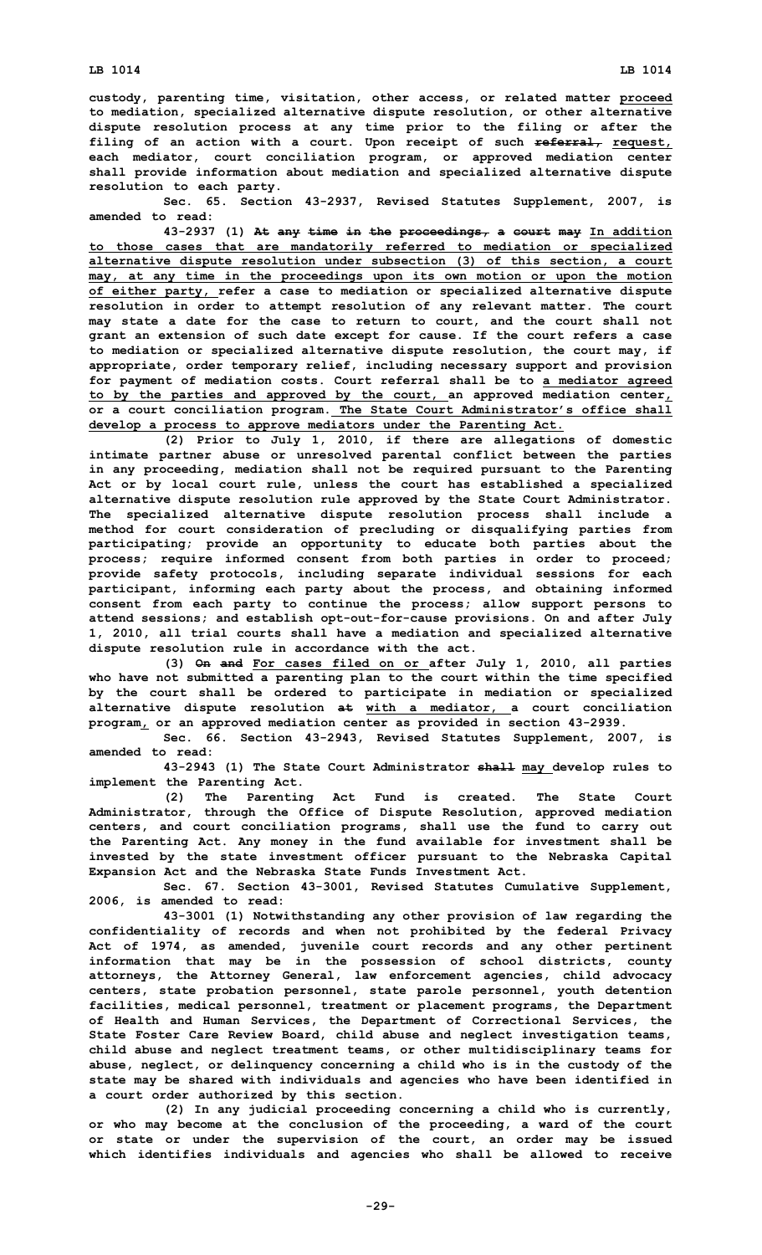**custody, parenting time, visitation, other access, or related matter proceed to mediation, specialized alternative dispute resolution, or other alternative dispute resolution process at any time prior to the filing or after the filing of an action with <sup>a</sup> court. Upon receipt of such referral, request, each mediator, court conciliation program, or approved mediation center shall provide information about mediation and specialized alternative dispute resolution to each party.**

**Sec. 65. Section 43-2937, Revised Statutes Supplement, 2007, is amended to read:**

**43-2937 (1) At any time in the proceedings, <sup>a</sup> court may In addition to those cases that are mandatorily referred to mediation or specialized alternative dispute resolution under subsection (3) of this section, <sup>a</sup> court may, at any time in the proceedings upon its own motion or upon the motion of either party, refer <sup>a</sup> case to mediation or specialized alternative dispute resolution in order to attempt resolution of any relevant matter. The court may state <sup>a</sup> date for the case to return to court, and the court shall not grant an extension of such date except for cause. If the court refers <sup>a</sup> case to mediation or specialized alternative dispute resolution, the court may, if appropriate, order temporary relief, including necessary support and provision for payment of mediation costs. Court referral shall be to <sup>a</sup> mediator agreed to by the parties and approved by the court, an approved mediation center, or <sup>a</sup> court conciliation program. The State Court Administrator's office shall develop <sup>a</sup> process to approve mediators under the Parenting Act.**

**(2) Prior to July 1, 2010, if there are allegations of domestic intimate partner abuse or unresolved parental conflict between the parties in any proceeding, mediation shall not be required pursuant to the Parenting Act or by local court rule, unless the court has established <sup>a</sup> specialized alternative dispute resolution rule approved by the State Court Administrator. The specialized alternative dispute resolution process shall include <sup>a</sup> method for court consideration of precluding or disqualifying parties from participating; provide an opportunity to educate both parties about the process; require informed consent from both parties in order to proceed; provide safety protocols, including separate individual sessions for each participant, informing each party about the process, and obtaining informed consent from each party to continue the process; allow support persons to attend sessions; and establish opt-out-for-cause provisions. On and after July 1, 2010, all trial courts shall have <sup>a</sup> mediation and specialized alternative dispute resolution rule in accordance with the act.**

**(3) On and For cases filed on or after July 1, 2010, all parties who have not submitted <sup>a</sup> parenting plan to the court within the time specified by the court shall be ordered to participate in mediation or specialized alternative dispute resolution at with <sup>a</sup> mediator, <sup>a</sup> court conciliation program, or an approved mediation center as provided in section 43-2939.**

**Sec. 66. Section 43-2943, Revised Statutes Supplement, 2007, is amended to read:**

**43-2943 (1) The State Court Administrator shall may develop rules to implement the Parenting Act.**

**(2) The Parenting Act Fund is created. The State Court Administrator, through the Office of Dispute Resolution, approved mediation centers, and court conciliation programs, shall use the fund to carry out the Parenting Act. Any money in the fund available for investment shall be invested by the state investment officer pursuant to the Nebraska Capital Expansion Act and the Nebraska State Funds Investment Act.**

**Sec. 67. Section 43-3001, Revised Statutes Cumulative Supplement, 2006, is amended to read:**

**43-3001 (1) Notwithstanding any other provision of law regarding the confidentiality of records and when not prohibited by the federal Privacy Act of 1974, as amended, juvenile court records and any other pertinent information that may be in the possession of school districts, county attorneys, the Attorney General, law enforcement agencies, child advocacy centers, state probation personnel, state parole personnel, youth detention facilities, medical personnel, treatment or placement programs, the Department of Health and Human Services, the Department of Correctional Services, the State Foster Care Review Board, child abuse and neglect investigation teams, child abuse and neglect treatment teams, or other multidisciplinary teams for abuse, neglect, or delinquency concerning <sup>a</sup> child who is in the custody of the state may be shared with individuals and agencies who have been identified in <sup>a</sup> court order authorized by this section.**

**(2) In any judicial proceeding concerning <sup>a</sup> child who is currently, or who may become at the conclusion of the proceeding, <sup>a</sup> ward of the court or state or under the supervision of the court, an order may be issued which identifies individuals and agencies who shall be allowed to receive**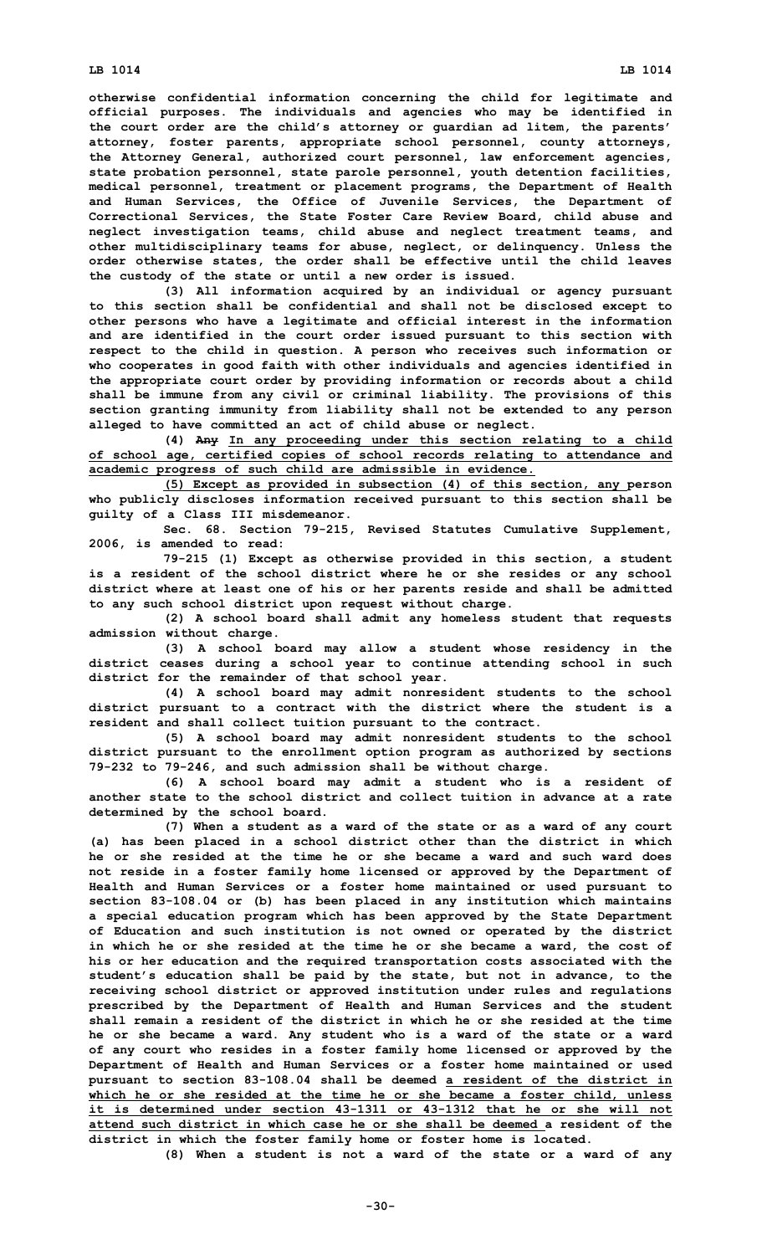**otherwise confidential information concerning the child for legitimate and official purposes. The individuals and agencies who may be identified in the court order are the child's attorney or guardian ad litem, the parents' attorney, foster parents, appropriate school personnel, county attorneys, the Attorney General, authorized court personnel, law enforcement agencies, state probation personnel, state parole personnel, youth detention facilities, medical personnel, treatment or placement programs, the Department of Health and Human Services, the Office of Juvenile Services, the Department of Correctional Services, the State Foster Care Review Board, child abuse and neglect investigation teams, child abuse and neglect treatment teams, and other multidisciplinary teams for abuse, neglect, or delinquency. Unless the order otherwise states, the order shall be effective until the child leaves the custody of the state or until <sup>a</sup> new order is issued.**

**(3) All information acquired by an individual or agency pursuant to this section shall be confidential and shall not be disclosed except to other persons who have <sup>a</sup> legitimate and official interest in the information and are identified in the court order issued pursuant to this section with respect to the child in question. A person who receives such information or who cooperates in good faith with other individuals and agencies identified in the appropriate court order by providing information or records about <sup>a</sup> child shall be immune from any civil or criminal liability. The provisions of this section granting immunity from liability shall not be extended to any person alleged to have committed an act of child abuse or neglect.**

**(4) Any In any proceeding under this section relating to <sup>a</sup> child of school age, certified copies of school records relating to attendance and academic progress of such child are admissible in evidence.**

**(5) Except as provided in subsection (4) of this section, any person who publicly discloses information received pursuant to this section shall be guilty of <sup>a</sup> Class III misdemeanor.**

**Sec. 68. Section 79-215, Revised Statutes Cumulative Supplement, 2006, is amended to read:**

**79-215 (1) Except as otherwise provided in this section, <sup>a</sup> student is <sup>a</sup> resident of the school district where he or she resides or any school district where at least one of his or her parents reside and shall be admitted to any such school district upon request without charge.**

**(2) <sup>A</sup> school board shall admit any homeless student that requests admission without charge.**

**(3) <sup>A</sup> school board may allow <sup>a</sup> student whose residency in the district ceases during <sup>a</sup> school year to continue attending school in such district for the remainder of that school year.**

**(4) <sup>A</sup> school board may admit nonresident students to the school district pursuant to <sup>a</sup> contract with the district where the student is <sup>a</sup> resident and shall collect tuition pursuant to the contract.**

**(5) <sup>A</sup> school board may admit nonresident students to the school district pursuant to the enrollment option program as authorized by sections 79-232 to 79-246, and such admission shall be without charge.**

**(6) <sup>A</sup> school board may admit <sup>a</sup> student who is <sup>a</sup> resident of another state to the school district and collect tuition in advance at a rate determined by the school board.**

**(7) When <sup>a</sup> student as <sup>a</sup> ward of the state or as <sup>a</sup> ward of any court (a) has been placed in <sup>a</sup> school district other than the district in which he or she resided at the time he or she became a ward and such ward does not reside in <sup>a</sup> foster family home licensed or approved by the Department of Health and Human Services or <sup>a</sup> foster home maintained or used pursuant to section 83-108.04 or (b) has been placed in any institution which maintains <sup>a</sup> special education program which has been approved by the State Department of Education and such institution is not owned or operated by the district in which he or she resided at the time he or she became <sup>a</sup> ward, the cost of his or her education and the required transportation costs associated with the student's education shall be paid by the state, but not in advance, to the receiving school district or approved institution under rules and regulations prescribed by the Department of Health and Human Services and the student shall remain a resident of the district in which he or she resided at the time he or she became <sup>a</sup> ward. Any student who is <sup>a</sup> ward of the state or <sup>a</sup> ward of any court who resides in <sup>a</sup> foster family home licensed or approved by the Department of Health and Human Services or <sup>a</sup> foster home maintained or used pursuant to section 83-108.04 shall be deemed <sup>a</sup> resident of the district in which he or she resided at the time he or she became <sup>a</sup> foster child, unless it is determined under section 43-1311 or 43-1312 that he or she will not attend such district in which case he or she shall be deemed a resident of the district in which the foster family home or foster home is located.**

**(8) When <sup>a</sup> student is not <sup>a</sup> ward of the state or <sup>a</sup> ward of any**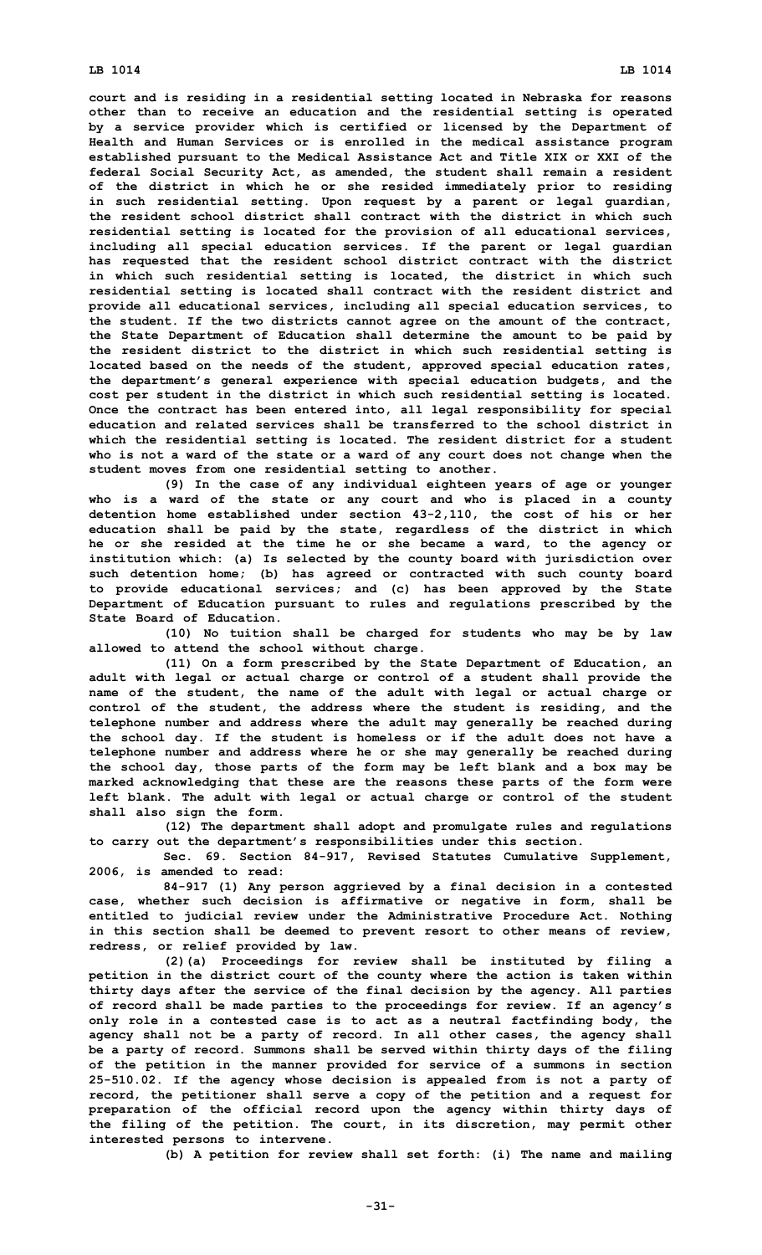**court and is residing in <sup>a</sup> residential setting located in Nebraska for reasons other than to receive an education and the residential setting is operated by <sup>a</sup> service provider which is certified or licensed by the Department of Health and Human Services or is enrolled in the medical assistance program established pursuant to the Medical Assistance Act and Title XIX or XXI of the federal Social Security Act, as amended, the student shall remain <sup>a</sup> resident of the district in which he or she resided immediately prior to residing in such residential setting. Upon request by <sup>a</sup> parent or legal guardian, the resident school district shall contract with the district in which such residential setting is located for the provision of all educational services, including all special education services. If the parent or legal guardian has requested that the resident school district contract with the district in which such residential setting is located, the district in which such residential setting is located shall contract with the resident district and provide all educational services, including all special education services, to the student. If the two districts cannot agree on the amount of the contract, the State Department of Education shall determine the amount to be paid by the resident district to the district in which such residential setting is located based on the needs of the student, approved special education rates, the department's general experience with special education budgets, and the cost per student in the district in which such residential setting is located. Once the contract has been entered into, all legal responsibility for special education and related services shall be transferred to the school district in which the residential setting is located. The resident district for <sup>a</sup> student who is not <sup>a</sup> ward of the state or <sup>a</sup> ward of any court does not change when the student moves from one residential setting to another.**

**(9) In the case of any individual eighteen years of age or younger who is <sup>a</sup> ward of the state or any court and who is placed in <sup>a</sup> county detention home established under section 43-2,110, the cost of his or her education shall be paid by the state, regardless of the district in which he or she resided at the time he or she became <sup>a</sup> ward, to the agency or institution which: (a) Is selected by the county board with jurisdiction over such detention home; (b) has agreed or contracted with such county board to provide educational services; and (c) has been approved by the State Department of Education pursuant to rules and regulations prescribed by the State Board of Education.**

**(10) No tuition shall be charged for students who may be by law allowed to attend the school without charge.**

**(11) On <sup>a</sup> form prescribed by the State Department of Education, an adult with legal or actual charge or control of <sup>a</sup> student shall provide the name of the student, the name of the adult with legal or actual charge or control of the student, the address where the student is residing, and the telephone number and address where the adult may generally be reached during the school day. If the student is homeless or if the adult does not have <sup>a</sup> telephone number and address where he or she may generally be reached during the school day, those parts of the form may be left blank and <sup>a</sup> box may be marked acknowledging that these are the reasons these parts of the form were left blank. The adult with legal or actual charge or control of the student shall also sign the form.**

**(12) The department shall adopt and promulgate rules and regulations to carry out the department's responsibilities under this section.**

**Sec. 69. Section 84-917, Revised Statutes Cumulative Supplement, 2006, is amended to read:**

**84-917 (1) Any person aggrieved by <sup>a</sup> final decision in <sup>a</sup> contested case, whether such decision is affirmative or negative in form, shall be entitled to judicial review under the Administrative Procedure Act. Nothing in this section shall be deemed to prevent resort to other means of review, redress, or relief provided by law.**

**(2)(a) Proceedings for review shall be instituted by filing <sup>a</sup> petition in the district court of the county where the action is taken within thirty days after the service of the final decision by the agency. All parties of record shall be made parties to the proceedings for review. If an agency's only role in <sup>a</sup> contested case is to act as <sup>a</sup> neutral factfinding body, the agency shall not be <sup>a</sup> party of record. In all other cases, the agency shall be <sup>a</sup> party of record. Summons shall be served within thirty days of the filing of the petition in the manner provided for service of <sup>a</sup> summons in section 25-510.02. If the agency whose decision is appealed from is not <sup>a</sup> party of record, the petitioner shall serve <sup>a</sup> copy of the petition and <sup>a</sup> request for preparation of the official record upon the agency within thirty days of the filing of the petition. The court, in its discretion, may permit other interested persons to intervene.**

**(b) <sup>A</sup> petition for review shall set forth: (i) The name and mailing**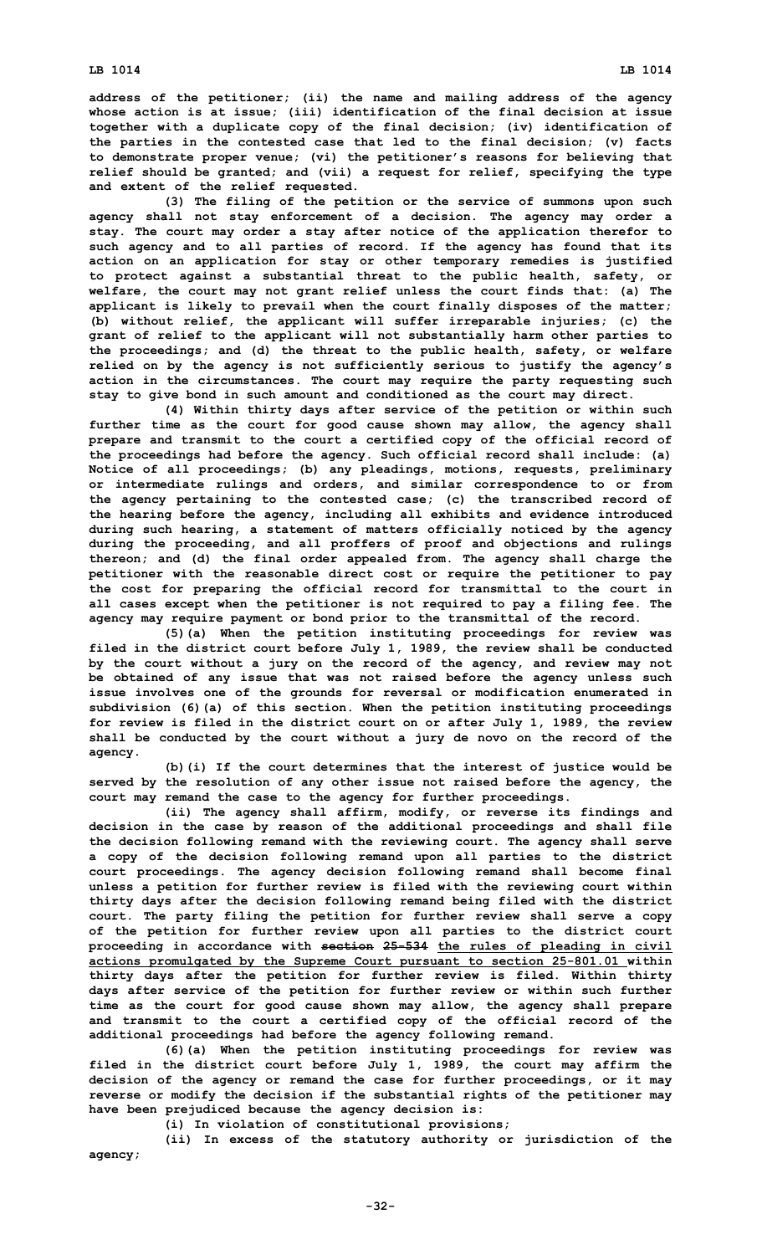**address of the petitioner; (ii) the name and mailing address of the agency whose action is at issue; (iii) identification of the final decision at issue together with <sup>a</sup> duplicate copy of the final decision; (iv) identification of the parties in the contested case that led to the final decision; (v) facts to demonstrate proper venue; (vi) the petitioner's reasons for believing that relief should be granted; and (vii) <sup>a</sup> request for relief, specifying the type and extent of the relief requested.**

**(3) The filing of the petition or the service of summons upon such agency shall not stay enforcement of <sup>a</sup> decision. The agency may order <sup>a</sup> stay. The court may order <sup>a</sup> stay after notice of the application therefor to such agency and to all parties of record. If the agency has found that its action on an application for stay or other temporary remedies is justified to protect against <sup>a</sup> substantial threat to the public health, safety, or welfare, the court may not grant relief unless the court finds that: (a) The applicant is likely to prevail when the court finally disposes of the matter; (b) without relief, the applicant will suffer irreparable injuries; (c) the grant of relief to the applicant will not substantially harm other parties to the proceedings; and (d) the threat to the public health, safety, or welfare relied on by the agency is not sufficiently serious to justify the agency's action in the circumstances. The court may require the party requesting such stay to give bond in such amount and conditioned as the court may direct.**

**(4) Within thirty days after service of the petition or within such further time as the court for good cause shown may allow, the agency shall prepare and transmit to the court <sup>a</sup> certified copy of the official record of the proceedings had before the agency. Such official record shall include: (a) Notice of all proceedings; (b) any pleadings, motions, requests, preliminary or intermediate rulings and orders, and similar correspondence to or from the agency pertaining to the contested case; (c) the transcribed record of the hearing before the agency, including all exhibits and evidence introduced during such hearing, <sup>a</sup> statement of matters officially noticed by the agency during the proceeding, and all proffers of proof and objections and rulings thereon; and (d) the final order appealed from. The agency shall charge the petitioner with the reasonable direct cost or require the petitioner to pay the cost for preparing the official record for transmittal to the court in all cases except when the petitioner is not required to pay <sup>a</sup> filing fee. The agency may require payment or bond prior to the transmittal of the record.**

**(5)(a) When the petition instituting proceedings for review was filed in the district court before July 1, 1989, the review shall be conducted by the court without <sup>a</sup> jury on the record of the agency, and review may not be obtained of any issue that was not raised before the agency unless such issue involves one of the grounds for reversal or modification enumerated in subdivision (6)(a) of this section. When the petition instituting proceedings for review is filed in the district court on or after July 1, 1989, the review shall be conducted by the court without <sup>a</sup> jury de novo on the record of the agency.**

**(b)(i) If the court determines that the interest of justice would be served by the resolution of any other issue not raised before the agency, the court may remand the case to the agency for further proceedings.**

**(ii) The agency shall affirm, modify, or reverse its findings and decision in the case by reason of the additional proceedings and shall file the decision following remand with the reviewing court. The agency shall serve <sup>a</sup> copy of the decision following remand upon all parties to the district court proceedings. The agency decision following remand shall become final unless <sup>a</sup> petition for further review is filed with the reviewing court within thirty days after the decision following remand being filed with the district court. The party filing the petition for further review shall serve <sup>a</sup> copy of the petition for further review upon all parties to the district court proceeding in accordance with section 25-534 the rules of pleading in civil actions promulgated by the Supreme Court pursuant to section 25-801.01 within thirty days after the petition for further review is filed. Within thirty days after service of the petition for further review or within such further time as the court for good cause shown may allow, the agency shall prepare and transmit to the court <sup>a</sup> certified copy of the official record of the additional proceedings had before the agency following remand.**

**(6)(a) When the petition instituting proceedings for review was filed in the district court before July 1, 1989, the court may affirm the decision of the agency or remand the case for further proceedings, or it may reverse or modify the decision if the substantial rights of the petitioner may have been prejudiced because the agency decision is:**

**(i) In violation of constitutional provisions;**

**(ii) In excess of the statutory authority or jurisdiction of the agency;**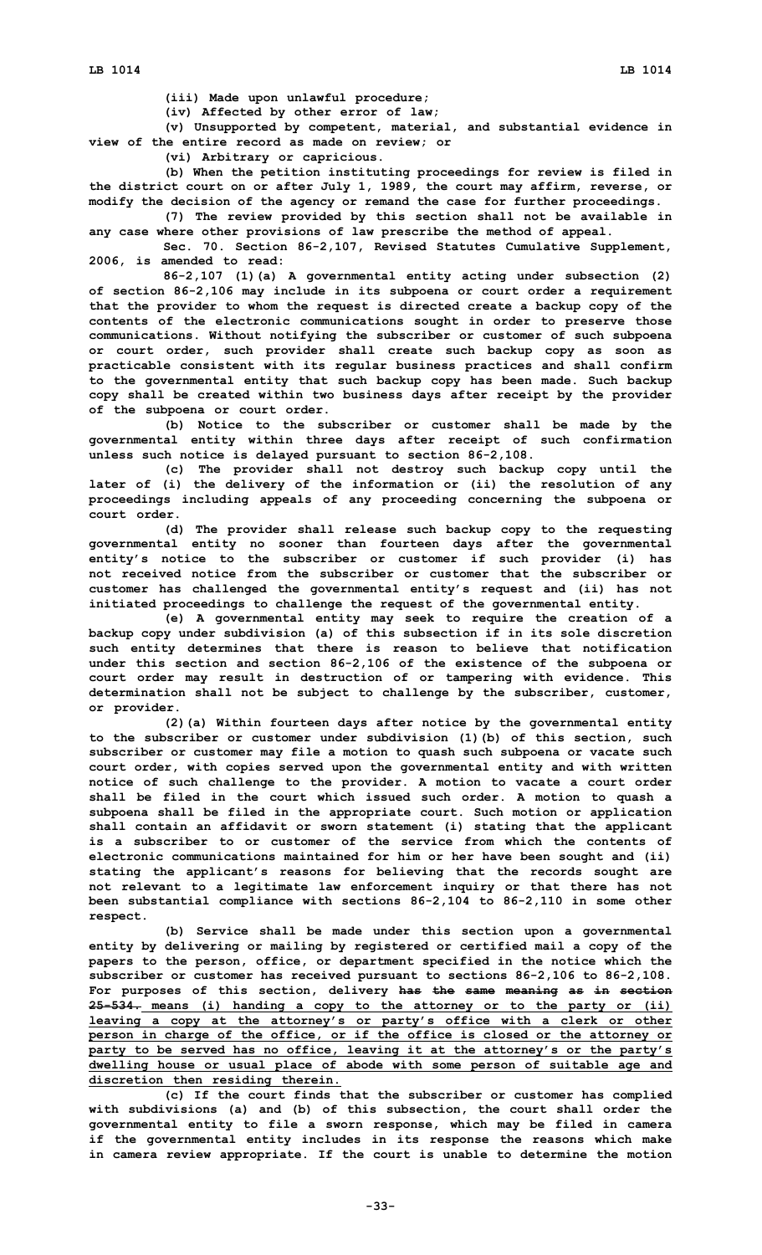**(iii) Made upon unlawful procedure;**

**(iv) Affected by other error of law;**

**(v) Unsupported by competent, material, and substantial evidence in view of the entire record as made on review; or**

**(vi) Arbitrary or capricious.**

**(b) When the petition instituting proceedings for review is filed in the district court on or after July 1, 1989, the court may affirm, reverse, or modify the decision of the agency or remand the case for further proceedings.**

**(7) The review provided by this section shall not be available in any case where other provisions of law prescribe the method of appeal.**

**Sec. 70. Section 86-2,107, Revised Statutes Cumulative Supplement, 2006, is amended to read:**

**86-2,107 (1)(a) <sup>A</sup> governmental entity acting under subsection (2) of section 86-2,106 may include in its subpoena or court order <sup>a</sup> requirement that the provider to whom the request is directed create <sup>a</sup> backup copy of the contents of the electronic communications sought in order to preserve those communications. Without notifying the subscriber or customer of such subpoena or court order, such provider shall create such backup copy as soon as practicable consistent with its regular business practices and shall confirm to the governmental entity that such backup copy has been made. Such backup copy shall be created within two business days after receipt by the provider of the subpoena or court order.**

**(b) Notice to the subscriber or customer shall be made by the governmental entity within three days after receipt of such confirmation unless such notice is delayed pursuant to section 86-2,108.**

**(c) The provider shall not destroy such backup copy until the later of (i) the delivery of the information or (ii) the resolution of any proceedings including appeals of any proceeding concerning the subpoena or court order.**

**(d) The provider shall release such backup copy to the requesting governmental entity no sooner than fourteen days after the governmental entity's notice to the subscriber or customer if such provider (i) has not received notice from the subscriber or customer that the subscriber or customer has challenged the governmental entity's request and (ii) has not initiated proceedings to challenge the request of the governmental entity.**

**(e) <sup>A</sup> governmental entity may seek to require the creation of <sup>a</sup> backup copy under subdivision (a) of this subsection if in its sole discretion such entity determines that there is reason to believe that notification under this section and section 86-2,106 of the existence of the subpoena or court order may result in destruction of or tampering with evidence. This determination shall not be subject to challenge by the subscriber, customer, or provider.**

**(2)(a) Within fourteen days after notice by the governmental entity to the subscriber or customer under subdivision (1)(b) of this section, such subscriber or customer may file <sup>a</sup> motion to quash such subpoena or vacate such court order, with copies served upon the governmental entity and with written notice of such challenge to the provider. A motion to vacate <sup>a</sup> court order shall be filed in the court which issued such order. A motion to quash <sup>a</sup> subpoena shall be filed in the appropriate court. Such motion or application shall contain an affidavit or sworn statement (i) stating that the applicant is a subscriber to or customer of the service from which the contents of electronic communications maintained for him or her have been sought and (ii) stating the applicant's reasons for believing that the records sought are not relevant to <sup>a</sup> legitimate law enforcement inquiry or that there has not been substantial compliance with sections 86-2,104 to 86-2,110 in some other respect.**

**(b) Service shall be made under this section upon <sup>a</sup> governmental entity by delivering or mailing by registered or certified mail <sup>a</sup> copy of the papers to the person, office, or department specified in the notice which the subscriber or customer has received pursuant to sections 86-2,106 to 86-2,108. For purposes of this section, delivery has the same meaning as in section 25-534. means (i) handing <sup>a</sup> copy to the attorney or to the party or (ii) leaving <sup>a</sup> copy at the attorney's or party's office with <sup>a</sup> clerk or other person in charge of the office, or if the office is closed or the attorney or party to be served has no office, leaving it at the attorney's or the party's dwelling house or usual place of abode with some person of suitable age and discretion then residing therein.**

**(c) If the court finds that the subscriber or customer has complied with subdivisions (a) and (b) of this subsection, the court shall order the governmental entity to file <sup>a</sup> sworn response, which may be filed in camera if the governmental entity includes in its response the reasons which make in camera review appropriate. If the court is unable to determine the motion**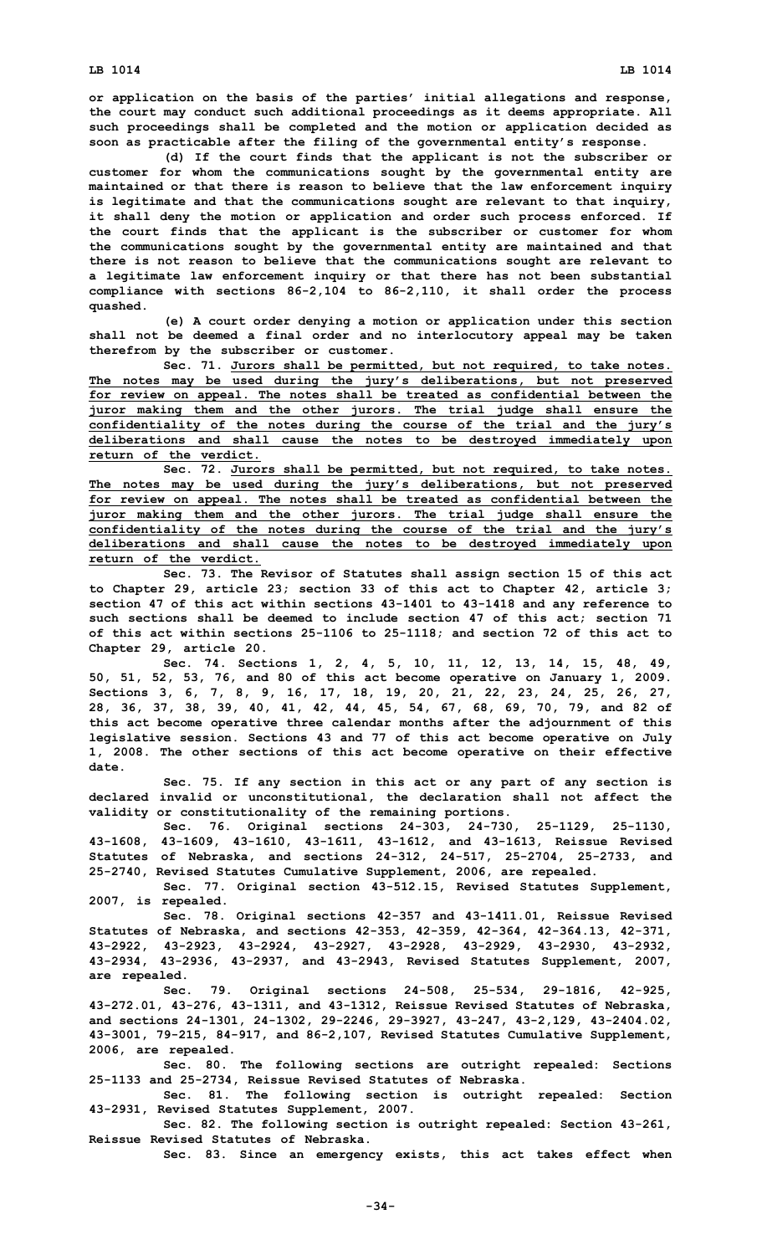**or application on the basis of the parties' initial allegations and response, the court may conduct such additional proceedings as it deems appropriate. All such proceedings shall be completed and the motion or application decided as soon as practicable after the filing of the governmental entity's response.**

**(d) If the court finds that the applicant is not the subscriber or customer for whom the communications sought by the governmental entity are maintained or that there is reason to believe that the law enforcement inquiry is legitimate and that the communications sought are relevant to that inquiry, it shall deny the motion or application and order such process enforced. If the court finds that the applicant is the subscriber or customer for whom the communications sought by the governmental entity are maintained and that there is not reason to believe that the communications sought are relevant to <sup>a</sup> legitimate law enforcement inquiry or that there has not been substantial compliance with sections 86-2,104 to 86-2,110, it shall order the process quashed.**

**(e) <sup>A</sup> court order denying <sup>a</sup> motion or application under this section shall not be deemed <sup>a</sup> final order and no interlocutory appeal may be taken therefrom by the subscriber or customer.**

**Sec. 71. Jurors shall be permitted, but not required, to take notes. The notes may be used during the jury's deliberations, but not preserved for review on appeal. The notes shall be treated as confidential between the juror making them and the other jurors. The trial judge shall ensure the confidentiality of the notes during the course of the trial and the jury's deliberations and shall cause the notes to be destroyed immediately upon return of the verdict.**

**Sec. 72. Jurors shall be permitted, but not required, to take notes. The notes may be used during the jury's deliberations, but not preserved for review on appeal. The notes shall be treated as confidential between the juror making them and the other jurors. The trial judge shall ensure the confidentiality of the notes during the course of the trial and the jury's deliberations and shall cause the notes to be destroyed immediately upon return of the verdict.**

**Sec. 73. The Revisor of Statutes shall assign section 15 of this act to Chapter 29, article 23; section 33 of this act to Chapter 42, article 3; section 47 of this act within sections 43-1401 to 43-1418 and any reference to such sections shall be deemed to include section 47 of this act; section 71 of this act within sections 25-1106 to 25-1118; and section 72 of this act to Chapter 29, article 20.**

**Sec. 74. Sections 1, 2, 4, 5, 10, 11, 12, 13, 14, 15, 48, 49, 50, 51, 52, 53, 76, and 80 of this act become operative on January 1, 2009. Sections 3, 6, 7, 8, 9, 16, 17, 18, 19, 20, 21, 22, 23, 24, 25, 26, 27, 28, 36, 37, 38, 39, 40, 41, 42, 44, 45, 54, 67, 68, 69, 70, 79, and 82 of this act become operative three calendar months after the adjournment of this legislative session. Sections 43 and 77 of this act become operative on July 1, 2008. The other sections of this act become operative on their effective date.**

**Sec. 75. If any section in this act or any part of any section is declared invalid or unconstitutional, the declaration shall not affect the validity or constitutionality of the remaining portions.**

**Sec. 76. Original sections 24-303, 24-730, 25-1129, 25-1130, 43-1608, 43-1609, 43-1610, 43-1611, 43-1612, and 43-1613, Reissue Revised Statutes of Nebraska, and sections 24-312, 24-517, 25-2704, 25-2733, and 25-2740, Revised Statutes Cumulative Supplement, 2006, are repealed.**

**Sec. 77. Original section 43-512.15, Revised Statutes Supplement, 2007, is repealed.**

**Sec. 78. Original sections 42-357 and 43-1411.01, Reissue Revised Statutes of Nebraska, and sections 42-353, 42-359, 42-364, 42-364.13, 42-371, 43-2922, 43-2923, 43-2924, 43-2927, 43-2928, 43-2929, 43-2930, 43-2932, 43-2934, 43-2936, 43-2937, and 43-2943, Revised Statutes Supplement, 2007, are repealed.**

**Sec. 79. Original sections 24-508, 25-534, 29-1816, 42-925, 43-272.01, 43-276, 43-1311, and 43-1312, Reissue Revised Statutes of Nebraska, and sections 24-1301, 24-1302, 29-2246, 29-3927, 43-247, 43-2,129, 43-2404.02, 43-3001, 79-215, 84-917, and 86-2,107, Revised Statutes Cumulative Supplement, 2006, are repealed.**

**Sec. 80. The following sections are outright repealed: Sections 25-1133 and 25-2734, Reissue Revised Statutes of Nebraska.**

**Sec. 81. The following section is outright repealed: Section 43-2931, Revised Statutes Supplement, 2007.**

**Sec. 82. The following section is outright repealed: Section 43-261, Reissue Revised Statutes of Nebraska.**

**Sec. 83. Since an emergency exists, this act takes effect when**